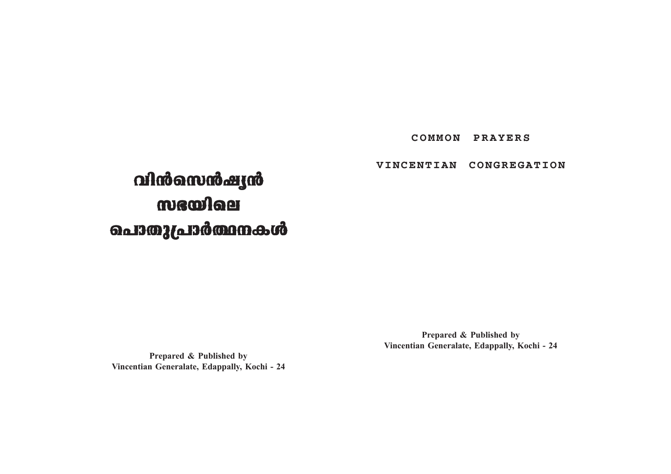# **COMMON PRAYERS**

# **VINCENTIAN CONGREGATION**

# **hn≥sk≥jy≥ hn≥sk≥jy≥** mscoloer **s]mXp{]m¿∞\Iƒ s]mXp{]m¿∞\Iƒ**

**Prepared & Published by Vincentian Generalate, Edappally, Kochi - 24**

**Prepared & Published by Vincentian Generalate, Edappally, Kochi - 24**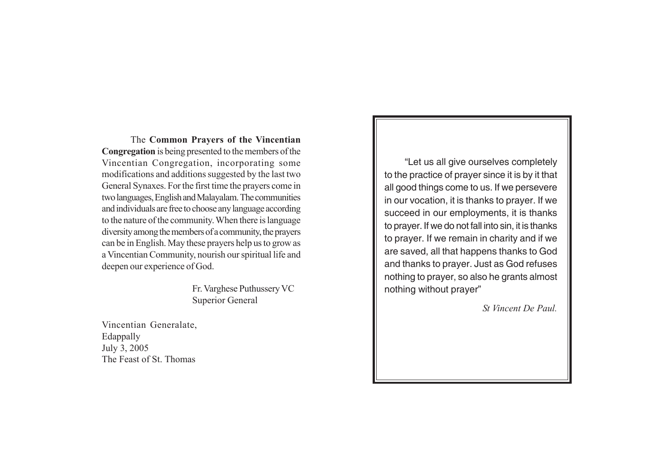The **Common Prayers of the Vincentian Congregation** is being presented to the members of the Vincentian Congregation, incorporating some modifications and additions suggested by the last two General Synaxes. For the first time the prayers come in two languages, English and Malayalam. The communities and individuals are free to choose any language according to the nature of the community. When there is language diversity among the members of a community, the prayers can be in English. May these prayers help us to grow as a Vincentian Community, nourish our spiritual life and deepen our experience of God.

> Fr. Varghese Puthussery VC Superior General

Vincentian Generalate, Edappally July 3, 2005 The Feast of St. Thomas

"Let us all give ourselves completely to the practice of prayer since it is by it that all good things come to us. If we persevere in our vocation, it is thanks to prayer. If we succeed in our employments, it is thanks to prayer. If we do not fall into sin, it is thanks to prayer. If we remain in charity and if we are saved, all that happens thanks to God and thanks to prayer. Just as God refuses nothing to prayer, so also he grants almost nothing without prayer"

*St Vincent De Paul.*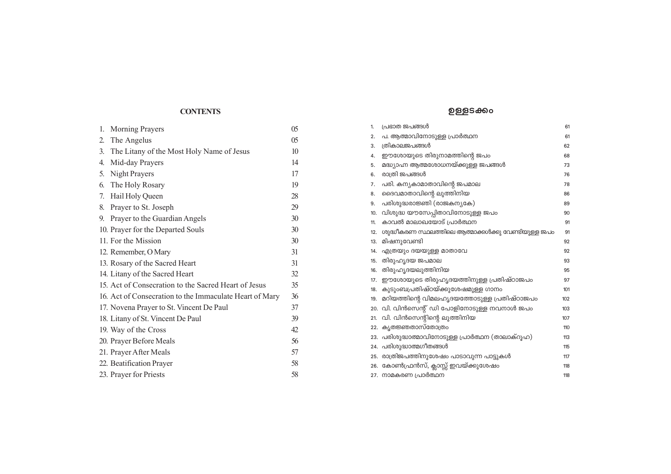# **CONTENTS**

| 1.               | <b>Morning Prayers</b>                                  | 05             |
|------------------|---------------------------------------------------------|----------------|
| $\overline{2}$ . | The Angelus                                             | 0 <sub>5</sub> |
| 3.               | The Litany of the Most Holy Name of Jesus               | 10             |
| 4.               | Mid-day Prayers                                         | 14             |
| 5.               | Night Prayers                                           | 17             |
| 6.               | The Holy Rosary                                         | 19             |
| 7.               | Hail Holy Queen                                         | 28             |
| 8.               | Prayer to St. Joseph                                    | 29             |
| 9.               | Prayer to the Guardian Angels                           | 30             |
|                  | 10. Prayer for the Departed Souls                       | 30             |
|                  | 11. For the Mission                                     | 30             |
|                  | 12. Remember, O Mary                                    | 31             |
|                  | 13. Rosary of the Sacred Heart                          | 31             |
|                  | 14. Litany of the Sacred Heart                          | 32             |
|                  | 15. Act of Consecration to the Sacred Heart of Jesus    | 35             |
|                  | 16. Act of Consecration to the Immaculate Heart of Mary | 36             |
|                  | 17. Novena Prayer to St. Vincent De Paul                | 37             |
|                  | 18. Litany of St. Vincent De Paul                       | 39             |
|                  | 19. Way of the Cross                                    | 42             |
|                  | 20. Prayer Before Meals                                 | 56             |
|                  | 21. Prayer After Meals                                  | 57             |
|                  | 22. Beatification Prayer                                | 58             |
|                  | 23. Prayer for Priests                                  | 58             |
|                  |                                                         |                |

# ഉള്ളടക്കം

| 1.  | പ്രഭാത ജപങ്ങൾ                                      | 61  |
|-----|----------------------------------------------------|-----|
| 2.  | പ. ആത്മാവിനോടുള്ള പ്രാർത്ഥന                        | 61  |
| 3.  | ത്രികാലജപങ്ങൾ                                      | 62  |
| 4.  | ഈശോയുടെ തിരുനാമത്തിന്റെ ജപം                        | 68  |
| 5.  | മദ്ധ്യാഹ്ന ആത്മശോധനയ്ക്കുള്ള ജപങ്ങൾ                | 73  |
| 6.  | രാത്രി ജപങ്ങൾ                                      | 76  |
| 7.  | പരി. കന്യകാമാതാവിന്റെ ജപമാല                        | 78  |
| 8.  | ദൈവമാതാവിന്റെ ലുത്തിനിയ                            | 86  |
| 9.  | പരിശുദ്ധരാജ്ഞി (രാജകന്യകേ)                         | 89  |
| 10. | വിശുദ്ധ യൗസേപ്പിതാവിനോടുള്ള ജപം                    | 90  |
| 11. | കാവൽ മാലാഖയോട് പ്രാർത്ഥന                           | 91  |
| 12. | ശുദ്ധീകരണ സ്ഥലത്തിലെ ആത്മാക്കൾക്കു വേണ്ടിയുള്ള ജപം | 91  |
| 13. | മിഷനുവേണ്ടി                                        | 92  |
| 14. | എത്രയും ദയയുള്ള മാതാവേ                             | 92  |
| 15. | തിരുഹൃദയ ജപമാല                                     | 93  |
| 16. | തിരുഹൃദയലുത്തിനിയ                                  | 95  |
| 17. | ഈശോയുടെ തിരുഹൃദയത്തിനുള്ള പ്രതിഷ്ഠാജപം             | 97  |
| 18. | കുടുംബപ്രതിഷ്ഠയ്ക്കുശേഷമുള്ള ഗാനം                  | 101 |
| 19. | മറിയത്തിന്റെ വിമലഹൃദയത്തോടുള്ള പ്രതിഷ്ഠാജപം        | 102 |
|     | 20. വി. വിൻസെന്റ് ഡി പോളിനോടുള്ള നവനാൾ ജപം         | 103 |
|     | 21. വി. വിൻസെന്റിന്റെ ലുത്തിനിയ                    | 107 |
|     | 22. കൃതജ്ഞതാസ്തോത്രം                               | 110 |
|     | 23. പരിശുദ്ധാത്മാവിനോടുള്ള പ്രാർത്ഥന (താലാക്റൂഹ)   | 113 |
|     | 24. പരിശുദ്ധാത്മഗീതങ്ങൾ                            | 115 |
|     | 25. രാത്രിജപത്തിനുശേഷം പാടാവുന്ന പാട്ടുകൾ          | 117 |
|     | 26. കോൺഫ്രൻസ്, ക്ലാസ്സ് ഇവയ്ക്കുശേഷം               | 118 |
|     | 27. നാമകരണ പ്രാർത്ഥന                               | 118 |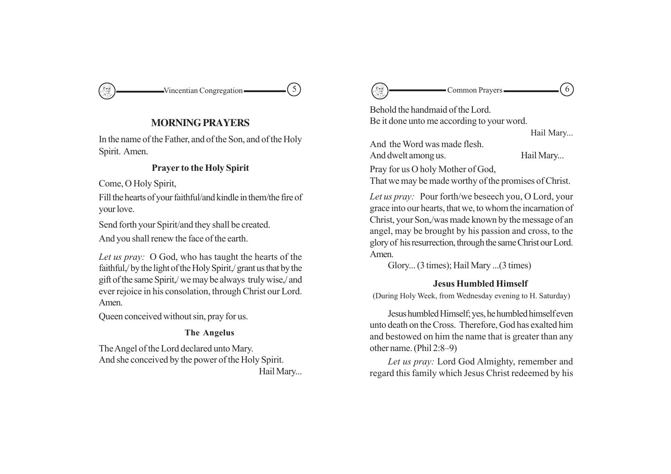Vincentian Congregation  $\qquad \qquad$  (5)

# **MORNING PRAYERS**

In the name of the Father, and of the Son, and of the Holy Spirit. Amen.

# **Prayer to the Holy Spirit**

Come, O Holy Spirit,

Fill the hearts of your faithful/and kindle in them/the fire of your love.

Send forth your Spirit/and they shall be created.

And you shall renew the face of the earth.

*Let us pray:* O God, who has taught the hearts of the faithful,/ by the light of the Holy Spirit,/ grant us that by the gift of the same Spirit,/ we may be always truly wise,/ and ever rejoice in his consolation, through Christ our Lord. Amen.

Queen conceived without sin, pray for us.

# **The Angelus**

The Angel of the Lord declared unto Mary. And she conceived by the power of the Holy Spirit. Hail Mary...



Behold the handmaid of the Lord. Be it done unto me according to your word.

Hail Mary...

And the Word was made flesh.

And dwelt among us. Hail Mary...

Pray for us O holy Mother of God,

That we may be made worthy of the promises of Christ.

*Let us pray:* Pour forth/we beseech you, O Lord, your grace into our hearts, that we, to whom the incarnation of Christ, your Son,/was made known by the message of an angel, may be brought by his passion and cross, to the glory of his resurrection, through the same Christ our Lord. Amen.

Glory... (3 times); Hail Mary ...(3 times)

# **Jesus Humbled Himself**

(During Holy Week, from Wednesday evening to H. Saturday)

Jesus humbled Himself; yes, he humbled himself even unto death on the Cross. Therefore, God has exalted him and bestowed on him the name that is greater than any other name. (Phil 2:8–9)

*Let us pray:* Lord God Almighty, remember and regard this family which Jesus Christ redeemed by his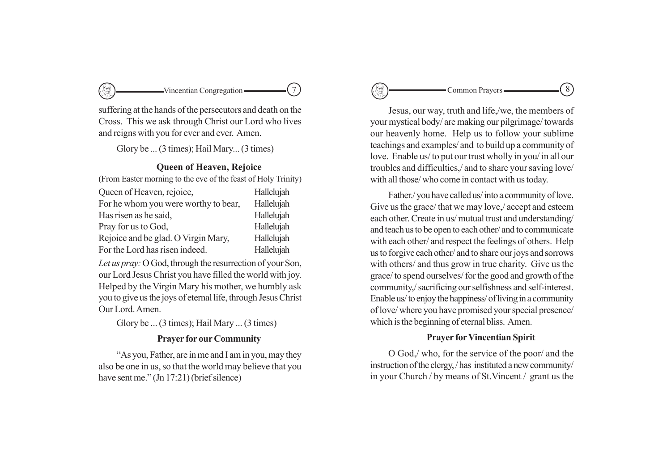

suffering at the hands of the persecutors and death on the Cross. This we ask through Christ our Lord who lives and reigns with you for ever and ever. Amen.

Glory be ... (3 times); Hail Mary... (3 times)

# **Queen of Heaven, Rejoice**

(From Easter morning to the eve of the feast of Holy Trinity)

| Queen of Heaven, rejoice,            | Hallelujah |
|--------------------------------------|------------|
| For he whom you were worthy to bear, | Hallelujah |
| Has risen as he said,                | Hallelujah |
| Pray for us to God,                  | Hallelujah |
| Rejoice and be glad. O Virgin Mary,  | Hallelujah |
| For the Lord has risen indeed.       | Hallelujah |

*Let us pray:* O God, through the resurrection of your Son, our Lord Jesus Christ you have filled the world with joy. Helped by the Virgin Mary his mother, we humbly ask you to give us the joys of eternal life, through Jesus Christ Our Lord. Amen.

Glory be ... (3 times); Hail Mary ... (3 times)

# **Prayer for our Community**

"As you, Father, are in me and I am in you, may they also be one in us, so that the world may believe that you have sent me." (Jn 17:21) (brief silence)

Common Prayers  $\qquad \qquad$  (8)

Jesus, our way, truth and life,/we, the members of your mystical body/ are making our pilgrimage/ towards our heavenly home. Help us to follow your sublime teachings and examples/ and to build up a community of love. Enable us/ to put our trust wholly in you/ in all our troubles and difficulties,/ and to share your saving love/ with all those/ who come in contact with us today.

Father./ you have called us/ into a community of love. Give us the grace/ that we may love,/ accept and esteem each other. Create in us/ mutual trust and understanding/ and teach us to be open to each other/ and to communicate with each other/ and respect the feelings of others. Help us to forgive each other/ and to share our joys and sorrows with others/ and thus grow in true charity. Give us the grace/ to spend ourselves/ for the good and growth of the community,/ sacrificing our selfishness and self-interest. Enable us/ to enjoy the happiness/ of living in a community of love/ where you have promised your special presence/ which is the beginning of eternal bliss. Amen.

# **Prayer for Vincentian Spirit**

O God,/ who, for the service of the poor/ and the instruction of the clergy, / has instituted a new community/ in your Church / by means of St.Vincent / grant us the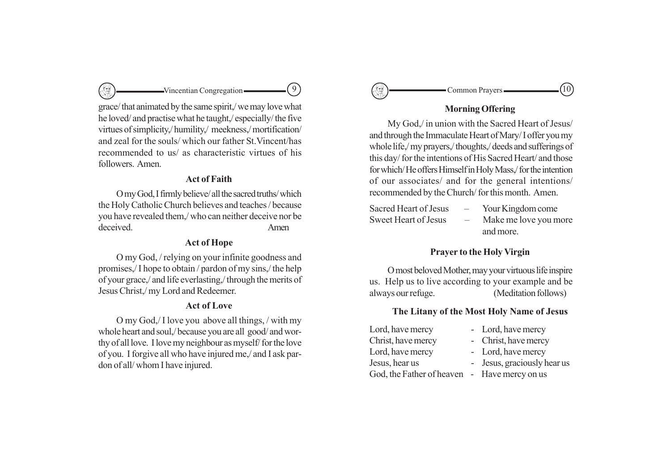grace/ that animated by the same spirit,/ we may love what he loved/ and practise what he taught,/ especially/ the five virtues of simplicity,/ humility,/ meekness,/ mortification/ and zeal for the souls/ which our father St.Vincent/has recommended to us/ as characteristic virtues of his followers. Amen.

# **Act of Faith**

 $\rightarrow$ Vincentian Congregation  $\rightarrow$   $\rightarrow$   $\rightarrow$   $\rightarrow$   $\rightarrow$   $\rightarrow$ 

O my God, I firmly believe/ all the sacred truths/ which the Holy Catholic Church believes and teaches / because you have revealed them,/ who can neither deceive nor be deceived. Amen

# **Act of Hope**

O my God, / relying on your infinite goodness and promises,/ I hope to obtain / pardon of my sins,/ the help of your grace,/ and life everlasting,/ through the merits of Jesus Christ,/ my Lord and Redeemer.

## **Act of Love**

O my God,/ I love you above all things, / with my whole heart and soul,/ because you are all good/ and worthy of all love. I love my neighbour as myself/ for the love of you. I forgive all who have injured me,/ and I ask pardon of all/ whom I have injured.



# **Morning Offering**

My God,/ in union with the Sacred Heart of Jesus/ and through the Immaculate Heart of Mary/ I offer you my whole life,/ my prayers,/ thoughts,/ deeds and sufferings of this day/ for the intentions of His Sacred Heart/ and those for which/ He offers Himself in Holy Mass,/ for the intention of our associates/ and for the general intentions/ recommended by the Church/ for this month. Amen.

| Sacred Heart of Jesus | $\overline{\phantom{0}}$ | Your Kingdom come     |
|-----------------------|--------------------------|-----------------------|
| Sweet Heart of Jesus  | $\overline{\phantom{0}}$ | Make me love you more |
|                       |                          | and more.             |

# **Prayer to the Holy Virgin**

O most beloved Mother, may your virtuous life inspire us. Help us to live according to your example and be always our refuge. (Meditation follows)

### **The Litany of the Most Holy Name of Jesus**

Lord, have mercy - Lord, have mercy Christ, have mercy - Christ, have mercy Lord, have mercy - Lord, have mercy Jesus, hear us - Jesus, graciously hear us God, the Father of heaven - Have mercy on us

- 
- 
- 
-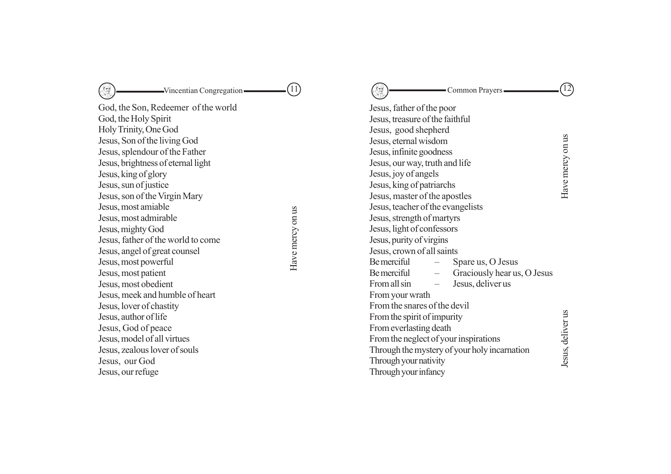| -Vincentian Congregation-                                                                                                                                                                                                                                                                                                                                                                                                                                                                                                            |                  | Common Prayers -                                                                                                                                                                                                                                                                                                                                                                                                                                                                                                                                                                     |                   |
|--------------------------------------------------------------------------------------------------------------------------------------------------------------------------------------------------------------------------------------------------------------------------------------------------------------------------------------------------------------------------------------------------------------------------------------------------------------------------------------------------------------------------------------|------------------|--------------------------------------------------------------------------------------------------------------------------------------------------------------------------------------------------------------------------------------------------------------------------------------------------------------------------------------------------------------------------------------------------------------------------------------------------------------------------------------------------------------------------------------------------------------------------------------|-------------------|
| God, the Son, Redeemer of the world<br>God, the Holy Spirit<br>Holy Trinity, One God<br>Jesus, Son of the living God<br>Jesus, splendour of the Father<br>Jesus, brightness of eternal light<br>Jesus, king of glory<br>Jesus, sun of justice<br>Jesus, son of the Virgin Mary<br>Jesus, most amiable<br>Jesus, most admirable<br>Jesus, mighty God<br>Jesus, father of the world to come<br>Jesus, angel of great counsel<br>Jesus, most powerful<br>Jesus, most patient<br>Jesus, most obedient<br>Jesus, meek and humble of heart | Have mercy on us | Jesus, father of the poor<br>Jesus, treasure of the faithful<br>Jesus, good shepherd<br>Jesus, eternal wisdom<br>Jesus, infinite goodness<br>Jesus, our way, truth and life<br>Jesus, joy of angels<br>Jesus, king of patriarchs<br>Jesus, master of the apostles<br>Jesus, teacher of the evangelists<br>Jesus, strength of martyrs<br>Jesus, light of confessors<br>Jesus, purity of virgins<br>Jesus, crown of all saints<br><b>Be</b> merciful<br>Spare us, O Jesus<br><b>Be</b> merciful<br>Graciously hear us, O Jesus<br>From all sin<br>Jesus, deliver us<br>From your wrath | Have mercy on us  |
| Jesus, lover of chastity<br>Jesus, author of life<br>Jesus, God of peace<br>Jesus, model of all virtues<br>Jesus, zealous lover of souls<br>Jesus, our God<br>Jesus, our refuge                                                                                                                                                                                                                                                                                                                                                      |                  | From the snares of the devil<br>From the spirit of impurity<br>From everlasting death<br>From the neglect of your inspirations<br>Through the mystery of your holy incarnation<br>Through your nativity<br>Through your infancy                                                                                                                                                                                                                                                                                                                                                      | Jesus, deliver us |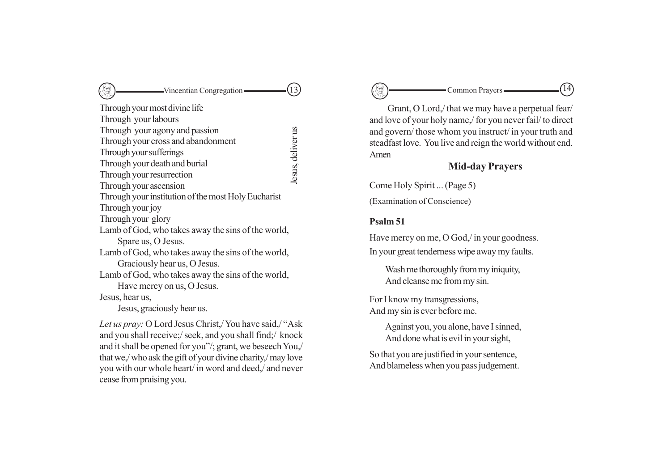# $\text{Vincentian Congregation} \qquad \qquad (13)$ Through your most divine life Through your labours Through your agony and passion Jesus, deliverus Jesus, deliver usThrough your cross and abandonment Through your sufferings Through your death and burial Through your resurrection Through your ascension Through your institution of the most Holy Eucharist Through your joy Through your glory Lamb of God, who takes away the sins of the world, Spare us, O Jesus. Lamb of God, who takes away the sins of the world, Graciously hear us, O Jesus. Lamb of God, who takes away the sins of the world, Have mercy on us, O Jesus. Jesus, hear us, Jesus, graciously hear us.

*Let us pray:* O Lord Jesus Christ,/ You have said,/ "Ask and you shall receive;/ seek, and you shall find;/ knock and it shall be opened for you"/; grant, we beseech You,/ that we,/ who ask the gift of your divine charity,/ may love you with our whole heart/ in word and deed,/ and never cease from praising you.

# 13 14

Grant, O Lord,/ that we may have a perpetual fear/ and love of your holy name,/ for you never fail/ to direct and govern/ those whom you instruct/ in your truth and steadfast love. You live and reign the world without end. Amen

# **Mid-day Prayers**

Come Holy Spirit ... (Page 5)

(Examination of Conscience)

# **Psalm 51**

Have mercy on me, O God./ in your goodness. In your great tenderness wipe away my faults.

Wash me thoroughly from my iniquity, And cleanse me from my sin.

For I know my transgressions, And my sin is ever before me.

> Against you, you alone, have I sinned, And done what is evil in your sight,

So that you are justified in your sentence, And blameless when you pass judgement.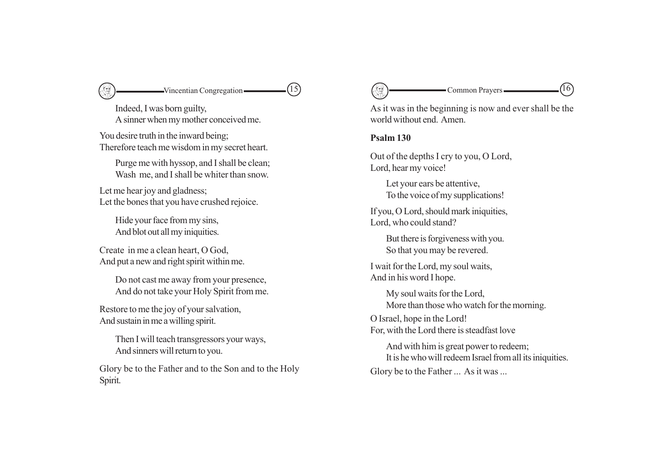

Indeed, I was born guilty, A sinner when my mother conceived me.

You desire truth in the inward being; Therefore teach me wisdom in my secret heart.

Purge me with hyssop, and I shall be clean; Wash me, and I shall be whiter than snow.

Let me hear joy and gladness; Let the bones that you have crushed rejoice.

Hide your face from my sins, And blot out all my iniquities.

Create in me a clean heart, O God, And put a new and right spirit within me.

> Do not cast me away from your presence, And do not take your Holy Spirit from me.

Restore to me the joy of your salvation, And sustain in me a willing spirit.

> Then I will teach transgressors your ways, And sinners will return to you.

Glory be to the Father and to the Son and to the Holy Spirit.



As it was in the beginning is now and ever shall be the world without end. Amen.

# **Psalm 130**

Out of the depths I cry to you, O Lord, Lord, hear my voice!

Let your ears be attentive, To the voice of my supplications!

If you, O Lord, should mark iniquities, Lord, who could stand?

But there is forgiveness with you. So that you may be revered.

I wait for the Lord, my soul waits, And in his word I hope.

> My soul waits for the Lord, More than those who watch for the morning.

O Israel, hope in the Lord! For, with the Lord there is steadfast love

And with him is great power to redeem; It is he who will redeem Israel from all its iniquities. Glory be to the Father ... As it was ...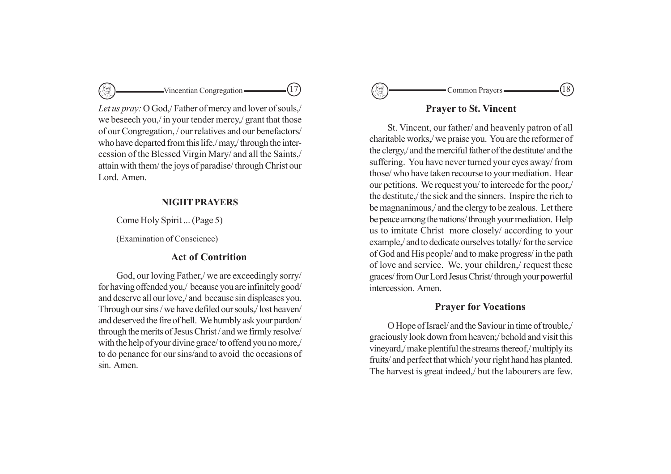

*Let us pray:* O God,/ Father of mercy and lover of souls,/ we beseech you,/ in your tender mercy,/ grant that those of our Congregation, / our relatives and our benefactors/ who have departed from this life,/ may,/ through the intercession of the Blessed Virgin Mary/ and all the Saints,/ attain with them/ the joys of paradise/ through Christ our Lord Amen.

# **NIGHT PRAYERS**

Come Holy Spirit ... (Page 5)

(Examination of Conscience)

# **Act of Contrition**

God, our loving Father,/ we are exceedingly sorry/ for having offended you,/ because you are infinitely good/ and deserve all our love,/ and because sin displeases you. Through our sins / we have defiled our souls,/ lost heaven/ and deserved the fire of hell. We humbly ask your pardon/ through the merits of Jesus Christ / and we firmly resolve/ with the help of your divine grace/ to offend you no more,/ to do penance for our sins/and to avoid the occasions of sin. Amen.



# **Prayer to St. Vincent**

St. Vincent, our father/ and heavenly patron of all charitable works,/ we praise you. You are the reformer of the clergy,/ and the merciful father of the destitute/ and the suffering. You have never turned your eyes away/ from those/ who have taken recourse to your mediation. Hear our petitions. We request you/ to intercede for the poor,/ the destitute,/ the sick and the sinners. Inspire the rich to be magnanimous,/ and the clergy to be zealous. Let there be peace among the nations/ through your mediation. Help us to imitate Christ more closely/ according to your example,/ and to dedicate ourselves totally/ for the service of God and His people/ and to make progress/ in the path of love and service. We, your children,/ request these graces/ from Our Lord Jesus Christ/ through your powerful intercession. Amen.

# **Prayer for Vocations**

O Hope of Israel/ and the Saviour in time of trouble,/ graciously look down from heaven;/ behold and visit this vineyard,/ make plentiful the streams thereof,/ multiply its fruits/ and perfect that which/ your right hand has planted. The harvest is great indeed,/ but the labourers are few.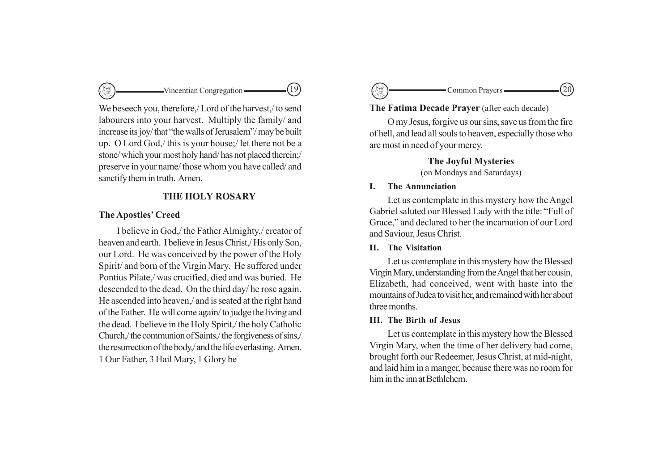

We beseech you, therefore./ Lord of the harvest./ to send labourers into your harvest. Multiply the family/ and increase its joy/ that "the walls of Jerusalem"/ may be built up. O Lord God,/ this is your house;/ let there not be a stone/ which your most holy hand/ has not placed therein;/ preserve in your name/ those whom you have called/ and sanctify them in truth. Amen.

# **THE HOLY ROSARY**

# **The Apostles' Creed**

I believe in God,/ the Father Almighty,/ creator of heaven and earth. I believe in Jesus Christ,/ His only Son, our Lord. He was conceived by the power of the Holy Spirit/ and born of the Virgin Mary. He suffered under Pontius Pilate,/ was crucified, died and was buried. He descended to the dead. On the third day/ he rose again. He ascended into heaven,/ and is seated at the right hand of the Father. He will come again/ to judge the living and the dead. I believe in the Holy Spirit,/ the holy Catholic Church,/ the communion of Saints,/ the forgiveness of sins,/ the resurrection of the body,/ and the life everlasting. Amen. 1 Our Father, 3 Hail Mary, 1 Glory be

# $\cdot$ Common Prayers  $\qquad \qquad \qquad -(20)$

# **The Fatima Decade Prayer** (after each decade)

O my Jesus, forgive us our sins, save us from the fire of hell, and lead all souls to heaven, especially those who are most in need of your mercy.

# **The Joyful Mysteries**

(on Mondays and Saturdays)

# **I. The Annunciation**

Let us contemplate in this mystery how the Angel Gabriel saluted our Blessed Lady with the title: "Full of Grace," and declared to her the incarnation of our Lord and Saviour, Jesus Christ.

# **II. The Visitation**

Let us contemplate in this mystery how the Blessed Virgin Mary, understanding from the Angel that her cousin, Elizabeth, had conceived, went with haste into the mountains of Judea to visit her, and remained with her about three months.

### **III. The Birth of Jesus**

Let us contemplate in this mystery how the Blessed Virgin Mary, when the time of her delivery had come, brought forth our Redeemer, Jesus Christ, at mid-night, and laid him in a manger, because there was no room for him in the inn at Bethlehem.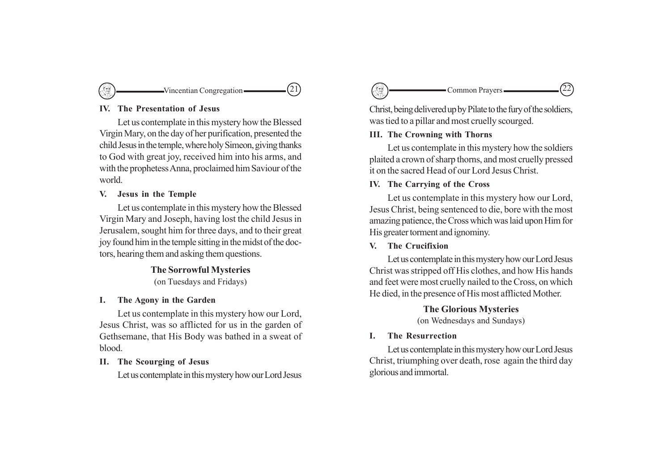

## **IV. The Presentation of Jesus**

Let us contemplate in this mystery how the Blessed Virgin Mary, on the day of her purification, presented the child Jesus in the temple, where holy Simeon, giving thanks to God with great joy, received him into his arms, and with the prophetess Anna, proclaimed him Saviour of the world.

# **V. Jesus in the Temple**

Let us contemplate in this mystery how the Blessed Virgin Mary and Joseph, having lost the child Jesus in Jerusalem, sought him for three days, and to their great joy found him in the temple sitting in the midst of the doctors, hearing them and asking them questions.

# **The Sorrowful Mysteries** (on Tuesdays and Fridays)

### **I. The Agony in the Garden**

Let us contemplate in this mystery how our Lord, Jesus Christ, was so afflicted for us in the garden of Gethsemane, that His Body was bathed in a sweat of blood.

## **II. The Scourging of Jesus**

Let us contemplate in this mystery how our Lord Jesus



Christ, being delivered up by Pilate to the fury of the soldiers, was tied to a pillar and most cruelly scourged.

# **III. The Crowning with Thorns**

Let us contemplate in this mystery how the soldiers plaited a crown of sharp thorns, and most cruelly pressed it on the sacred Head of our Lord Jesus Christ.

# **IV. The Carrying of the Cross**

Let us contemplate in this mystery how our Lord, Jesus Christ, being sentenced to die, bore with the most amazing patience, the Cross which was laid upon Him for His greater torment and ignominy.

# **V. The Crucifixion**

Let us contemplate in this mystery how our Lord Jesus Christ was stripped off His clothes, and how His hands and feet were most cruelly nailed to the Cross, on which He died, in the presence of His most afflicted Mother.

# **The Glorious Mysteries**

(on Wednesdays and Sundays)

# **I. The Resurrection**

Let us contemplate in this mystery how our Lord Jesus Christ, triumphing over death, rose again the third day glorious and immortal.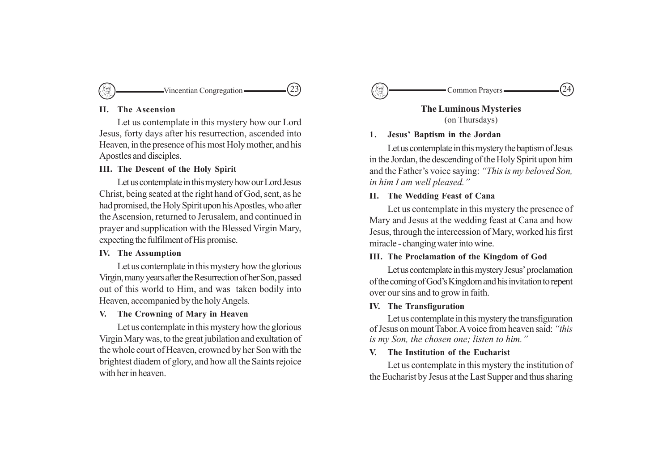

#### **II. The Ascension**

Let us contemplate in this mystery how our Lord Jesus, forty days after his resurrection, ascended into Heaven, in the presence of his most Holy mother, and his Apostles and disciples.

# **III. The Descent of the Holy Spirit**

Let us contemplate in this mystery how our Lord Jesus Christ, being seated at the right hand of God, sent, as he had promised, the Holy Spirit upon his Apostles, who after the Ascension, returned to Jerusalem, and continued in prayer and supplication with the Blessed Virgin Mary, expecting the fulfilment of His promise.

#### **IV. The Assumption**

Let us contemplate in this mystery how the glorious Virgin, many years after the Resurrection of her Son, passed out of this world to Him, and was taken bodily into Heaven, accompanied by the holy Angels.

# **V. The Crowning of Mary in Heaven**

Let us contemplate in this mystery how the glorious Virgin Mary was, to the great jubilation and exultation of the whole court of Heaven, crowned by her Son with the brightest diadem of glory, and how all the Saints rejoice with her in heaven



**The Luminous Mysteries** (on Thursdays)

# **1. Jesus' Baptism in the Jordan**

Let us contemplate in this mystery the baptism of Jesus in the Jordan, the descending of the Holy Spirit upon him and the Father's voice saying: *"This is my beloved Son, in him I am well pleased."*

# **II. The Wedding Feast of Cana**

Let us contemplate in this mystery the presence of Mary and Jesus at the wedding feast at Cana and how Jesus, through the intercession of Mary, worked his first miracle - changing water into wine.

## **III. The Proclamation of the Kingdom of God**

Let us contemplate in this mystery Jesus' proclamation of the coming of God's Kingdom and his invitation to repent over our sins and to grow in faith.

#### **IV. The Transfiguration**

Let us contemplate in this mystery the transfiguration of Jesus on mount Tabor. A voice from heaven said: *"this is my Son, the chosen one; listen to him."*

#### **V. The Institution of the Eucharist**

Let us contemplate in this mystery the institution of the Eucharist by Jesus at the Last Supper and thus sharing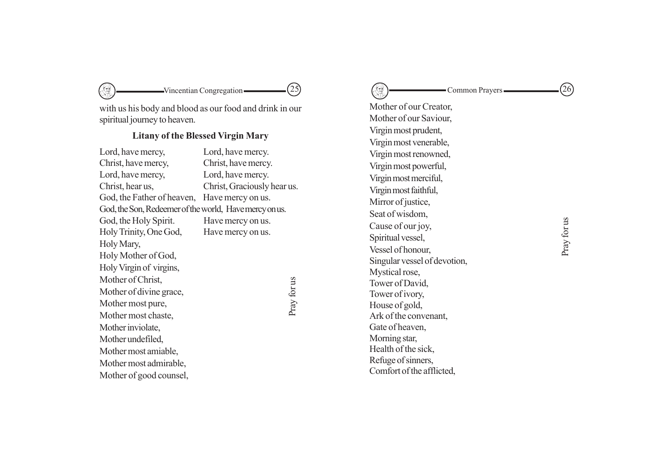with us his body and blood as our food and drink in our spiritual journey to heaven.

 $\mathbb{C}$ 

# **Litany of the Blessed Virgin Mary**

| Lord, have mercy,                                      | Lord, have mercy.           |
|--------------------------------------------------------|-----------------------------|
| Christ, have mercy,                                    | Christ, have mercy.         |
| Lord, have mercy,                                      | Lord, have mercy.           |
| Christ, hear us,                                       | Christ, Graciously hear us. |
| God, the Father of heaven,                             | Have mercy on us.           |
| God, the Son, Redeemer of the world, Have mercy on us. |                             |
| God, the Holy Spirit.                                  | Have mercy on us.           |
| Holy Trinity, One God,                                 | Have mercy on us.           |
| Holy Mary,                                             |                             |
| Holy Mother of God,                                    |                             |
| Holy Virgin of virgins,                                |                             |
| Mother of Christ,                                      |                             |
| Mother of divine grace,                                | Pray for us                 |
| Mother most pure,                                      |                             |
| Mother most chaste,                                    |                             |
| Mother inviolate,                                      |                             |
| Mother undefiled,                                      |                             |
| Mother most amiable,                                   |                             |
| Mother most admirable,                                 |                             |
| Mother of good counsel,                                |                             |

 $\longrightarrow$ Vincentian Congregation  $\boxed{\textcircled{25}}$ Mother of our Creator, Mother of our Saviour, Virgin most prudent, Virgin most venerable, Virgin most renowned, Virgin most powerful, Virgin most merciful, Virgin most faithful, Mirror of justice, Seat of wisdom, Cause of our joy, Spiritual vessel, Vessel of honour, Singular vessel of devotion, Mystical rose, Tower of David, Tower of ivory, House of gold, Ark of the convenant, Gate of heaven, Morning star, Health of the sick, Refuge of sinners, Comfort of the afflicted, Common Prayers  $(26)$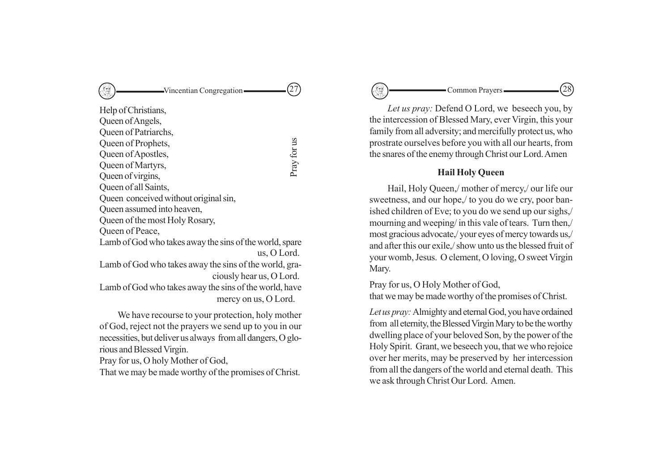# Vincentian Congregation  $(27)$

| Help of Christians,                                     |             |
|---------------------------------------------------------|-------------|
| Queen of Angels,                                        |             |
| Queen of Patriarchs,                                    |             |
| Queen of Prophets,                                      |             |
| Queen of Apostles,                                      | Pray for us |
| Queen of Martyrs,                                       |             |
| Queen of virgins,                                       |             |
| Queen of all Saints,                                    |             |
| Queen conceived without original sin,                   |             |
| Queen assumed into heaven,                              |             |
| Queen of the most Holy Rosary,                          |             |
| Queen of Peace,                                         |             |
| Lamb of God who takes away the sins of the world, spare |             |
| us, O Lord.                                             |             |
| Lamb of God who takes away the sins of the world, gra-  |             |
| ciously hear us, O Lord.                                |             |
| Lamb of God who takes away the sins of the world, have  |             |
| mercy on us, O Lord.                                    |             |
|                                                         |             |

We have recourse to your protection, holy mother of God, reject not the prayers we send up to you in our necessities, but deliver us always from all dangers, O glorious and Blessed Virgin.

Pray for us, O holy Mother of God,

That we may be made worthy of the promises of Christ.

27 28

*Let us pray:* Defend O Lord, we beseech you, by the intercession of Blessed Mary, ever Virgin, this your family from all adversity; and mercifully protect us, who prostrate ourselves before you with all our hearts, from the snares of the enemy through Christ our Lord. Amen

# **Hail Holy Queen**

Hail, Holy Queen,/ mother of mercy,/ our life our sweetness, and our hope,/ to you do we cry, poor banished children of Eve; to you do we send up our sighs,/ mourning and weeping/ in this vale of tears. Turn then,/ most gracious advocate,/ your eyes of mercy towards us,/ and after this our exile,/ show unto us the blessed fruit of your womb, Jesus. O clement, O loving, O sweet Virgin Mary.

Pray for us, O Holy Mother of God, that we may be made worthy of the promises of Christ.

*Let us pray:* Almighty and eternal God, you have ordained from all eternity, the Blessed Virgin Mary to be the worthy dwelling place of your beloved Son, by the power of the Holy Spirit. Grant, we beseech you, that we who rejoice over her merits, may be preserved by her intercession from all the dangers of the world and eternal death. This we ask through Christ Our Lord. Amen.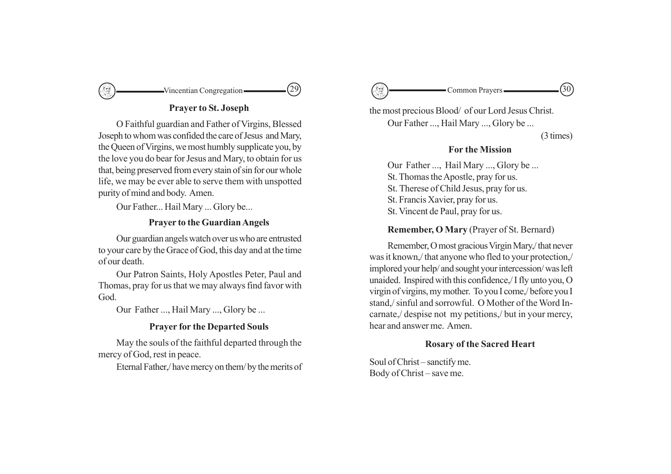

# **Prayer to St. Joseph**

O Faithful guardian and Father of Virgins, Blessed Joseph to whom was confided the care of Jesus and Mary, the Queen of Virgins, we most humbly supplicate you, by the love you do bear for Jesus and Mary, to obtain for us that, being preserved from every stain of sin for our whole life, we may be ever able to serve them with unspotted purity of mind and body. Amen.

Our Father... Hail Mary ... Glory be...

# **Prayer to the Guardian Angels**

Our guardian angels watch over us who are entrusted to your care by the Grace of God, this day and at the time of our death.

Our Patron Saints, Holy Apostles Peter, Paul and Thomas, pray for us that we may always find favor with God.

Our Father ..., Hail Mary ..., Glory be ...

# **Prayer for the Departed Souls**

May the souls of the faithful departed through the mercy of God, rest in peace.

Eternal Father,/ have mercy on them/ by the merits of



the most precious Blood/ of our Lord Jesus Christ. Our Father ..., Hail Mary ..., Glory be ...

(3 times)

# **For the Mission**

Our Father ..., Hail Mary ..., Glory be ... St. Thomas the Apostle, pray for us. St. Therese of Child Jesus, pray for us. St. Francis Xavier, pray for us. St. Vincent de Paul, pray for us.

**Remember, O Mary** (Prayer of St. Bernard)

Remember, O most gracious Virgin Mary,/ that never was it known,/ that anyone who fled to your protection,/ implored your help/ and sought your intercession/ was left unaided. Inspired with this confidence,/ I fly unto you, O virgin of virgins, my mother. To you I come,/ before you I stand,/ sinful and sorrowful. O Mother of the Word Incarnate,/ despise not my petitions,/ but in your mercy, hear and answer me. Amen.

# **Rosary of the Sacred Heart**

Soul of Christ – sanctify me. Body of Christ – save me.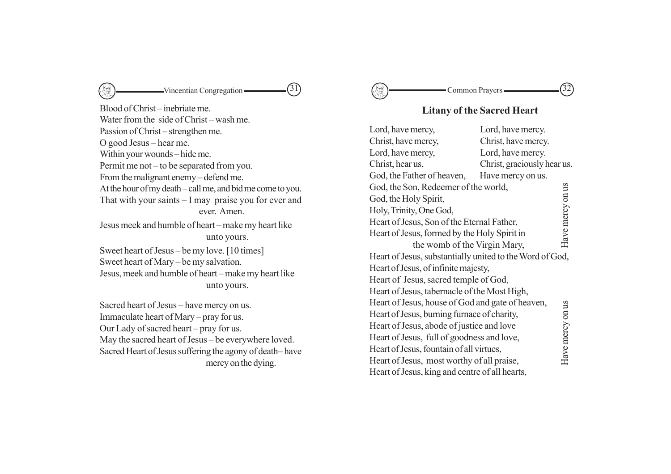$\longleftarrow$  Vincentian Congregation  $\longleftarrow$  (31) S

Blood of Christ – inebriate me. Water from the side of Christ – wash me. Passion of Christ – strengthen me. O good Jesus – hear me. Within your wounds – hide me. Permit me not – to be separated from you. From the malignant enemy – defend me. At the hour of my death – call me, and bid me come to you. That with your saints – I may praise you for ever and ever. Amen. Jesus meek and humble of heart – make my heart like unto yours. Sweet heart of Jesus – be my love. [10 times] Sweet heart of Mary – be my salvation. Jesus, meek and humble of heart – make my heart like unto yours.

Sacred heart of Jesus – have mercy on us. Immaculate heart of Mary – pray for us. Our Lady of sacred heart – pray for us. May the sacred heart of Jesus – be everywhere loved. Sacred Heart of Jesus suffering the agony of death– have mercy on the dying.

Common Prayers  $\qquad \qquad \qquad \qquad \textbf{(32)}$ 

# **Litany of the Sacred Heart**

| Lord, have mercy,                                        | Lord, have mercy.           |                  |
|----------------------------------------------------------|-----------------------------|------------------|
| Christ, have mercy,                                      | Christ, have mercy.         |                  |
| Lord, have mercy,                                        | Lord, have mercy.           |                  |
| Christ, hear us,                                         | Christ, graciously hear us. |                  |
| God, the Father of heaven,                               | Have mercy on us.           |                  |
| God, the Son, Redeemer of the world,                     |                             |                  |
| God, the Holy Spirit,                                    |                             |                  |
| Holy, Trinity, One God,                                  |                             |                  |
| Heart of Jesus, Son of the Eternal Father,               |                             | Have mercy on us |
| Heart of Jesus, formed by the Holy Spirit in             |                             |                  |
| the womb of the Virgin Mary,                             |                             |                  |
| Heart of Jesus, substantially united to the Word of God, |                             |                  |
| Heart of Jesus, of infinite majesty,                     |                             |                  |
| Heart of Jesus, sacred temple of God,                    |                             |                  |
| Heart of Jesus, tabernacle of the Most High,             |                             |                  |
| Heart of Jesus, house of God and gate of heaven,         |                             |                  |
| Heart of Jesus, burning furnace of charity,              |                             |                  |
| Heart of Jesus, abode of justice and love                |                             |                  |
| Heart of Jesus, full of goodness and love,               |                             |                  |
| Heart of Jesus, fountain of all virtues,                 |                             | Have mercy on us |
| Heart of Jesus, most worthy of all praise,               |                             |                  |
| Heart of Jesus, king and centre of all hearts,           |                             |                  |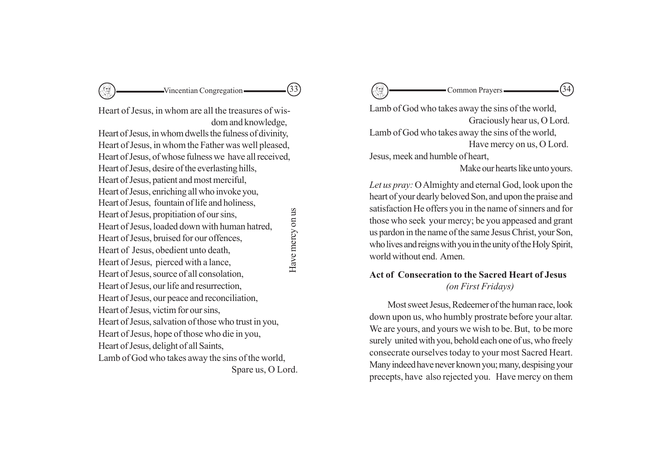Vincentian Congregation Common Prayers

Heart of Jesus, in whom are all the treasures of wisdom and knowledge, Heart of Jesus, in whom dwells the fulness of divinity,

Heart of Jesus, in whom the Father was well pleased, Heart of Jesus, of whose fulness we have all received, Heart of Jesus, desire of the everlasting hills, Heart of Jesus, patient and most merciful, Heart of Jesus, enriching all who invoke you, Heart of Jesus, fountain of life and holiness, Heart of Jesus, propitiation of our sins, Heart of Jesus, loaded down with human hatred, Heart of Jesus, bruised for our offences, Heart of Jesus, obedient unto death, Heart of Jesus, pierced with a lance, Heart of Jesus, source of all consolation, Heart of Jesus, our life and resurrection, Heart of Jesus, our peace and reconciliation, Heart of Jesus, victim for our sins, Heart of Jesus, salvation of those who trust in you, Heart of Jesus, hope of those who die in you,

Heart of Jesus, delight of all Saints, Lamb of God who takes away the sins of the world,

Spare us, O Lord.

Have mercy on us Have mercy on us

Lamb of God who takes away the sins of the world, Graciously hear us, O Lord. Lamb of God who takes away the sins of the world, Have mercy on us, O Lord. Jesus, meek and humble of heart, Make our hearts like unto yours.

*Let us pray:* O Almighty and eternal God, look upon the heart of your dearly beloved Son, and upon the praise and satisfaction He offers you in the name of sinners and for those who seek your mercy; be you appeased and grant us pardon in the name of the same Jesus Christ, your Son, who lives and reigns with you in the unity of the Holy Spirit, world without end. Amen.

# **Act of Consecration to the Sacred Heart of Jesus** *(on First Fridays)*

Most sweet Jesus, Redeemer of the human race, look down upon us, who humbly prostrate before your altar. We are yours, and yours we wish to be. But, to be more surely united with you, behold each one of us, who freely consecrate ourselves today to your most Sacred Heart. Many indeed have never known you; many, despising your precepts, have also rejected you. Have mercy on them

Common Prayers  $\qquad \qquad (34)$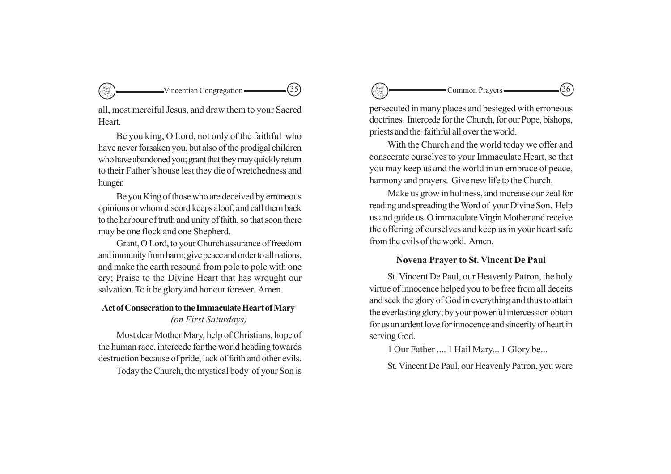$\sim$ Vincentian Congregation  $\sim$  (35)

all, most merciful Jesus, and draw them to your Sacred **Heart**.

Be you king, O Lord, not only of the faithful who have never forsaken you, but also of the prodigal children who have abandoned you; grant that they may quickly return to their Father's house lest they die of wretchedness and hunger.

Be you King of those who are deceived by erroneous opinions or whom discord keeps aloof, and call them back to the harbour of truth and unity of faith, so that soon there may be one flock and one Shepherd.

Grant, O Lord, to your Church assurance of freedom and immunity from harm; give peace and order to all nations, and make the earth resound from pole to pole with one cry; Praise to the Divine Heart that has wrought our salvation. To it be glory and honour forever. Amen.

# **Act of Consecration to the Immaculate Heart of Mary** *(on First Saturdays)*

Most dear Mother Mary, help of Christians, hope of the human race, intercede for the world heading towards destruction because of pride, lack of faith and other evils. Today the Church, the mystical body of your Son is persecuted in many places and besieged with erroneous doctrines. Intercede for the Church, for our Pope, bishops, priests and the faithful all over the world.

Common Prayers

With the Church and the world today we offer and consecrate ourselves to your Immaculate Heart, so that you may keep us and the world in an embrace of peace, harmony and prayers. Give new life to the Church.

Make us grow in holiness, and increase our zeal for reading and spreading the Word of your Divine Son. Help us and guide us O immaculate Virgin Mother and receive the offering of ourselves and keep us in your heart safe from the evils of the world. Amen.

# **Novena Prayer to St. Vincent De Paul**

St. Vincent De Paul, our Heavenly Patron, the holy virtue of innocence helped you to be free from all deceits and seek the glory of God in everything and thus to attain the everlasting glory; by your powerful intercession obtain for us an ardent love for innocence and sincerity of heart in serving God.

1 Our Father .... 1 Hail Mary... 1 Glory be...

St. Vincent De Paul, our Heavenly Patron, you were

$$
\overbrace{\phantom{1361}}(36)
$$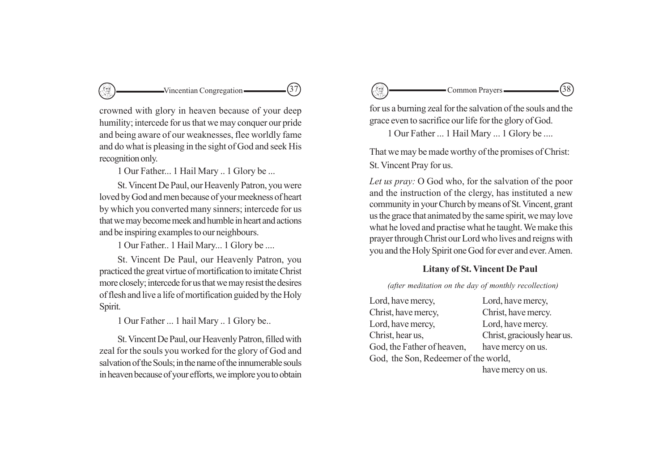

crowned with glory in heaven because of your deep humility; intercede for us that we may conquer our pride and being aware of our weaknesses, flee worldly fame and do what is pleasing in the sight of God and seek His recognition only.

1 Our Father... 1 Hail Mary .. 1 Glory be ...

St. Vincent De Paul, our Heavenly Patron, you were loved by God and men because of your meekness of heart by which you converted many sinners; intercede for us that we may become meek and humble in heart and actions and be inspiring examples to our neighbours.

1 Our Father.. 1 Hail Mary... 1 Glory be ....

St. Vincent De Paul, our Heavenly Patron, you practiced the great virtue of mortification to imitate Christ more closely; intercede for us that we may resist the desires of flesh and live a life of mortification guided by the Holy Spirit.

1 Our Father ... 1 hail Mary .. 1 Glory be..

St. Vincent De Paul, our Heavenly Patron, filled with zeal for the souls you worked for the glory of God and salvation of the Souls; in the name of the innumerable souls in heaven because of your efforts, we implore you to obtain

Common Prayers  $\qquad \qquad \qquad \qquad \textbf{(38)}$ 

for us a burning zeal for the salvation of the souls and the grace even to sacrifice our life for the glory of God.

1 Our Father ... 1 Hail Mary ... 1 Glory be ....

That we may be made worthy of the promises of Christ: St. Vincent Pray for us.

*Let us pray:* O God who, for the salvation of the poor and the instruction of the clergy, has instituted a new community in your Church by means of St. Vincent, grant us the grace that animated by the same spirit, we may love what he loved and practise what he taught. We make this prayer through Christ our Lord who lives and reigns with you and the Holy Spirit one God for ever and ever. Amen.

# **Litany of St. Vincent De Paul**

#### *(after meditation on the day of monthly recollection)*

| Lord, have mercy,                               |  |  |
|-------------------------------------------------|--|--|
| Christ, have mercy.                             |  |  |
| Lord, have mercy.                               |  |  |
| Christ, graciously hear us.                     |  |  |
| God, the Father of heaven,<br>have mercy on us. |  |  |
| God, the Son, Redeemer of the world,            |  |  |
|                                                 |  |  |

have mercy on us.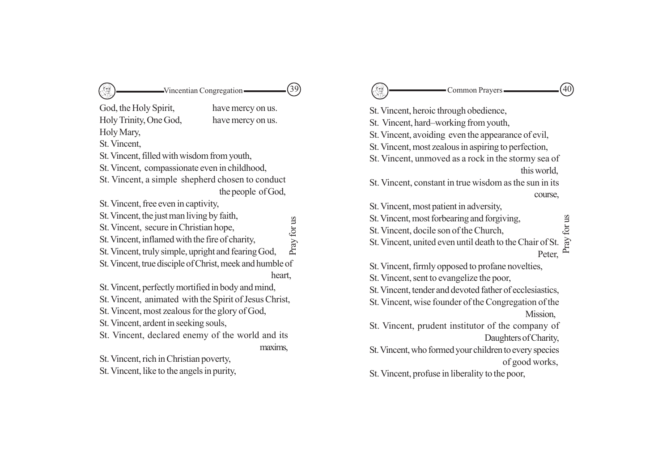| (39)                                                                                                                                                                                                                                                                                                                                                                                                                              | 40                                                                                                                                                                                                                                                                                                                                                                                                                                                                                     |
|-----------------------------------------------------------------------------------------------------------------------------------------------------------------------------------------------------------------------------------------------------------------------------------------------------------------------------------------------------------------------------------------------------------------------------------|----------------------------------------------------------------------------------------------------------------------------------------------------------------------------------------------------------------------------------------------------------------------------------------------------------------------------------------------------------------------------------------------------------------------------------------------------------------------------------------|
| $\mathbb{S}$                                                                                                                                                                                                                                                                                                                                                                                                                      | - Common Prayers -                                                                                                                                                                                                                                                                                                                                                                                                                                                                     |
| -Vincentian Congregation-                                                                                                                                                                                                                                                                                                                                                                                                         | 신경                                                                                                                                                                                                                                                                                                                                                                                                                                                                                     |
| God, the Holy Spirit,<br>have mercy on us.<br>Holy Trinity, One God,<br>have mercy on us.<br>Holy Mary,<br>St. Vincent,<br>St. Vincent, filled with wisdom from youth,<br>St. Vincent, compassionate even in childhood,<br>St. Vincent, a simple shepherd chosen to conduct<br>the people of God,<br>St. Vincent, free even in captivity,<br>St. Vincent, the just man living by faith,<br>St. Vincent, secure in Christian hope, | St. Vincent, heroic through obedience,<br>St. Vincent, hard-working from youth,<br>St. Vincent, avoiding even the appearance of evil,<br>St. Vincent, most zealous in aspiring to perfection,<br>St. Vincent, unmoved as a rock in the stormy sea of<br>this world,<br>St. Vincent, constant in true wisdom as the sun in its<br>course,<br>St. Vincent, most patient in adversity,<br>St. Vincent, most forbearing and forgiving,<br>for us<br>St. Vincent, docile son of the Church, |
| Pray for us                                                                                                                                                                                                                                                                                                                                                                                                                       | Pray                                                                                                                                                                                                                                                                                                                                                                                                                                                                                   |
| St. Vincent, inflamed with the fire of charity,                                                                                                                                                                                                                                                                                                                                                                                   | St. Vincent, united even until death to the Chair of St.                                                                                                                                                                                                                                                                                                                                                                                                                               |
| St. Vincent, truly simple, upright and fearing God,                                                                                                                                                                                                                                                                                                                                                                               | Peter,                                                                                                                                                                                                                                                                                                                                                                                                                                                                                 |
| St. Vincent, true disciple of Christ, meek and humble of                                                                                                                                                                                                                                                                                                                                                                          | St. Vincent, firmly opposed to profane novelties,                                                                                                                                                                                                                                                                                                                                                                                                                                      |
| heart,                                                                                                                                                                                                                                                                                                                                                                                                                            | St. Vincent, sent to evangelize the poor,                                                                                                                                                                                                                                                                                                                                                                                                                                              |
| St. Vincent, perfectly mortified in body and mind,                                                                                                                                                                                                                                                                                                                                                                                | St. Vincent, tender and devoted father of ecclesiastics,                                                                                                                                                                                                                                                                                                                                                                                                                               |
| St. Vincent, animated with the Spirit of Jesus Christ,                                                                                                                                                                                                                                                                                                                                                                            | St. Vincent, wise founder of the Congregation of the                                                                                                                                                                                                                                                                                                                                                                                                                                   |
| St. Vincent, most zealous for the glory of God,                                                                                                                                                                                                                                                                                                                                                                                   | Mission,                                                                                                                                                                                                                                                                                                                                                                                                                                                                               |
| St. Vincent, ardent in seeking souls,                                                                                                                                                                                                                                                                                                                                                                                             | St. Vincent, prudent institutor of the company of                                                                                                                                                                                                                                                                                                                                                                                                                                      |
| St. Vincent, declared enemy of the world and its                                                                                                                                                                                                                                                                                                                                                                                  | Daughters of Charity,                                                                                                                                                                                                                                                                                                                                                                                                                                                                  |
| maxims,                                                                                                                                                                                                                                                                                                                                                                                                                           | St. Vincent, who formed your children to every species                                                                                                                                                                                                                                                                                                                                                                                                                                 |
| St. Vincent, rich in Christian poverty,                                                                                                                                                                                                                                                                                                                                                                                           | of good works,                                                                                                                                                                                                                                                                                                                                                                                                                                                                         |
| St. Vincent, like to the angels in purity,                                                                                                                                                                                                                                                                                                                                                                                        | St. Vincent, profuse in liberality to the poor,                                                                                                                                                                                                                                                                                                                                                                                                                                        |

| course,   |     |
|-----------|-----|
|           | g   |
| ir of St. | ĬŌ, |
| Peter,    |     |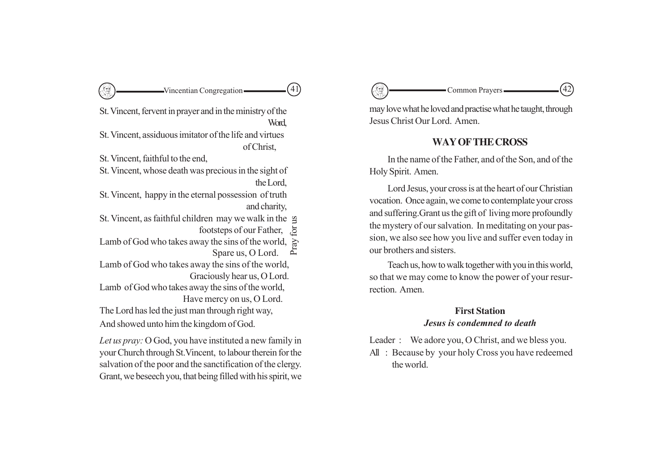# -Vincentian Congregation ————————————————————

St. Vincent, fervent in prayer and in the ministry of the **Word** 

St. Vincent, assiduous imitator of the life and virtues of Christ,

St. Vincent, faithful to the end,

St. Vincent, whose death was precious in the sight of the Lord,

St. Vincent, happy in the eternal possession of truth and charity,

St. Vincent, as faithful children may we walk in the

footsteps of our Father,

Lamb of God who takes away the sins of the world, Pray f

Spare us, O Lord.

Lamb of God who takes away the sins of the world, Graciously hear us, O Lord.

Lamb of God who takes away the sins of the world, Have mercy on us, O Lord.

The Lord has led the just man through right way,

And showed unto him the kingdom of God.

*Let us pray:* O God, you have instituted a new family in your Church through St.Vincent, to labour therein for the salvation of the poor and the sanctification of the clergy. Grant, we beseech you, that being filled with his spirit, we 41 42

may love what he loved and practise what he taught, through Jesus Christ Our Lord. Amen.

# **WAY OF THE CROSS**

In the name of the Father, and of the Son, and of the Holy Spirit. Amen.

Lord Jesus, your cross is at the heart of our Christian vocation. Once again, we come to contemplate your cross and suffering.Grant us the gift of living more profoundly the mystery of our salvation. In meditating on your passion, we also see how you live and suffer even today in our brothers and sisters.

Teach us, how to walk together with you in this world, so that we may come to know the power of your resurrection. Amen.

# **First Station**

*Jesus is condemned to death*

Leader : We adore you, O Christ, and we bless you. All : Because by your holy Cross you have redeemed the world.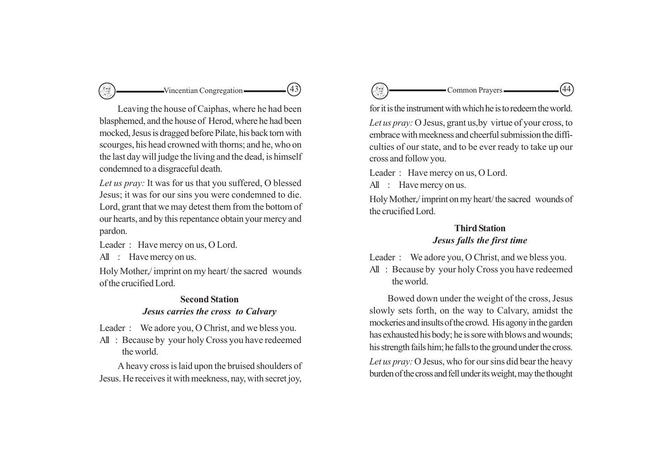# $\sim$ Vincentian Congregation  $\sim$  (43)

Leaving the house of Caiphas, where he had been blasphemed, and the house of Herod, where he had been mocked, Jesus is dragged before Pilate, his back torn with scourges, his head crowned with thorns; and he, who on the last day will judge the living and the dead, is himself condemned to a disgraceful death.

*Let us pray:* It was for us that you suffered, O blessed Jesus; it was for our sins you were condemned to die. Lord, grant that we may detest them from the bottom of our hearts, and by this repentance obtain your mercy and pardon.

Leader : Have mercy on us, O Lord.

All : Have mercy on us.

Holy Mother,/ imprint on my heart/ the sacred wounds of the crucified Lord.

# **Second Station** *Jesus carries the cross to Calvary*

Leader : We adore you, O Christ, and we bless you.

All : Because by your holy Cross you have redeemed the world.

A heavy cross is laid upon the bruised shoulders of Jesus. He receives it with meekness, nay, with secret joy,

Common Prayers  $\qquad \qquad \qquad \qquad \textbf{(44)}$ 

for it is the instrument with which he is to redeem the world.

*Let us pray:* O Jesus, grant us,by virtue of your cross, to embrace with meekness and cheerful submission the difficulties of our state, and to be ever ready to take up our cross and follow you.

Leader : Have mercy on us, O Lord. All : Have mercy on us.

Holy Mother,/ imprint on my heart/ the sacred wounds of the crucified Lord.

# **Third Station**

# *Jesus falls the first time*

Leader : We adore you, O Christ, and we bless you.

All : Because by your holy Cross you have redeemed the world.

Bowed down under the weight of the cross, Jesus slowly sets forth, on the way to Calvary, amidst the mockeries and insults of the crowd. His agony in the garden has exhausted his body; he is sore with blows and wounds; his strength fails him; he falls to the ground under the cross. *Let us pray:* O Jesus, who for our sins did bear the heavy burden of the cross and fell under its weight, may the thought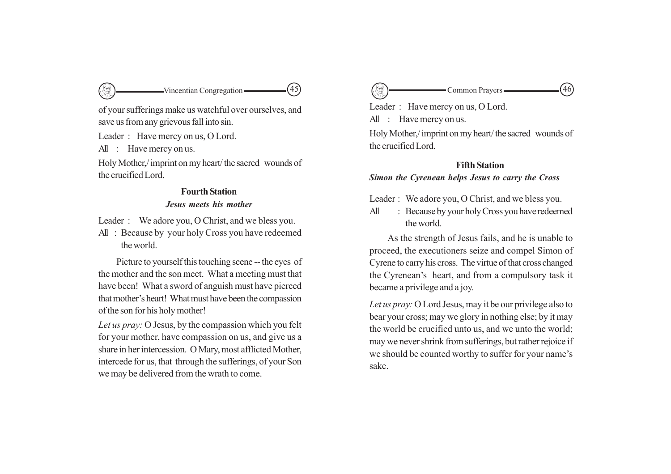

of your sufferings make us watchful over ourselves, and save us from any grievous fall into sin.

Leader : Have mercy on us, O Lord.

All : Have mercy on us.

Holy Mother,/ imprint on my heart/ the sacred wounds of the crucified Lord.

# **Fourth Station** *Jesus meets his mother*

Leader : We adore you, O Christ, and we bless you.

All : Because by your holy Cross you have redeemed the world.

Picture to yourself this touching scene -- the eyes of the mother and the son meet. What a meeting must that have been! What a sword of anguish must have pierced that mother's heart! What must have been the compassion of the son for his holy mother!

*Let us pray:* O Jesus, by the compassion which you felt for your mother, have compassion on us, and give us a share in her intercession. O Mary, most afflicted Mother, intercede for us, that through the sufferings, of your Son we may be delivered from the wrath to come.

Leader : Have mercy on us, O Lord. All : Have mercy on us. Holy Mother,/ imprint on my heart/ the sacred wounds of the crucified Lord. Common Prayers  $\qquad \qquad \qquad \qquad \qquad \qquad \qquad \qquad \textbf{(46)}$ 

# **Fifth Station**

*Simon the Cyrenean helps Jesus to carry the Cross*

Leader : We adore you, O Christ, and we bless you.

All : Because by your holy Cross you have redeemed the world.

As the strength of Jesus fails, and he is unable to proceed, the executioners seize and compel Simon of Cyrene to carry his cross. The virtue of that cross changed the Cyrenean's heart, and from a compulsory task it became a privilege and a joy.

*Let us pray:* O Lord Jesus, may it be our privilege also to bear your cross; may we glory in nothing else; by it may the world be crucified unto us, and we unto the world; may we never shrink from sufferings, but rather rejoice if we should be counted worthy to suffer for your name's sake.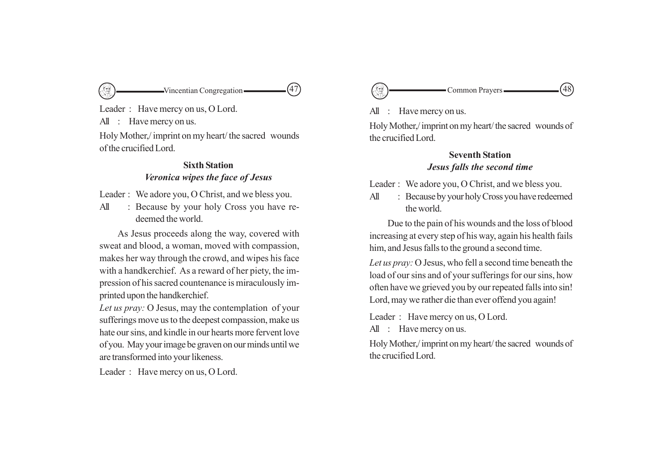

Leader : Have mercy on us, O Lord. All : Have mercy on us. Holy Mother,/ imprint on my heart/ the sacred wounds of the crucified Lord.

# **Sixth Station** *Veronica wipes the face of Jesus*

Leader : We adore you, O Christ, and we bless you.

All : Because by your holy Cross you have redeemed the world.

As Jesus proceeds along the way, covered with sweat and blood, a woman, moved with compassion, makes her way through the crowd, and wipes his face with a handkerchief. As a reward of her piety, the impression of his sacred countenance is miraculously imprinted upon the handkerchief.

*Let us pray:* O Jesus, may the contemplation of your sufferings move us to the deepest compassion, make us hate our sins, and kindle in our hearts more fervent love of you. May your image be graven on our minds until we are transformed into your likeness.

Leader : Have mercy on us, O Lord.



All : Have mercy on us.

Holy Mother,/ imprint on my heart/ the sacred wounds of the crucified Lord.

# **Seventh Station** *Jesus falls the second time*

Leader : We adore you, O Christ, and we bless you.

All : Because by your holy Cross you have redeemed the world.

Due to the pain of his wounds and the loss of blood increasing at every step of his way, again his health fails him, and Jesus falls to the ground a second time.

*Let us pray:* O Jesus, who fell a second time beneath the load of our sins and of your sufferings for our sins, how often have we grieved you by our repeated falls into sin! Lord, may we rather die than ever offend you again!

Leader : Have mercy on us, O Lord.

All : Have mercy on us.

Holy Mother,/ imprint on my heart/ the sacred wounds of the crucified Lord.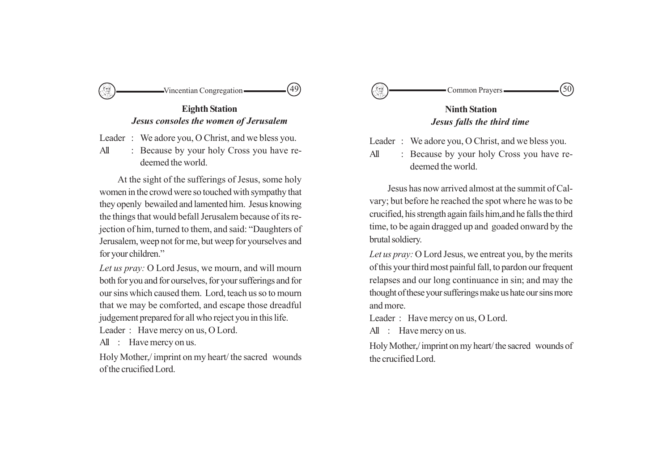

**Eighth Station** *Jesus consoles the women of Jerusalem*

Leader : We adore you, O Christ, and we bless you.

All : Because by your holy Cross you have redeemed the world.

At the sight of the sufferings of Jesus, some holy women in the crowd were so touched with sympathy that they openly bewailed and lamented him. Jesus knowing the things that would befall Jerusalem because of its rejection of him, turned to them, and said: "Daughters of Jerusalem, weep not for me, but weep for yourselves and for your children."

*Let us pray:* O Lord Jesus, we mourn, and will mourn both for you and for ourselves, for your sufferings and for our sins which caused them. Lord, teach us so to mourn that we may be comforted, and escape those dreadful judgement prepared for all who reject you in this life.

Leader : Have mercy on us, O Lord.

All : Have mercy on us.

Holy Mother,/ imprint on my heart/ the sacred wounds of the crucified Lord.



# **Ninth Station** *Jesus falls the third time*

Leader : We adore you, O Christ, and we bless you.

All : Because by your holy Cross you have redeemed the world.

Jesus has now arrived almost at the summit of Calvary; but before he reached the spot where he was to be crucified, his strength again fails him,and he falls the third time, to be again dragged up and goaded onward by the brutal soldiery.

*Let us pray:* O Lord Jesus, we entreat you, by the merits of this your third most painful fall, to pardon our frequent relapses and our long continuance in sin; and may the thought of these your sufferings make us hate our sins more and more.

Leader : Have mercy on us, O Lord.

All : Have mercy on us.

Holy Mother,/ imprint on my heart/ the sacred wounds of the crucified Lord.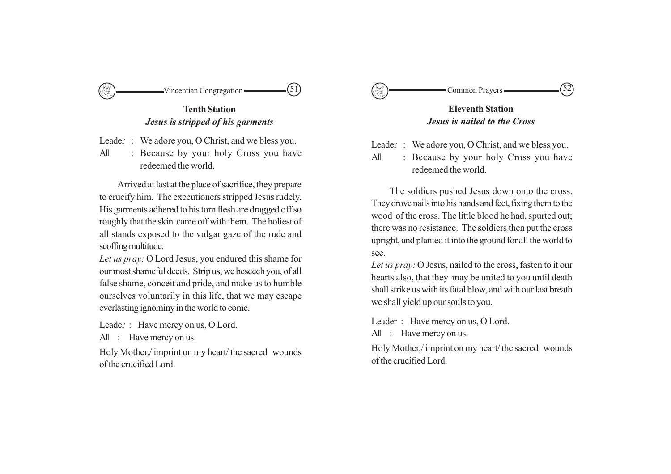

**Tenth Station** *Jesus is stripped of his garments*

Leader : We adore you, O Christ, and we bless you.

All : Because by your holy Cross you have redeemed the world.

Arrived at last at the place of sacrifice, they prepare to crucify him. The executioners stripped Jesus rudely. His garments adhered to his torn flesh are dragged off so roughly that the skin came off with them. The holiest of all stands exposed to the vulgar gaze of the rude and scoffing multitude.

*Let us pray:* O Lord Jesus, you endured this shame for our most shameful deeds. Strip us, we beseech you, of all false shame, conceit and pride, and make us to humble ourselves voluntarily in this life, that we may escape everlasting ignominy in the world to come.

Leader : Have mercy on us, O Lord.

All : Have mercy on us.

Holy Mother,/ imprint on my heart/ the sacred wounds of the crucified Lord.



# **Eleventh Station** *Jesus is nailed to the Cross*

- Leader : We adore you, O Christ, and we bless you.
- All : Because by your holy Cross you have redeemed the world.

The soldiers pushed Jesus down onto the cross. They drove nails into his hands and feet, fixing them to the wood of the cross. The little blood he had, spurted out; there was no resistance. The soldiers then put the cross upright, and planted it into the ground for all the world to see.

*Let us pray:* O Jesus, nailed to the cross, fasten to it our hearts also, that they may be united to you until death shall strike us with its fatal blow, and with our last breath we shall yield up our souls to you.

Leader : Have mercy on us, O Lord.

All : Have mercy on us.

Holy Mother,/ imprint on my heart/ the sacred wounds of the crucified Lord.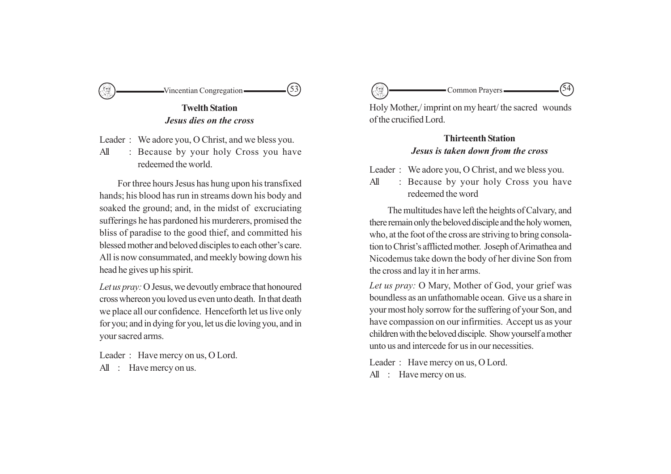

**Twelth Station** *Jesus dies on the cross*

Leader : We adore you, O Christ, and we bless you.

All : Because by your holy Cross you have redeemed the world.

For three hours Jesus has hung upon his transfixed hands; his blood has run in streams down his body and soaked the ground; and, in the midst of excruciating sufferings he has pardoned his murderers, promised the bliss of paradise to the good thief, and committed his blessed mother and beloved disciples to each other's care. All is now consummated, and meekly bowing down his head he gives up his spirit.

*Let us pray:* O Jesus, we devoutly embrace that honoured cross whereon you loved us even unto death. In that death we place all our confidence. Henceforth let us live only for you; and in dying for you, let us die loving you, and in your sacred arms.

Leader : Have mercy on us, O Lord. All : Have mercy on us.

Common Prayers.

Holy Mother,/ imprint on my heart/ the sacred wounds of the crucified Lord.

# **Thirteenth Station** *Jesus is taken down from the cross*

Leader : We adore you, O Christ, and we bless you.

All : Because by your holy Cross you have redeemed the word

The multitudes have left the heights of Calvary, and there remain only the beloved disciple and the holy women, who, at the foot of the cross are striving to bring consolation to Christ's afflicted mother. Joseph of Arimathea and Nicodemus take down the body of her divine Son from the cross and lay it in her arms.

*Let us pray:* O Mary, Mother of God, your grief was boundless as an unfathomable ocean. Give us a share in your most holy sorrow for the suffering of your Son, and have compassion on our infirmities. Accept us as your children with the beloved disciple. Show yourself a mother unto us and intercede for us in our necessities.

Leader : Have mercy on us, O Lord.

All : Have mercy on us.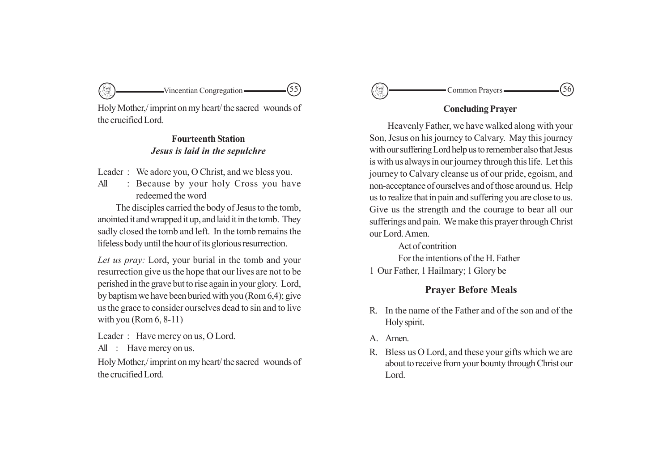Holy Mother,/ imprint on my heart/ the sacred wounds of the crucified Lord.

# **Fourteenth Station** *Jesus is laid in the sepulchre*

Leader : We adore you, O Christ, and we bless you.

All : Because by your holy Cross you have redeemed the word

The disciples carried the body of Jesus to the tomb, anointed it and wrapped it up, and laid it in the tomb. They sadly closed the tomb and left. In the tomb remains the lifeless body until the hour of its glorious resurrection.

*Let us pray:* Lord, your burial in the tomb and your resurrection give us the hope that our lives are not to be perished in the grave but to rise again in your glory. Lord, by baptism we have been buried with you (Rom 6,4); give us the grace to consider ourselves dead to sin and to live with you (Rom  $6, 8-11$ )

Leader : Have mercy on us, O Lord.

All : Have mercy on us.

Holy Mother,/ imprint on my heart/ the sacred wounds of the crucified Lord.



# **Concluding Prayer**

Heavenly Father, we have walked along with your Son, Jesus on his journey to Calvary. May this journey with our suffering Lord help us to remember also that Jesus is with us always in our journey through this life. Let this journey to Calvary cleanse us of our pride, egoism, and non-acceptance of ourselves and of those around us. Help us to realize that in pain and suffering you are close to us. Give us the strength and the courage to bear all our sufferings and pain. We make this prayer through Christ our Lord. Amen.

Act of contrition For the intentions of the H. Father 1 Our Father, 1 Hailmary; 1 Glory be

# **Prayer Before Meals**

- R. In the name of the Father and of the son and of the Holy spirit.
- A. Amen.
- R. Bless us O Lord, and these your gifts which we are about to receive from your bounty through Christ our Lord.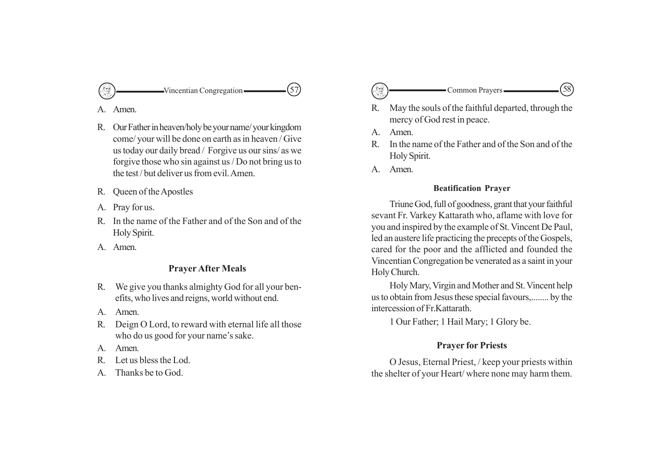

A. Amen.

- R. Our Father in heaven/holy be your name/ your kingdom come/ your will be done on earth as in heaven / Give us today our daily bread / Forgive us our sins/ as we forgive those who sin against us / Do not bring us to the test / but deliver us from evil. Amen.
- R. Queen of the Apostles
- A. Pray for us.
- R. In the name of the Father and of the Son and of the Holy Spirit.
- A. Amen.

# **Prayer After Meals**

- R. We give you thanks almighty God for all your benefits, who lives and reigns, world without end.
- A. Amen.
- R. Deign O Lord, to reward with eternal life all those who do us good for your name's sake.
- A. Amen.
- R. Let us bless the Lod.
- A. Thanks be to God.
- Vincentian Congregation  $\qquad (57)$   $\qquad \qquad$  Common Prayers  $\qquad \qquad$  (58)
	- R. May the souls of the faithful departed, through the mercy of God rest in peace.
	- A. Amen.
	- R. In the name of the Father and of the Son and of the Holy Spirit.
	- A. Amen.

# **Beatification Prayer**

Triune God, full of goodness, grant that your faithful sevant Fr. Varkey Kattarath who, aflame with love for you and inspired by the example of St. Vincent De Paul, led an austere life practicing the precepts of the Gospels, cared for the poor and the afflicted and founded the Vincentian Congregation be venerated as a saint in your Holy Church.

Holy Mary, Virgin and Mother and St. Vincent help us to obtain from Jesus these special favours,........ by the intercession of Fr.Kattarath.

1 Our Father; 1 Hail Mary; 1 Glory be.

# **Prayer for Priests**

O Jesus, Eternal Priest, / keep your priests within the shelter of your Heart/ where none may harm them.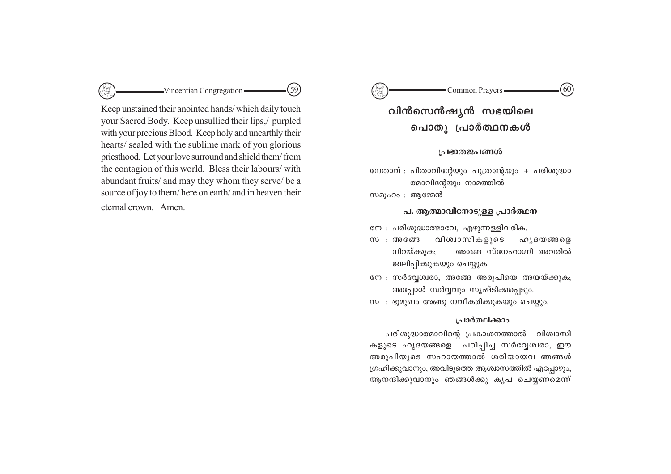

Keep unstained their anointed hands/which daily touch your Sacred Body. Keep unsullied their lips,/ purpled with your precious Blood. Keep holy and unearthly their hearts/ sealed with the sublime mark of you glorious priesthood. Let your love surround and shield them/from the contagion of this world. Bless their labours/ with abundant fruits/ and may they whom they serve/ be a source of joy to them/here on earth/ and in heaven their eternal crown. Amen.

#### G Common Prayers- $60^\circ$

വിൻസെൻഷ്യൻ സഭയിലെ പൊതു പ്രാർത്ഥനകൾ

#### പ്രഭാതജപങ്ങൾ

നേതാവ് : പിതാവിന്റേയും പുത്രന്റേയും + പരിശുദ്ധാ ത്മാവിന്റേയും നാമത്തിൽ

സമൂഹം : ആമ്മേൻ

### പ, ആത്മാവിനോടുള്ള പ്രാർത്ഥന

നേ : പരിശുദ്ധാത്മാവേ, എഴുന്നള്ളിവരിക.

- വിശ്വാസികളുടെ ഹൃദയങ്ങളെ  $m$  : അങ്ങേ നിറയ്ക്കുക; അങ്ങേ സ്നേഹാഗ്നി അവരിൽ ജ്വലിപ്പിക്കുകയും ചെയ്യുക.
- നേ : സർവ്വേശ്വരാ, അങ്ങേ അരൂപിയെ അയയ്ക്കുക; അപ്പോൾ സർവ്വവും സൃഷ്ടിക്കപ്പെടും.
- സ : ഭൂമുഖം അങ്ങു നവീകരിക്കുകയും ചെയ്യും.

#### പ്രാർത്ഥിക്കാം

പരിശുദ്ധാത്മാവിന്റെ പ്രകാശനത്താൽ വിശ്വാസി കളുടെ ഹൃദയങ്ങളെ പഠിപ്പിച്ച സർവ്വേശ്വരാ, ഈ അരൂപിയുടെ സഹായത്താൽ ശരിയായവ ഞങ്ങൾ ഗ്രഹിക്കുവാനും, അവിടുത്തെ ആശ്വാസത്തിൽ എപ്പോഴും, ആനന്ദിക്കുവാനും ഞങ്ങൾക്കു കൃപ ചെയ്യണമെന്ന്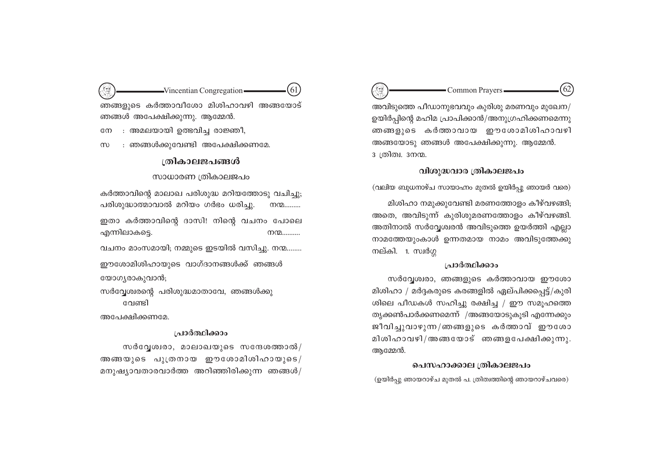Common Prayers-അവിടുത്തെ പീഡാനുഭവവും കുരിശു മരണവും മുഖേന/ ഉയിർപ്പിന്റെ മഹിമ പ്രാപിക്കാൻ/അനുഗ്രഹിക്കണമെന്നു ഞങ്ങളുടെ കർത്താവായ ഈശോമിശിഹാവഴി അങ്ങയോടു ഞങ്ങൾ അപേക്ഷിക്കുന്നു. ആമ്മേൻ. <u>3</u> ത്രിത്വ. 3നന്മ.

#### വിശുദ്ധവാര ത്രികാലജപം

(വലിയ ബുധനാഴ്ച സായാഹ്നം മുതൽ ഉയിർപ്പു ഞായർ വരെ)

മിശിഹാ നമുക്കുവേണ്ടി മരണത്തോളം കീഴ്വഴങ്ങി; അതെ, അവിടുന്ന് കുരിശുമരണത്തോളം കീഴ്വഴങ്ങി. അതിനാൽ സർവ്വേശ്വരൻ അവിടുത്തെ ഉയർത്തി എല്ലാ നാമത്തേയുംകാൾ ഉന്നതമായ നാമം അവിടുത്തേക്കു നല്കി. 1. സ്വർഗ്ഗ

#### ച്രാർത്ഥിക്കാം

സർവ്വേശ്വരാ, ഞങ്ങളുടെ കർത്താവായ ഈശോ മിശിഹാ / മർദ്ദകരുടെ കരങ്ങളിൽ ഏല്പിക്കപ്പെട്ട്/കുരി ശിലെ പീഡകൾ സഹിച്ചു രക്ഷിച്ച / ഈ സമൂഹത്തെ തൃക്കൺപാർക്കണമെന്ന് /അങ്ങയോടുകൂടി എന്നേക്കും ജീവിച്ചുവാഴുന്ന/ഞങ്ങളുടെ കർത്താവ് ഈശോ മിശിഹാവഴി/അങ്ങയോട് ഞങ്ങളപേക്ഷിക്കുന്നു. ആമ്മേൻ.

# പെസഹാക്കാല ത്രികാലജപം

(ഉയിർപ്പു ഞായറാഴ്ച മുതൽ പ. ത്രിത്വത്തിന്റെ ഞായറാഴ്ചവരെ)

 $\rightarrow$ Vincentian Congregation 61 ഞങ്ങളുടെ കർത്താവീശോ മിശിഹാവഴി അങ്ങയോട് ഞങ്ങൾ അപേക്ഷിക്കുന്നു. ആമ്മേൻ.

: അമലയായി ഉത്ഭവിച്ച രാജ്ഞീ.  $\mathbb{C}^{\infty}$ 

: ഞങ്ങൾക്കുവേണ്ടി അപേക്ഷിക്കണമേ.  $(m)$ 

### ത്രികാലജപങ്ങൾ

സാധാരണ ത്രികാലജപം

കർത്താവിന്റെ മാലാഖ പരിശുദ്ധ മറിയത്തോടു വചിച്ചു; പരിശുദ്ധാത്മാവാൽ മറിയം ഗർഭം ധരിച്ചു.  $m_1$ ഇതാ കർത്താവിന്റെ ദാസി! നിന്റെ വചനം പോലെ

എന്നിലാകട്ടെ.  $m_1$ 

വചനം മാംസമായി; നമ്മുടെ ഇടയിൽ വസിച്ചു. നന്മ……..

ഈശോമിശിഹായുടെ വാഗ്ദാനങ്ങൾക്ക് ഞങ്ങൾ യോഗ്യരാകുവാൻ;

സർവ്വേശ്വരന്റെ പരിശുദ്ധമാതാവേ, ഞങ്ങൾക്കു വേണ്ടി

അപേക്ഷിക്കണമേ.

#### പ്രാർത്ഥിക്കാം

സർവ്വേശ്വരാ, മാലാഖയുടെ സന്ദേശത്താൽ/ അങ്ങയുടെ പുത്രനായ ഈശോമിശിഹായുടെ/ മനുഷ്യാവതാരവാർത്ത അറിഞ്ഞിരിക്കുന്ന ഞങ്ങൾ/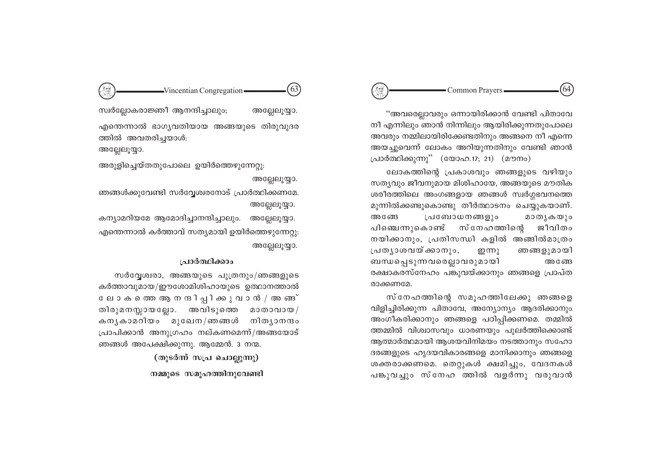# $\text{Vincentian Congregation}$  (63)  $\left(\begin{array}{c} \textcircled{3} \\ \textcircled{4} \end{array}\right)$  Common Prayers  $\qquad \qquad$  (64)

"അവരെല്ലാവരും ഒന്നായിരിക്കാൻ വേണ്ടി പിതാവേ  $\overline{m}$ ി എന്നിലും ഞാൻ നിന്നിലും ആയിരിക്കുന്നതുപോലെ അവരും നമ്മിലായിരിക്കേണ്ടതിനും അങ്ങനെ നീ എന്നെ അയചുവെന്ന് ലോകം അറിയുന്നതിനും വേണ്ടി ഞാൻ പ്രാർത്ഥിക്കുന്നു'' (യോഹ.17; 21) (മൗനം)

ലോകത്തിന്റെ പ്രകാശവും ഞങ്ങളുടെ വഴിയും സത്യവും ജീവനുമായ മിശിഹായേ, അങ്ങയുടെ മൗതിക ശരീരത്തിലെ അംഗങ്ങളായ ഞങ്ങൾ സ്വർഗ്ഗഭവനത്തെ മുന്നിൽക്കണ്ടുകൊണ്ടു തീർത്ഥാടനം ചെയ്യുകയാണ്. അങ്ങേ പ്രബോധനങ്ങളും മാതൃകയും പിഞ്ചെന്നുകൊണ്ട് സ്നേഹത്തിന്റെ ജീവിത**ം** നയിക്കാനും, പ്രതിസന്ധി കളിൽ അങ്ങിൽമാത്രം  $\lbrack$ പത്യാശവയ്ക്കാനും, ഇന്നു ഞങ്ങളുമായി ബന്ധപ്പെടുന്നവരെല്ലാവരുമായി അങ്ങേ രക്ഷാകരസ്നേഹം പങ്കുവയ്ക്കാനും ഞങ്ങളെ പ്രാപ്ത രാക്കണമേ.

സ്നേഹത്തിന്റെ സമൂഹത്തിലേക്കു ഞങ്ങളെ വിളിച്ചിരിക്കുന്ന പിതാവേ, അന്യോന്യം ആദരിക്കാനും അംഗീകരിക്കാനും ഞങ്ങളെ പഠിപ്പിക്കണമെ. തമ്മിൽ ത്തമ്മിൽ വിശ്വാസവും ധാരണയും പുലർത്തിക്കൊണ്ട് ആത്മാർത്ഥമായി ആശയവിനിമയം നടത്താനും സഹോ ദരങ്ങളുടെ ഹൃദയവികാരങ്ങളെ മാനിക്കാനും ഞങ്ങളെ ശക്തരാക്കണമെ. തെറ്റുകൾ ക്ഷമിച്ചും, വേദനകൾ പങ്കുവച്ചും സ്നേഹ ത്തിൽ വളർന്നു വരുവാൻ

സ്വർല്ലോകരാജ്ഞീ ആനന്ദിച്ചാലും; അല്ലേലുയ്യാ. എന്തെന്നാൽ ഭാഗൃവതിയായ അങ്ങയുടെ തിരുവുദര ത്തിൽ അവതരിച്ചയാൾ:

അല്ലേലൂയ്യാ.

അരുളിച്ചെയ്തതുപോലെ ഉയിർത്തെഴുന്നേറ്റു:

#### അല്ലേലൂയ്യാ.

 $\overline{r}$ ഞങ്ങൾക്കുവേണ്ടി സർവ്വേശ്വരനോട് പ്രാർത്ഥിക്കണമേ. അല്ലേലൂയ്യാ.

കന്യാമറിയമേ ആമോദിച്ചാനന്ദിച്ചാലും. അല്ലേലുയ്യാ. എന്തെന്നാൽ കർത്താവ് സതൃമായി ഉയിർത്തെഴുന്നേറ്റു: അല്ലേലൂയ്യാ.

# **<u>പ്രാർത്ഥിക്കാം</u>**

 $m$ ർവേശ്വരാ, അങ്ങയുടെ പുത്രനും/ഞങ്ങളുടെ കർത്താവുമായ/ഈശോമിശിഹായുടെ ഉത്ഥാനത്താൽ ലോകത്തെ ആ ന നദിപ്പിക്കുവാൻ / അം ങങ് തിരുമനസ്സായല്ലോ. അവിടുത്തെ മാതാവായ/ കനൃകാമറിയം മുഖേന/ഞങ്ങൾ നിതൃാനന്ദം  $[$ പാപിക്കാൻ അനുഗ്രഹം നല്കണമെന്ന്/അങ്ങയോട് ഞങ്ങൾ അപേക്ഷിക്കുന്നു. ആമ്മേൻ. 3 നന്മ.

> (തുടർന്ന് സ**പ്ര** ചൊല്ലുന്നു) **m**മ്മുടെ സമുഹത്തിനുവേണ്ടി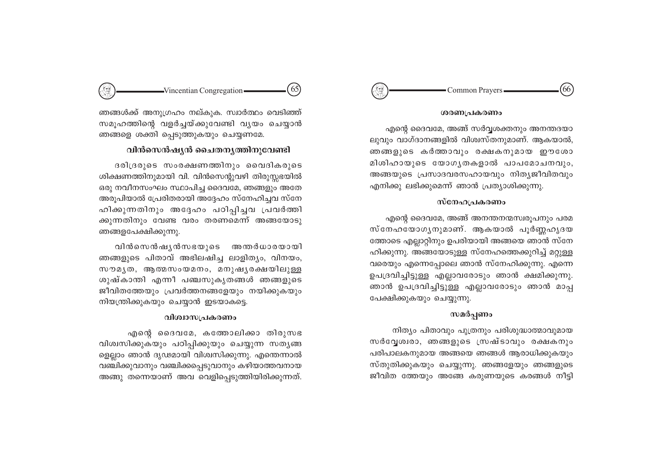#### $66$ Common Prayers

#### ശരണപ്രകരണം

എന്റെ ദൈവമേ, അങ്ങ് സർവ്വശക്തനും അനന്തദയാ ലുവും വാഗ്ദാനങ്ങളിൽ വിശ്വസ്തനുമാണ്. ആകയാൽ, ഞങ്ങളുടെ കർത്താവും രക്ഷകനുമായ ഈശോ മിശിഹായുടെ യോഗൃതകളാൽ പാപമോചനവും, അങ്ങയുടെ പ്രസാദവരസഹായവും നിത്യജീവിതവും എനിക്കു ലഭിക്കുമെന്ന് ഞാൻ പ്രത്യാശിക്കുന്നു.

#### സ്നേഹപ്രകരണം

എന്റെ ദൈവമേ, അങ്ങ് അനന്തനന്മസ്വരുപനും പരമ സ്നേഹയോഗൃനുമാണ്. ആകയാൽ പൂർണ്ണഹൃദയ ത്തോടെ എല്ലാറ്റിനും ഉപരിയായി അങ്ങയെ ഞാൻ സ്നേ ഹിക്കുന്നു. അങ്ങയോടുള്ള സ്നേഹത്തെക്കുറിച്ച് മറ്റുള്ള വരെയും എന്നെപ്പോലെ ഞാൻ സ്നേഹിക്കുന്നു. എന്നെ ഉപദ്രവിച്ചിട്ടുള്ള എല്ലാവരോടും ഞാൻ ക്ഷമിക്കുന്നു. ഞാൻ ഉപദ്രവിച്ചിട്ടുള്ള എല്ലാവരോടും ഞാൻ മാപ്പ പേക്ഷിക്കുകയും ചെയ്യുന്നു.

#### സമർപ്പണം

നിത്യം പിതാവും പുത്രനും പരിശുദ്ധാത്മാവുമായ സർവ്വേശ്വരാ, ഞങ്ങളുടെ സ്രഷ്ടാവും രക്ഷകനും പരിപാലകനുമായ അങ്ങയെ ഞങ്ങൾ ആരാധിക്കുകയും സ്തുതിക്കുകയും ചെയ്യുന്നു. ഞങ്ങളേയും ഞങ്ങളുടെ ജീവിത ത്തേയും അങ്ങേ കരുണയുടെ കരങ്ങൾ നീട്ടി



ഞങ്ങൾക്ക് അനുഗ്രഹം നല്കുക. സ്വാർത്ഥം വെടിഞ്ഞ് സമുഹത്തിന്റെ വളർച്ചയ്ക്കുവേണ്ടി വൃയം ചെയ്യാൻ ഞങ്ങളെ ശക്തി പ്പെടുത്തുകയും ചെയ്യണമേ.

# വിൻസെൻഷ്യൻ ചൈതന്യത്തിനുവേണ്ടി

ദരിദ്രരുടെ സംരക്ഷണത്തിനും വൈദികരുടെ ശിക്ഷണത്തിനുമായി വി. വിൻസെന്റുവഴി തിരുസ്സഭയിൽ ഒരു നവീനസംഘം സ്ഥാപിച്ച ദൈവമേ, ഞങ്ങളും അതേ അരൂപിയാൽ പ്രേരിതരായി അദ്ദേഹം സ്നേഹിച്ചവ സ്നേ ഹിക്കുന്നതിനും അദ്ദേഹം പഠിപ്പിച്ചവ പ്രവർത്തി ക്കുന്നതിനും വേണ്ട വരം തരണമെന്ന് അങ്ങയോടു ഞങ്ങളപേക്ഷിക്കുന്നു.

വിൻസെൻഷൃൻസഭയുടെ അന്തർധാരയായി ഞങ്ങളുടെ പിതാവ് അഭിലഷിച്ച ലാളിത്യം, വിനയം, സൗമൃത, ആത്മസംയമനം, മനുഷൃരക്ഷയിലുള്ള ശുഷ്കാന്തി എന്നീ പഞ്ചസുകൃതങ്ങൾ ഞങ്ങളുടെ ജീവിതത്തേയും പ്രവർത്തനങ്ങളേയും നയിക്കുകയും നിയന്ത്രിക്കുകയും ചെയ്യാൻ ഇടയാകട്ടെ.

#### വിശ്വാസപ്രകരണം

എന്റെ ദൈവമേ, കത്തോലിക്കാ തിരുസഭ വിശ്വസിക്കുകയും പഠിപ്പിക്കുയും ചെയ്യുന്ന സതൃങ്ങ ളെല്ലാം ഞാൻ ദൃഢമായി വിശ്വസിക്കുന്നു. എന്തെന്നാൽ വഞ്ചിക്കുവാനും വഞ്ചിക്കപ്പെടുവാനും കഴിയാത്തവനായ അങ്ങു തന്നെയാണ് അവ വെളിപ്പെടുത്തിയിരിക്കുന്നത്.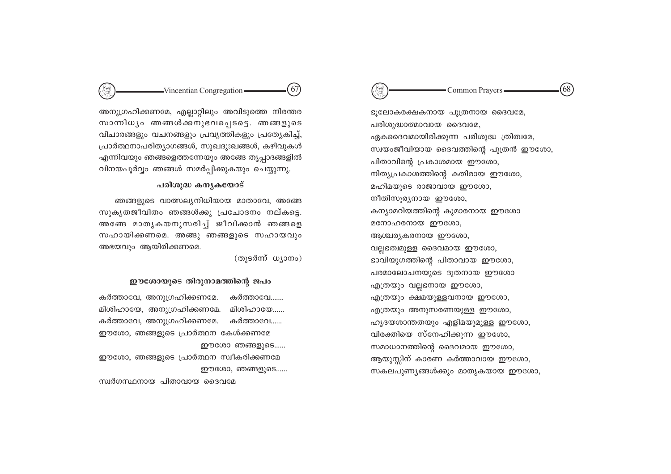ഭൂലോകരക്ഷകനായ പുത്രനായ ദൈവമേ, പരിശുദ്ധാത്മാവായ ദൈവമേ, ഏകദൈവമായിരിക്കുന്ന പരിശുദ്ധ ത്രിത്വമേ, സ്വയംജീവിയായ ദൈവത്തിന്റെ പുത്രൻ ഈശോ, പിതാവിന്റെ പ്രകാശമായ ഈശോ, നിത്യപ്രകാശത്തിന്റെ കതിരായ ഈശോ, മഹിമയുടെ രാജാവായ ഈശോ, നീതിസൂര്യനായ ഈശോ, കന്യാമറിയത്തിന്റെ കുമാരനായ ഈശോ മനോഹരനായ ഈശോ, ആശ്ചര്യകരനായ ഈശോ, വല്ലഭത്വമുള്ള ദൈവമായ ഈശോ, ഭാവിയുഗത്തിന്റെ പിതാവായ ഈശോ, പരമാലോചനയുടെ ദുതനായ ഈശോ എത്രയും വല്ലനോയ ഈശോ, എത്രയും ക്ഷമയുള്ളവനായ ഈശോ,

എത്രയും അനുസരണയുള്ള ഈശോ,

വിരക്തിയെ സ്നേഹിക്കുന്ന ഈശോ,

സമാധാനത്തിന്റെ ദൈവമായ ഈശോ,

ഹൃദയശാന്തതയും എളിമയുമുള്ള ഈശോ,

ആയുസ്സിന് കാരണ കർത്താവായ ഈശോ,

സകലപുണ്യങ്ങൾക്കും മാതൃകയായ ഈശോ,

 $68$ - Common Prayers -

 $67$  $-Vincentian Congregation$ 

അനുഗ്രഹിക്കണമേ, എല്ലാറ്റിലും അവിടുത്തെ നിരന്തര സാന്നിധ്യം ഞങ്ങൾക്കനുഭവപ്പെടട്ടെ. ഞങ്ങളുടെ വിചാരങ്ങളും വചനങ്ങളും പ്രവൃത്തികളും പ്രത്യേകിച്ച്, പ്രാർത്ഥനാപരിത്യാഗങ്ങൾ, സുഖദുഃഖങ്ങൾ, കഴിവുകൾ എന്നിവയും ഞങ്ങളെത്തന്നേയും അങ്ങേ തൃപ്പാദങ്ങളിൽ വിനയപൂർവ്വം ഞങ്ങൾ സമർപ്പിക്കുകയും ചെയ്യുന്നു.

## പരിശുദ്ധ കന്യകയോട്

ഞങ്ങളുടെ വാത്സലൃനിധിയായ മാതാവേ, അങ്ങേ സുകൃതജീവിതം ഞങ്ങൾക്കു പ്രചോദനം നല്കട്ടെ. അങ്ങേ മാതൃകയനുസരിച്ച് ജീവിക്കാൻ ഞങ്ങളെ സഹായിക്കണമെ. അങ്ങു ഞങ്ങളുടെ സഹായവും അഭയവും ആയിരിക്കണമെ.

(തുടർന്ന് ധ്യാനം)

#### ഈശോയുടെ തിരുനാമത്തിന്റെ ജപം

കർത്താവേ, അനുഗ്രഹിക്കണമേ. കർത്താവേ……. മിശിഹായേ, അനുഗ്രഹിക്കണമേ. മിശിഹായേ...... കർത്താവേ, അനുഗ്രഹിക്കണമേ. കർത്താവേ…… ഈശോ, ഞങ്ങളുടെ പ്രാർത്ഥന കേൾക്കണമേ ഈശോ ഞങ്ങളുടെ...... ഈശോ, ഞങ്ങളുടെ പ്രാർത്ഥന സ്വീകരിക്കണമേ ഈശോ, ഞങ്ങളുടെ......

സ്വർഗസ്ഥനായ പിതാവായ ദൈവമേ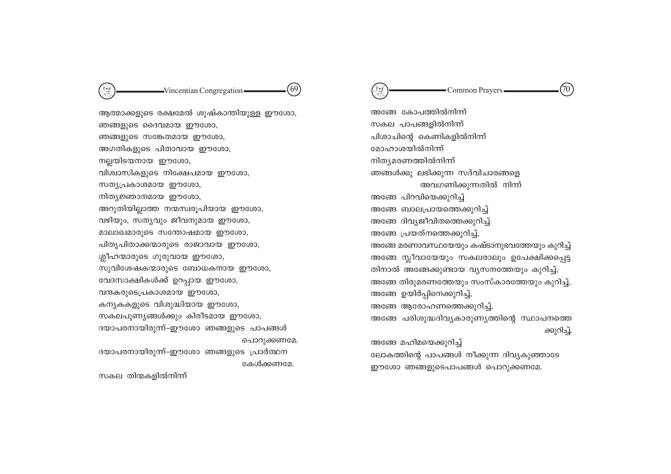ആത്മാക്കളുടെ രക്ഷമേൽ ശുഷ്കാന്തിയുള്ള ഈശോ, ഞങ്ങളുടെ ദൈവമായ ഈശോ, ഞങ്ങളുടെ സങ്കേതമായ ഈശോ, അഗതികളുടെ പിതാവായ ഈശോ, നല്ലയിടയനായ ഈശോ, വിശ്വാസികളുടെ നിക്ഷേപമായ ഈശോ, സത്യപ്രകാശമായ ഈശോ, നിത്യജ്ഞാനമായ ഈശോ, അറുതിയില്ലാത്ത നന്മസ്വരൂപിയായ ഈശോ, വഴിയും, സത്യവും ജീവനുമായ ഈശോ, മാലാഖമാരുടെ സന്തോഷമായ ഈശോ, പിതൃപിതാക്കന്മാരുടെ രാജാവായ ഈശോ, ശ്ലീഹന്മാരുടെ ഗുരുവായ ഈശോ, സുവിശേഷകന്മാരുടെ ബോധകനായ ഈശോ, വേദസാക്ഷികൾക്ക് ഉറപ്പായ ഈശോ, വന്ദകരുടെപ്രകാശമായ ഈശോ, കന്യകകളുടെ വിശുദ്ധിയായ ഈശോ, സകലപുണ്യങ്ങൾക്കും കിരീടമായ ഈശോ, ദയാപരനായിരുന്ന്-ഈശോ ഞങ്ങളുടെ പാപങ്ങൾ പൊറുക്കണമേ. ദയാപരനായിരുന്ന്-ഈശോ ഞങ്ങളുടെ പ്രാർത്ഥന കേൾക്കണമേ.

 $-Vincentian Congregation -$ 

 $(69)$ 

അങ്ങേ കോപത്തിൽനിന്ന് സകല പാപങ്ങളിൽനിന്ന് പിശാചിന്റെ കെണികളിൽനിന്ന് മോഹാശയിൽനിന്ന് നിത്യമരണത്തിൽനിന്ന് ഞങ്ങൾക്കു ലഭിക്കുന്ന സദ്വിചാരങ്ങളെ അവഗണിക്കുന്നതിൽ നിന്ന് അങ്ങേ പിറവിയെക്കുറിച്ച് അങ്ങേ ബാലപ്രായത്തെക്കുറിച്ച് അങ്ങേ ദിവ്യജീവിതത്തെക്കുറിച്ച് അങ്ങേ പ്രയത്നത്തെക്കുറിച്ച്, അങ്ങേ മരണാവസ്ഥയേയും കഷ്ടാനുഭവത്തേയും കുറിച്ച് അങ്ങേ സ്ലീവായേയും സകലരാലും ഉപേക്ഷിക്കപ്പെട്ട തിനാൽ അങ്ങേക്കുണ്ടായ വ്യസനത്തേയും കുറിച്ച്, അങ്ങേ തിരുമരണത്തേയും സംസ്കാരത്തേയും കുറിച്ച്, അങ്ങേ ഉയിർപ്പിനെക്കുറിച്ച്, അങ്ങേ ആരോഹണത്തെക്കുറിച്ച്, അങ്ങേ പരിശുദ്ധദിവ്യകാരുണ്യത്തിന്റെ സ്ഥാപനത്തെ ക്കുറിച്ച്, അങ്ങേ മഹിമയെക്കുറിച്ച്

ലോകത്തിന്റെ പാപങ്ങൾ നീക്കുന്ന ദിവ്യകുഞ്ഞാടേ

ഈശോ ഞങ്ങളുടെപാപങ്ങൾ പൊറുക്കണമേ.



സകല തിന്മകളിൽനിന്ന്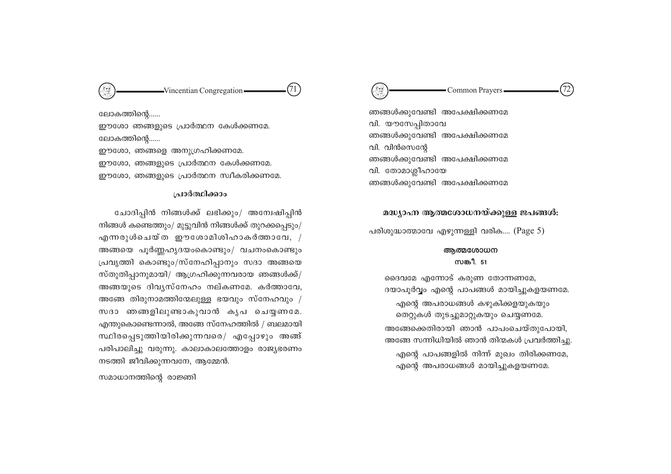

ഞങ്ങൾക്കുവേണ്ടി അപേക്ഷിക്കണമേ വി. യൗസേപിതാവേ ഞങ്ങൾക്കുവേണ്ടി അപേക്ഷിക്കണമേ വി. വിൻസെന്റേ ഞങ്ങൾക്കുവേണ്ടി അപേക്ഷിക്കണമേ വി. തോമാശ്ലീഹായേ ഞങ്ങൾക്കുവേണ്ടി അപേക്ഷിക്കണമേ

#### മദ്ധ്യാഹ്ന ആത്മശോധനയ്ക്കുള്ള ജപങ്ങൾ:

പരിശുദ്ധാത്മാവേ എഴുന്നള്ളി വരിക.... (Page 5)

#### അത്മശോധന സങ്കീ. 51

ദൈവമേ എന്നോട് കരുണ തോന്നണമേ, ദയാപൂർവ്വം എന്റെ പാപങ്ങൾ മായിച്ചുകളയണമേ. എന്റെ അപരാധങ്ങൾ കഴുകിക്കളയുകയും തെറ്റുകൾ തുടച്ചുമാറ്റുകയും ചെയ്യണമേ. അങ്ങേക്കെതിരായി ഞാൻ പാപംചെയ്തുപോയി, അങ്ങേ സന്നിധിയിൽ ഞാൻ തിന്മകൾ പ്രവർത്തിച്ചു. എന്റെ പാപങ്ങളിൽ നിന്ന് മുഖം തിരിക്കണമേ, എന്റെ അപരാധങ്ങൾ മായിച്ചുകളയണമേ.

 $(71)$  $-Vincentian Congregation -$ 

ലോകത്തിന്റെ…… ഈശോ ഞങ്ങളുടെ പ്രാർത്ഥന കേൾക്കണമേ. ലോകത്തിന്റെ…… ഈശോ, ഞങ്ങളെ അനുഗ്രഹിക്കണമേ.

ഈശോ, ഞങ്ങളുടെ പ്രാർത്ഥന കേൾക്കണമേ. ഈശോ, ഞങ്ങളുടെ പ്രാർത്ഥന സ്വീകരിക്കണമേ.

#### പ്രാർത്ഥിക്കാം

ചോദിപ്പിൻ നിങ്ങൾക്ക് ലഭിക്കും/ അന്വേഷിപ്പിൻ നിങ്ങൾ കണ്ടെത്തും/ മുട്ടുവിൻ നിങ്ങൾക്ക് തുറക്കപ്പെടും/  $\alpha$ എന്നരുൾചെയ്ത ഈശോമിശിഹാകർത്താവേ, / അങ്ങയെ പൂർണ്ണഹൃദയംകൊണ്ടും/ വചനംകൊണ്ടും പ്രവൃത്തി കൊണ്ടും/സ്നേഹിപ്പാനും സദാ അങ്ങയെ സ്തുതിപ്പാനുമായി/ ആഗ്രഹിക്കുന്നവരായ ഞങ്ങൾക്ക്/ അങ്ങയുടെ ദിവ്യസ്നേഹം നല്കണമേ. കർത്താവേ, അങ്ങേ തിരുനാമത്തിന്മേലുള്ള ഭയവും സ്നേഹവും / സദാ ഞങ്ങളിലുണ്ടാകുവാൻ കൃപ ചെയ്യണമേ. എന്തുകൊണ്ടെന്നാൽ, അങ്ങേ സ്നേഹത്തിൽ / ബലമായി സ്ഥിരപ്പെടുത്തിയിരിക്കുന്നവരെ/ എപ്പോഴും അങ്ങ് പരിപാലിച്ചു വരുന്നു. കാലാകാലത്തോളം രാജ്യഭരണം നടത്തി ജീവിക്കുന്നവനേ, ആമ്മേൻ.

സമാധാനത്തിന്റെ രാജ്ഞി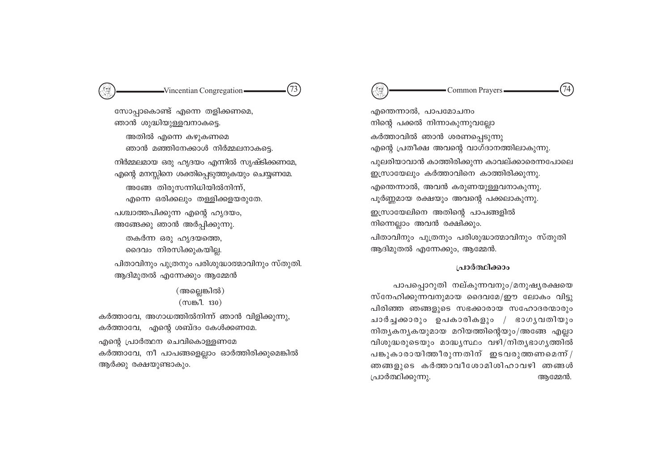സോപ്പാകൊണ്ട് എന്നെ തളിക്കണമെ, ഞാൻ ശുദ്ധിയുള്ളവനാകട്ടെ. അതിൽ എന്നെ കഴുകണമെ ഞാൻ മഞ്ഞിനേക്കാൾ നിർമ്മലനാകടെ.  $\Omega$ നിർമ്മലമായ ഒരു ഹൃദയം എന്നിൽ സൃഷ്ടിക്കണമേ, എന്റെ മനസ്സിനെ ശക്തിപ്പെടുത്തുകയും ചെയ്യണമേ. അങ്ങേതിരുസന്നിധിയിൽനിന്ന്, എന്നെ ഒരിക്കലും തള്ളിക്കളയരുതേ. പശ്ചാത്തപിക്കുന്ന എന്റെ ഹൃദയം, അങ്ങേക്കു ഞാൻ അർപ്പിക്കുന്നു. തകർന്ന ഒരു ഹൃദയത്തെ, ദൈവം നിരസിക്കുകയില്ല. പിതാവിനും പുത്രനും പരിശുദ്ധാത്മാവിനും സ്തുതി. ആദിമുതൽ എന്നേക്കും ആമ്മേൻ

> $(m$ ല്ലെങ്കിൽ $)$  $(m$ ങ്കീ. 130)

കർത്താവേ, അഗാധത്തിൽനിന്ന് ഞാൻ വിളിക്കുന്നു, കർത്താവേ, എന്റെ ശബ്ദം കേൾക്കണമേ.

<sup>.</sup>എന്റെ പ്രാർത്ഥന ചെവികൊള്ളണമേ കർത്താവേ, നീ പാപങ്ങളെല്ലാം ഓർത്തിരിക്കുമെങ്കിൽ ആർക്കു രക്ഷയുണ്ടാകും.

Vincentian Congregation  $(73)$   $(3)$ 

എന്തെന്നാൽ, പാപമോചനം നിന്റെ പക്കൽ നിന്നാകുന്നുവല്ലോ കർത്താവിൽ ഞാൻ ശരണപ്പെടുന്നു എന്റെ പ്രതീക്ഷ അവന്റെ വാഗ്ദാനത്തിലാകുന്നു. പുലരിയാവാൻ കാത്തിരിക്കുന്ന കാവല്ക്കാരെന്നപോലെ  $p_{\text{M}}(W)$ യേലും കർത്താവിനെ കാത്തിരിക്കുന്നു. എന്തെന്നാൽ, അവൻ കരുണയുള്ളവനാകുന്നു. പൂർണ്ണമായ രക്ഷയും അവന്റെ പക്കലാകുന്നു. ഇസ്രായേലിനെ അതിന്റെ പാപങ്ങളിൽ  $\Omega$ നിന്നെല്ലാം അവൻ രക്ഷിക്കും. പിതാവിനും പുത്രനും പരിശുദ്ധാത്മാവിനും സ്തുതി

#### ∤**പാർത്ഥിക്കാം**

ആദിമുതൽ എന്നേക്കും, ആമ്മേൻ.

പാപപ്പൊറുതി നല്കുന്നവനും/മനുഷൃരക്ഷയെ സ്നേഹിക്കുന്നവനുമായ ദൈവമേ/ഈ ലോകം വിട്ടു പിരിഞ്ഞ ഞങ്ങളുടെ സഭക്കാരായ സഹോദരന്മാരും ചാർച്ചക്കാരും ഉപകാരികളും / ഭാഗൃവതിയും  $\mathfrak{m}$ ]തൃകനൃകയുമായ മറിയത്തിന്റെയും/അങ്ങേ എല്ലാ വിശുദ്ധരുടെയും മാദ്ധ്യസ്ഥം വഴി $/$ നിതൃഭാഗൃത്തിൽ പങ്കുകാരായിത്തീരുന്നതിന് ഇടവരുത്തണമെന് $/$ ഞങ്ങളുടെ കർത്താവീശോമിശിഹാവഴി ഞങ്ങൾ {]m¿∞n°p∂p. BtΩ≥.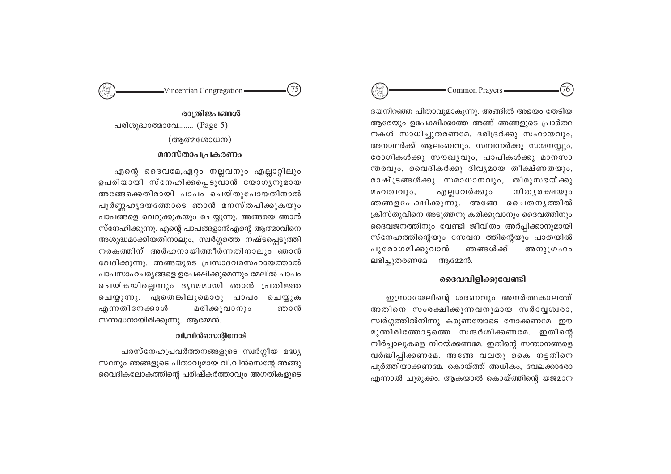# Vincentian Congregation  $(75)$   $(75)$  Common Prayers  $(76)$

ദയനിറഞ്ഞ പിതാവുമാകുന്നു. അങ്ങിൽ അഭയം തേടിയ ആരേയും ഉപേക്ഷിക്കാത്ത അങ്ങ് ഞങ്ങളുടെ പ്രാർത്ഥ നകൾ സാധിച്ചുതരണമേ. ദരിദ്രർക്കു സഹായവും, അനാഥർക്ക് ആലംബവും, സമ്പന്നർക്കു സന്മനസ്സും, രോഗികൾക്കു സൗഖൃവും, പാപികൾക്കു മാനസാ ന്തരവും, വൈദികർക്കു ദിവൃമായ തീക്ഷ്ണതയും, രാഷ്ട്രങ്ങൾക്കു സമാധാനവും, തിരുസഭയ്ക്കു മഹത⊥വും, എല്ലാവർക്കും നിതൃരക്ഷയും ഞങ്ങളപേക്ഷിക്കുന്നു. അങ്ങേ ചൈതനൃത്തിൽ  $\alpha$ പ്രിസ്തുവിനെ അടുത്തനു കരിക്കുവാനും ദൈവത്തിനും ദൈവജനത്തിനും വേണ്ടി ജീവിതം അർപ്പിക്കാനുമായി സ്നേഹത്തിന്റെയും സേവന ത്തിന്റെയും പാതയിൽ പുരോഗമിക്കുവാൻ ഞങ്ങൾക്ക് അനുത്രഹം ലഭിച്ചുതരണമേ ആമ്മേൻ.

#### **ൈവവിളിക്കുവേണ്ടി**

ഇന്ധായേലിന്റെ ശരണവും അനർത്ഥകാലത്ത് അതിനെ സംരക്ഷിക്കുന്നവനുമായ സർവ്വേശ്വരാ, സ്വർഗ്ഗത്തിൽനിന്നു കരുണയോടെ നോക്കണമേ. ഈ മുന്തിരിത്തോട്ടത്തെ സന്ദർശിക്കണമേ. ഇതിന്റെ നീർച്ചാലുകളെ നിറയ്ക്കണമേ. ഇതിന്റെ സന്താനങ്ങളെ വർദ്ധിപ്പിക്കണമേ. അങ്ങേ വലതു കൈ നട്ടതിനെ പൂർത്തിയാക്കണമേ. കൊയ്ത്ത് അധികം, വേലക്കാരോ എന്നാൽ ചുരുക്കം. ആകയാൽ കൊയ്ത്തിന്റെ യജമാന



രാത്രിജപങ്ങൾ പരിശുദ്ധാത്മാവേ........  $(Page 5)$  $(\text{mgon}(\text{g}x)$ ന്ത്യ

# **മനസ്താപപ്രകരണം**

എന്റെ ദൈവമേ,ഏറ്റം നല്ലവനും എല്ലാറ്റിലും ഉപരിയായി സ്നേഹിക്കപ്പെടുവാൻ യോഗൃനുമായ അങ്ങേക്കെതിരായി പാപം ചെയ്തുപോയതിനാൽ  $\Delta$ ുർണ്ണഹൃദയത്തോടെ ഞാൻ മനസ്തപിക്കുകയും പാപങ്ങളെ വെറുക്കുകയും ചെയ്യുന്നു. അങ്ങയെ ഞാൻ സ്നേഹിക്കുന്നു. എന്റെ പാപങ്ങളാൽഎന്റെ ആത്മാവിനെ അശുദ്ധമാക്കിയതിനാലും, സ്വർഗ്ഗത്തെ നഷ്ടപ്പെടുത്തി  $\mathfrak m$ രകത്തിന് അർഹനായിത്തീർന്നതിനാലും ഞാൻ ബേദിക്കുന്നു. അങ്ങയുടെ പ്രസാദവരസഹായത്താൽ പാപസാഹചര്യങ്ങളെ ഉപേക്ഷിക്കുമെന്നും മേലിൽ പാപം ചെയ്കയില്ലെന്നും ദൃഢമായി ഞാൻ <sub></sub>പ്രതിജ്ഞ ചെയ്യുന്നു. ഏതെങ്കിലുമൊരു പാപം ചെയ്യുക എന്നതിനേക്കാൾ മരിക്കുവാനും ഞാൻ സന്നദ്ധനായിരിക്കുന്നു. ആമ്മേൻ.

## *handam@ros*

പരസ്നേഹപ്രവർത്തനങ്ങളുടെ സ്വർഗ്ഗീയ മദ്ധ്യ  $\mu$ സ്ഥനും ഞങ്ങളുടെ പിതാവുമായ വി.വിൻസെന്റേ അങ്ങു വൈദികലോകത്തിന്റെ പരിഷ്കർത്താവും അഗതികളുടെ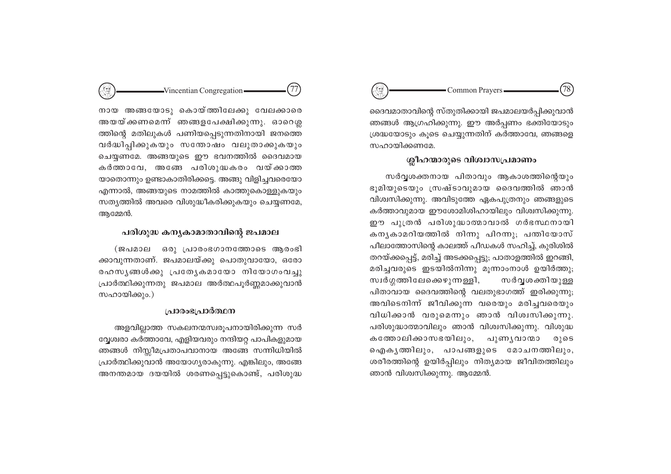#### $78$ Common Prayers-

ദൈവമാതാവിന്റെ സ്തുതിക്കായി ജപമാലയർപ്പിക്കുവാൻ ഞങ്ങൾ ആഗ്രഹിക്കുന്നു. ഈ അർപ്പണം ഭക്തിയോടും ശ്രദ്ധയോടും കുടെ ചെയ്യുന്നതിന് കർത്താവേ, ഞങ്ങളെ സഹായിക്കണമേ.

#### ശ്ലീഹന്മാരുടെ വിശ്വാസപ്രമാണം

സർവൃശക്തനായ പിതാവും ആകാശത്തിന്റെയും ഭൂമിയുടെയും സ്രഷ്ടാവുമായ ദൈവത്തിൽ ഞാൻ വിശ്വസിക്കുന്നു. അവിടുത്തേ ഏകപുത്രനും ഞങ്ങളുടെ കർത്താവുമായ ഈശോമിശിഹായിലും വിശ്വസിക്കുന്നു. ഈ പുത്രൻ പരിശുദ്ധാത്മാവാൽ ഗർഭസ്ഥനായി കനൃകാമറിയത്തിൽ നിന്നു പിറന്നു; പന്തിയോസ് പീലാത്തോസിന്റെ കാലത്ത് പീഡകൾ സഹിച്ച്, കുരിശിൽ തറയ്ക്കപ്പെട്ട്, മരിച്ച് അടക്കപ്പെട്ടു; പാതാളത്തിൽ ഇറങ്ങി, മരിച്ചവരുടെ ഇടയിൽനിന്നു മൂന്നാംനാൾ ഉയിർത്തു; സ്വർഗ്ഗത്തിലേക്കെഴുന്നള്ളി, സർവൃശക്തിയുള്ള പിതാവായ ദൈവത്തിന്റെ വലതുഭാഗത്ത് ഇരിക്കുന്നു; അവിടെനിന്ന ജീവിക്കുന്ന വരെയും മരിച്ചവരെയും വിധിക്കാൻ വരുമെന്നും ഞാൻ വിശ്വസിക്കുന്നു. പരിശുദ്ധാത്മാവിലും ഞാൻ വിശ്വസിക്കുന്നു. വിശുദ്ധ കത്തോലിക്കാസഭയിലും, പുണൃവാനമാ  $0,05$ ഐകൃത്തിലും, പാപങ്ങളുടെ മോചനത്തിലും, ശരീരത്തിന്റെ ഉയിർപ്പിലും നിത്യമായ ജീവിതത്തിലും ഞാൻ വിശ്വസിക്കുന്നു. ആമ്മേൻ.

നായ അങ്ങയോടു കൊയ്ത്തിലേക്കു വേലക്കാരെ അയയ്ക്കണമെന്ന് ഞങ്ങളപേക്ഷിക്കുന്നു. ഓറെശ്ല ത്തിന്റെ മതിലുകൾ പണിയപ്പെടുന്നതിനായി ജനത്തെ വർദ്ധിപ്പിക്കുകയും സന്തോഷം വലുതാക്കുകയും ചെയ്യണമേ. അങ്ങയുടെ ഈ ഭവനത്തിൽ ദൈവമായ കർത്താവേ, അങ്ങേ പരിശുദ്ധകരം വയ്ക്കാത്ത യാതൊന്നും ഉണ്ടാകാതിരിക്കട്ടെ. അങ്ങു വിളിച്ചവരെയോ എന്നാൽ, അങ്ങയുടെ നാമത്തിൽ കാത്തുകൊള്ളുകയും സത്യത്തിൽ അവരെ വിശുദ്ധീകരിക്കുകയും ചെയ്യണമേ, അമ്മേൻ.

-Vincentian Congregation-

(77

#### പരിശുദ്ധ കനൃകാമാതാവിന്റെ ജപമാല

(ജപമാല ഒരു പ്രാരംഭഗാനത്തോടെ ആരംഭി ക്കാവുന്നതാണ്. ജപമാലയ്ക്കു പൊതുവായോ, ഒരോ രഹസ്യങ്ങൾക്കു പ്രത്യേകമായോ നിയോഗംവച്ചു പ്രാർത്ഥിക്കുന്നതു ജപമാല അർത്ഥപൂർണ്ണമാക്കുവാൻ സഹായിക്കും.)

### പ്രാരംഭപ്രാർത്ഥന

അളവില്ലാത്ത സകലനന്മസ്വരൂപനായിരിക്കുന്ന സർ വ്വേശ്വരാ കർത്താവേ, എളിയവരും നന്ദിയറ്റ പാപികളുമായ ഞങ്ങൾ നിസ്സീമപ്രതാപവാനായ അങ്ങേ സന്നിധിയിൽ പ്രാർത്ഥിക്കുവാൻ അയോഗൃരാകുന്നു. എങ്കിലും, അങ്ങേ അനന്തമായ ദയയിൽ ശരണപ്പെട്ടുകൊണ്ട്, പരിശുദ്ധ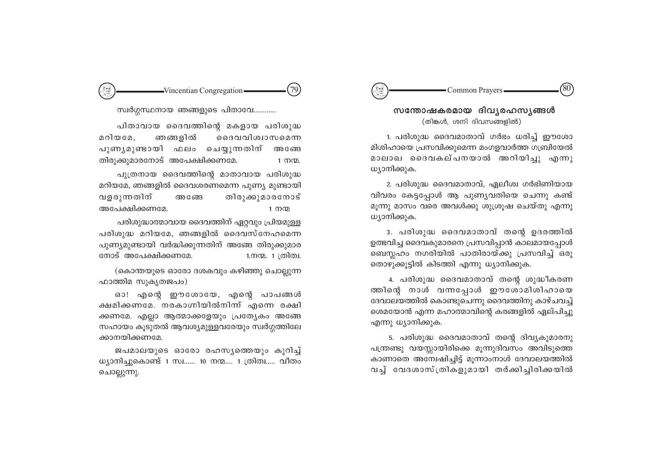# Common Prayers

# സന്തോഷകരമായ ദിവ്യരഹസ്യങ്ങൾ (തിങ്കൾ, ശനി ദിവസങ്ങളിൽ)

1. പരിശുദ്ധ ദൈവമാതാവ് ഗർഭം ധരിച്ച് ഈശോ മിശിഹായെ പ്രസവിക്കുമെന്ന മംഗളവാർത്ത ഗബ്രിയേൽ മാലാഖ ദൈവകല്പനയാൽ അറിയിച്ചു എന്നു ധ്യാനിക്കുക.

2. പരിശുദ്ധ ദൈവമാതാവ്, ഏലീശ്വ ഗർഭിണിയായ വിവരം കേട്ടപ്പോൾ ആ പുണ്യവതിയെ ചെന്നു കണ്ട് മൂന്നു മാസം വരെ അവൾക്കു ശുശ്രൂഷ ചെയ്തു എന്നു ധ്യാനിക്കുക.

3. പരിശുദ്ധ ദൈവമാതാവ് തന്റെ ഉദരത്തിൽ ഉത്ഭവിച്ച ദൈവകുമാരനെ പ്രസവിപ്പാൻ കാലമായപ്പോൾ ബെസ്ലഹം നഗരിയിൽ പാതിരായ്ക്കു പ്രസവിച്ച് ഒരു തൊഴുക്കൂട്ടിൽ കിടത്തി എന്നു ധ്യാനിക്കുക.

4. പരിശുദ്ധ ദൈവമാതാവ് തന്റെ ശുദ്ധീകരണ ത്തിന്റെ നാൾ വന്നപ്പോൾ ഈശോമിശിഹായെ ദേവാലയത്തിൽ കൊണ്ടുചെന്നു ദൈവത്തിനു കാഴ്ചവച്ച് ശെമയോൻ എന്ന മഹാത്മാവിന്റെ കരങ്ങളിൽ ഏല്പിച്ചു എന്നു ധ്യാനിക്കുക.

5. പരിശുദ്ധ ദൈവമാതാവ് തന്റെ ദിവ്യകുമാരനു പന്ത്രണ്ടു വയസ്സായിരിക്കെ മൂന്നുദിവസം അവിടുത്തെ കാണാതെ അമ്പേഷിച്ചിട്ട് മൂന്നാംനാൾ ദേവാലയത്തിൽ വച്ച് വേദശാസ്ത്രികളുമായി തർക്കിച്ചിരിക്കയിൽ

 $(79)$  $-Vincentian Congregation$ 

#### സ്വർഗ്ഗസ്ഥനായ ഞങ്ങളുടെ പിതാവേ............

പിതാവായ ദൈവത്തിന്റെ മകളായ പരിശുദ്ധ മറിയമേ. ഞങ്ങളിൽ ദൈവവിശ്വാസമെന്ന പുണൃമുണ്ടായി ഫലം ചെയ്യുന്നതിന് അ ങേ തിരുക്കുമാരനോട് അപേക്ഷിക്കണമേ.  $1 \text{ m}$  $\Omega$ . പുത്രനായ ദൈവത്തിന്റെ മാതാവായ പരിശുദ്ധ മറിയമേ, ഞങ്ങളിൽ ദൈവശരണമെന്ന പുണ്യ മുണ്ടായി വളരുന്നതിന് തിരുക്കുമാരനോട് അങ്ങേ അപേക്ഷിക്കണമേ.  $1 \text{ m}$ 

പരിശുദ്ധാത്മാവായ ദൈവത്തിന് ഏറ്റവും പ്രിയമുള്ള പരിശുദ്ധ മറിയമേ, ഞങ്ങളിൽ ദൈവസ്നേഹമെന്ന പുണ്യമുണ്ടായി വർദ്ധിക്കുന്നതിന് അങ്ങേ തിരുക്കുമാര നോട് അപേക്ഷിക്കണമേ. 1.നന്മ. 1 ത്രിത്വ.

(കൊന്തയുടെ ഓരോ ദശകവും കഴിഞ്ഞു ചൊല്ലുന്ന ഫാത്തിമ സുകൃതജപം)

ഓ! എന്റെ ഈശോയേ, എന്റെ പാപങ്ങൾ ക്ഷമിക്കണമേ. നരകാഗ്നിയിൽനിന്ന് എന്നെ രക്ഷി ക്കണമേ. എല്ലാ ആത്മാക്കളേയും പ്രത്യേകം അങ്ങേ സഹായം കൂടുതൽ ആവശ്യമുള്ളവരേയും സ്വർഗ്ഗത്തിലേ ക്കാനയിക്കണമേ.

ജപമാലയുടെ ഓരോ രഹസ്യത്തെയും കുറിച്ച് ധ്യാനിച്ചുകൊണ്ട് 1 സ്വ…… 10 നന്മ…. 1 ത്രിത്വ….. വീതം ചൊല്ലുന്നു.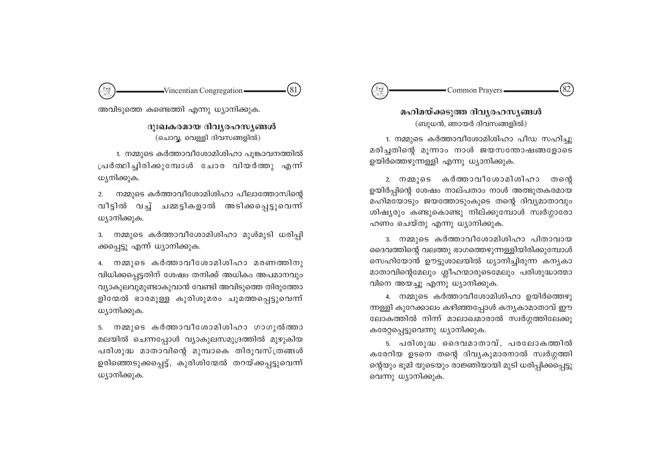# '82' Common Prayers -

മഹിമയ്ക്കടുത്ത ദിവൃരഹസൃങ്ങൾ (ബുധൻ, ഞായർ ദിവസങ്ങളിൽ)

1. നമ്മുടെ കർത്താവീശോമിശിഹാ പീഡ സഹിച്ചു മരിച്ചതിന്റെ മുന്നാം നാൾ ജയസന്തോഷങ്ങളോടെ ഉയിർത്തെഴുന്നള്ളി എന്നു ധ്യാനിക്കുക.

2. നമ്മുടെ കർത്താവീശോമിശിഹാ തന്റെ ഉയിർപ്പിന്റെ ശേഷം നാല്പതാം നാൾ അത്ഭുതകരമായ മഹിമയോടും ജയത്തോടുംകൂടെ തന്റെ ദിവ്യമാതാവും ശിഷ്യരും കണ്ടുകൊണ്ടു നില്ക്കുമ്പോൾ സ്വർഗ്ഗാരോ ഹണം ചെയ്തു എന്നു ധ്യാനിക്കുക.

3. നമ്മുടെ കർത്താവീശോമിശിഹാ പിതാവായ ദൈവത്തിന്റെ വലത്തു ഭാഗത്തെഴുന്നള്ളിയിരിക്കുമ്പോൾ സെഹിയോൻ ഊട്ടുശാലയിൽ ധ്യാനിച്ചിരുന്ന കന്യകാ മാതാവിന്റെമേലും ശ്ലീഹന്മാരുടെമേലും പരിശുദ്ധാത്മാ വിനെ അയച്ചു എന്നു ധ്യാനിക്കുക.

4. നമ്മുടെ കർത്താവീശോമിശിഹാ ഉയിർത്തെഴു ന്നള്ളി കുറേക്കാലം കഴിഞ്ഞപ്പോൾ കന്യകാമാതാവ് ഈ ലോകത്തിൽ നിന്ന് മാലാഖമാരാൽ സ്വർഗ്ഗത്തിലേക്കു കരേറ്റപ്പെട്ടുവെന്നു ധ്യാനിക്കുക.

5. പരിശുദ്ധ ദൈവമാതാവ്, പരലോകത്തിൽ കരേറിയ ഉടനെ തന്റെ ദിവ്യകുമാരനാൽ സ്വർഗ്ഗത്തി ന്റെയും ഭൂമി യുടെയും രാജ്ഞിയായി മുടി ധരിപ്പിക്കപ്പെട്ടു വെന്നു ധ്യാനിക്കുക.

(81) -Vincentian Congregation-

അവിടുത്തെ കണ്ടെത്തി എന്നു ധ്യാനിക്കുക.

ദുഃഖകരമായ ദിവൃരഹസ്യങ്ങൾ (ചൊവ്വ, വെള്ളി ദിവസങ്ങളിൽ)

1. നമ്മുടെ കർത്താവീശോമിശിഹാ പുങ്കാവനത്തിൽ പ്രർത്ഥിച്ചിരിക്കുമ്പോൾ ചോര വിയർത്തു എന്ന് ധ്യനിക്കുക.

നമ്മുടെ കർത്താവീശോമിശിഹാ പീലാത്തോസിന്റെ  $2.$ വീട്ടിൽ വച്ച് ചമ്മട്ടികളാൽ അടിക്കപ്പെട്ടുവെന്ന് ധ്യാനിക്കുക.

നമ്മുടെ കർത്താവീശോമിശിഹാ മുൾമുടി ധരിപ്പി  $3.$ ക്കപ്പെട്ടു എന്ന് ധ്യാനിക്കുക.

4. നമ്മുടെ കർത്താവീശോമിശിഹാ മരണത്തിനു വിധിക്കപ്പെട്ടതിന് ശേഷം തനിക്ക് അധികം അപമാനവും വ്യാകുലവുമുണ്ടാകുവാൻ വേണ്ടി അവിടുത്തെ തിരുത്തോ ളിന്മേൽ ഭാരമുള്ള കുരിശുമരം ചുമത്തപ്പെട്ടുവെന്ന് ധ്യാനിക്കുക.

5. നമ്മുടെ കർത്താവീശോമിശിഹാ ഗാഗുൽത്താ മലയിൽ ചെന്നപ്പോൾ വ്യാകുലസമുദ്രത്തിൽ മുഴുകിയ പരിശുദ്ധ മാതാവിന്റെ മുമ്പാകെ തിരുവസ്ത്രങ്ങൾ ഉരിഞ്ഞെടുക്കപ്പെട്ട്, കുരിശിന്മേൽ തറയ്ക്കപ്പട്ടുവെന്ന് ധ്യാനിക്കുക.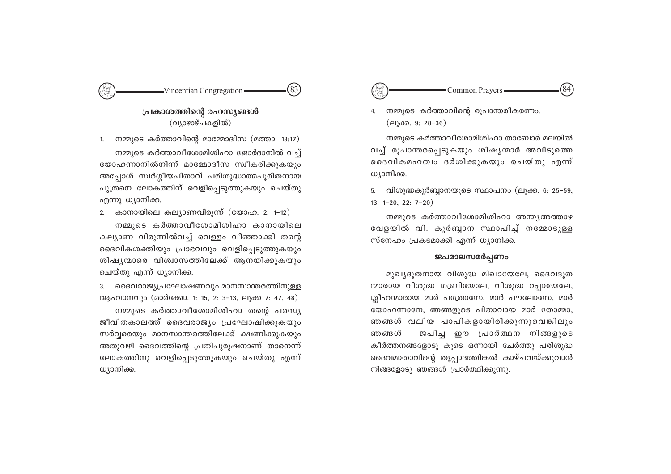# -Vincentian Congregation- $(83)$

# പ്രകാശത്തിന്റെ രഹസ്യങ്ങൾ (വ്യാഴാഴ്ചകളിൽ)

നമ്മുടെ കർത്താവിന്റെ മാമ്മോദീസ (മത്താ. 13:17) 1. നമ്മുടെ കർത്താവീശോമിശിഹാ ജോർദാനിൽ വച്ച് യോഹന്നാനിൽനിന്ന് മാമ്മോദീസ സ്വീകരിക്കുകയും അപ്പോൾ സ്വർഗ്ഗീയപിതാവ് പരിശുദ്ധാത്മപൂരിതനായ പുത്രനെ ലോകത്തിന് വെളിപ്പെടുത്തുകയും ചെയ്തു എന്നു ധ്യാനിക്ക.

2. കാനായിലെ കല്യാണവിരുന്ന് (യോഹ. 2: 1-12) നമ്മുടെ കർത്താവീശോമിശിഹാ കാനായിലെ കല്യാണ വിരുന്നിൽവച്ച് വെള്ളം വീഞ്ഞാക്കി തന്റെ ദൈവികശക്തിയും പ്രാഭവവും വെളിപ്പെടുത്തുകയും ശിഷ്യന്മാരെ വിശ്വാസത്തിലേക്ക് ആനയിക്കുകയും ചെയ്തു എന്ന് ധ്യാനിക്ക.

3. ദൈവരാജ്യപ്രഘോഷണവും മാനസാന്തരത്തിനുള്ള ആഹ്വാനവും (മാർക്കോ. 1: 15, 2: 3-13, ലൂക്ക 7: 47, 48)

നമ്മുടെ കർത്താവീശോമിശിഹാ തന്റെ പരസ്യ ജീവിതകാലത്ത് ദൈവരാജ്യം പ്രഘോഷിക്കുകയും സർവ്വരെയും മാനസാന്തരത്തിലേക്ക് ക്ഷണിക്കുകയും അതുവഴി ദൈവത്തിന്റെ പ്രതിപുരുഷനാണ് താനെന്ന് ലോകത്തിനു വെളിപ്പെടുത്തുകയും ചെയ്തു എന്ന് ധ്യാനിക്ക.

Common Prayers -

നമ്മുടെ കർത്താവിന്റെ രൂപാന്തരീകരണം. 4. (ലൂക്ക. 9: 28-36)

നമ്മുടെ കർത്താവീശോമിശിഹാ താബോർ മലയിൽ വച്ച് രൂപാന്തരപ്പെടുകയും ശിഷ്യന്മാർ അവിടുത്തെ ദൈവികമഹത്വം ദർശിക്കുകയും ചെയ്തു എന്ന് ധ്യാനിക്ക.

5. വിശുദ്ധകുർബ്ബാനയുടെ സ്ഥാപനം (ലുക്ക. 6: 25-59,  $13: 1-20, 22: 7-20$ 

നമ്മുടെ കർത്താവീശോമിശിഹാ അന്ത്യഅത്താഴ വേളയിൽ വി. കുർബ്ബാന സ്ഥാപിച്ച് നമ്മോടുള്ള സ്നേഹം പ്രകടമാക്കി എന്ന് ധ്യാനിക്ക.

# ജപമാലസമർപ്പണം

മുഖ്യദൂതനായ വിശുദ്ധ മിഖായേലേ, ദൈവദൂത ന്മാരായ വിശുദ്ധ ഗബ്രിയേലേ, വിശുദ്ധ റപ്പായേലേ, ശ്നീഹന്മാരായ മാർ പത്രോസേ, മാർ പൗലോസേ, മാർ യോഹന്നാനേ, ഞങ്ങളുടെ പിതാവായ മാർ തോമ്മാ, ഞങ്ങൾ വലിയ പാപികളായിരിക്കുന്നുവെങ്കിലും ജപിച്ച ഈ പ്രാർത്ഥന നിങ്ങളുടെ ഞങ്ങൾ കീർത്തനങ്ങളോടു കൂടെ ഒന്നായി ചേർത്തു പരിശുദ്ധ ദൈവമാതാവിന്റെ തൃപ്പാദത്തിങ്കൽ കാഴ്ചവയ്ക്കുവാൻ നിങ്ങളോടു ഞങ്ങൾ പ്രാർത്ഥിക്കുന്നു.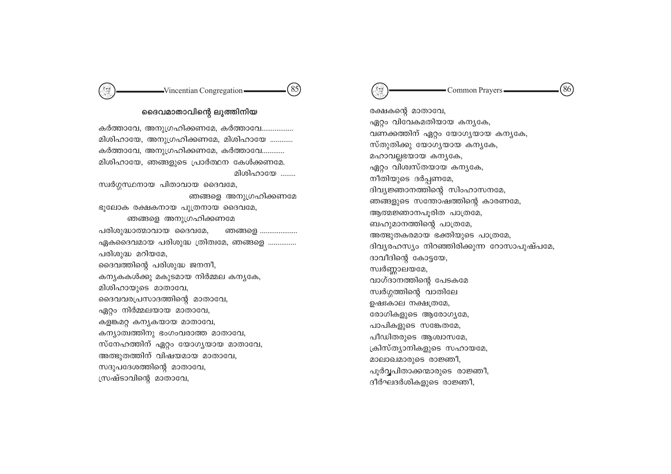#### -Vincentian Congregation- $(85)$

# ദൈവമാതാവിന്റെ ലുത്തിനിയ

കർത്താവേ, അനുഗ്രഹിക്കണമേ, കർത്താവേ................ മിശിഹായേ, അനുഗ്രഹിക്കണമേ, മിശിഹായേ ............ കർത്താവേ, അനുഗ്രഹിക്കണമേ, കർത്താവേ............ മിശിഹായേ, ഞങ്ങളുടെ പ്രാർത്ഥന കേൾക്കണമേ. മിശിഹായേ ........ സ്വർഗ്ഗസ്ഥനായ പിതാവായ ദൈവമേ, ഞങ്ങളെ അനുഗ്രഹിക്കണമേ ഭൂലോക രക്ഷകനായ പുത്രനായ ദൈവമേ, ഞങ്ങളെ അനുഗ്രഹിക്കണമേ പരിശുദ്ധാത്മാവായ ദൈവമേ, ഞങ്ങളെ .................... ഏകദൈവമായ പരിശുദ്ധ ത്രിത്വമേ, ഞങ്ങളെ ............... പരിശുദ്ധ മറിയമേ, ദൈവത്തിന്റെ പരിശുദ്ധ ജനനീ, കന്യകകൾക്കു മകുടമായ നിർമ്മല കന്യകേ, മിശിഹായുടെ മാതാവേ, ദൈവവരപ്രസാദത്തിന്റെ മാതാവേ, ഏറ്റം നിർമ്മലയായ മാതാവേ, കളങ്കമറ്റ കന്യകയായ മാതാവേ, കന്യാത്വത്തിനു ഭംഗംവരാത്ത മാതാവേ, സ്നേഹത്തിന് ഏറ്റം യോഗ്യയായ മാതാവേ, അത്ഭുതത്തിന് വിഷയമായ മാതാവേ, സദുപദേശത്തിന്റെ മാതാവേ, സ്രഷ്ടാവിന്റെ മാതാവേ,



രക്ഷകന്റെ മാതാവേ, ഏറ്റം വിവേകമതിയായ കന്യകേ, വണക്കത്തിന് ഏറ്റം യോഗ്യയായ കന്യകേ, സ്തുതിക്കു യോഗൃയായ കന്യകേ, മഹാവല്ലഭയായ കന്യകേ, ഏറ്റം വിശ്വസ്തയായ കന്യകേ, നീതിയുടെ ദർപ്പണമേ, ദിവ്യജ്ഞാനത്തിന്റെ സിംഹാസനമേ, ഞങ്ങളുടെ സന്തോഷത്തിന്റെ കാരണമേ, ആത്മജ്ഞാനപുരിത പാത്രമേ, ബഹുമാനത്തിന്റെ പാത്രമേ, അത്ഭുതകരമായ ഭക്തിയുടെ പാത്രമേ, ദിവ്യരഹസ്യം നിറഞ്ഞിരിക്കുന്ന റോസാപുഷ്പമേ, ദാവീദിന്റെ കോട്ടയേ, സ്വർണ്ണാലയമേ, വാഗ്ദാനത്തിന്റെ പേടകമേ സ്വർഗ്ഗത്തിന്റെ വാതിലേ ഉഷഃകാല നക്ഷത്രമേ, രോഗികളുടെ ആരോഗ്യമേ, പാപികളുടെ സങ്കേതമേ, പീഡിതരുടെ ആശ്വാസമേ, ക്രിസ്ത്യാനികളുടെ സഹായമേ, മാലാഖമാരുടെ രാജ്ഞീ, പൂർവ്വപിതാക്കന്മാരുടെ രാജ്ഞീ, ദീർഘദർശികളുടെ രാജ്ഞീ,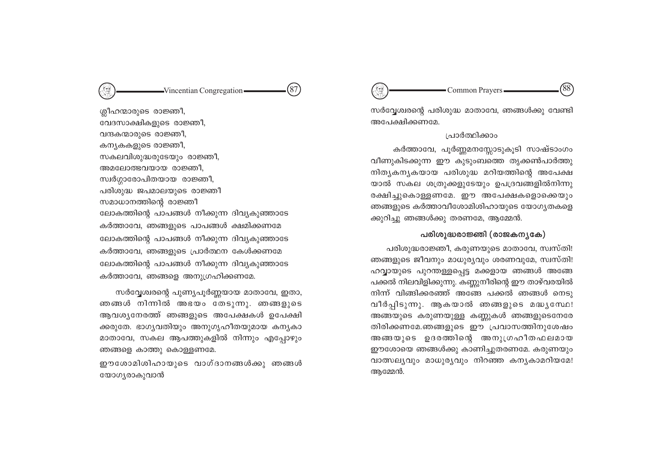#### $(87)$ -Vincentian Congregation-

ശ്ലീഹന്മാരുടെ രാജ്ഞീ, വേദസാക്ഷികളുടെ രാജ്ഞീ, വന്ദകന്മാരുടെ രാജ്ഞീ, കന്യകകളുടെ രാജ്ഞീ, സകലവിശുദ്ധരുടേയും രാജ്ഞീ, അമലോത്ഭവയായ രാജ്ഞീ, സ്വർഗ്ഗാരോപിതയായ രാജ്ഞീ, പരിശുദ്ധ ജപമാലയുടെ രാജ്ഞീ സമാധാനത്തിന്റെ രാജ്ഞീ ലോകത്തിന്റെ പാപങ്ങൾ നീക്കുന്ന ദിവ്യകുഞ്ഞാടേ കർത്താവേ, ഞങ്ങളുടെ പാപങ്ങൾ ക്ഷമിക്കണമേ ലോകത്തിന്റെ പാപങ്ങൾ നീക്കുന്ന ദിവ്യകുഞ്ഞാടേ കർത്താവേ, ഞങ്ങളുടെ പ്രാർത്ഥന കേൾക്കണമേ ലോകത്തിന്റെ പാപങ്ങൾ നീക്കുന്ന ദിവ്യകുഞ്ഞാടേ കർത്താവേ, ഞങ്ങളെ അനുഗ്രഹിക്കണമേ.

സർവ്വേശ്വരന്റെ പുണ്യപൂർണ്ണയായ മാതാവേ, ഇതാ, ഞങ്ങൾ നിന്നിൽ അഭയം തേടുന്നു. ഞങ്ങളുടെ ആവശ്യനേരത്ത് ഞങ്ങളുടെ അപേക്ഷകൾ ഉപേക്ഷി ക്കരുതേ. ഭാഗൃവതിയും അനുഗൃഹീതയുമായ കനൃകാ മാതാവേ, സകല ആപത്തുകളിൽ നിന്നും എപ്പോഴും ഞങ്ങളെ കാത്തു കൊള്ളണമേ.

ഈശോമിശിഹായുടെ വാഗ്ദാനങ്ങൾക്കു ഞങ്ങൾ യോഗ്യരാകുവാൻ

'88 Common Prayers-

സർവ്വേശ്വരന്റെ പരിശുദ്ധ മാതാവേ, ഞങ്ങൾക്കു വേണ്ടി അപേക്ഷിക്കണമേ.

#### ശ്രശ്രിക്കാം

കർത്താവേ, പൂർണ്ണമനസ്സോടുകൂടി സാഷ്ടാംഗം വീണുകിടക്കുന്ന ഈ കുടുംബത്തെ തൃക്കൺപാർത്തു നിത്യകന്യകയായ പരിശുദ്ധ മറിയത്തിന്റെ അപേക്ഷ യാൽ സകല ശത്രുക്കളുടേയും ഉപദ്രവങ്ങളിൽനിന്നു രക്ഷിച്ചുകൊള്ളണമേ. ഈ അപേക്ഷകളൊക്കെയും ഞങ്ങളുടെ കർത്താവീശോമിശിഹായുടെ യോഗൃതകളെ ക്കുറിച്ചു ഞങ്ങൾക്കു തരണമേ, ആമ്മേൻ.

#### പരിശുദ്ധരാജ്ഞി (രാജകന്യകേ)

പരിശുദ്ധരാജ്ഞീ, കരുണയുടെ മാതാവേ, സ്വസ്തി! ഞങ്ങളുടെ ജീവനും മാധുര്യവും ശരണവുമേ, സ്വസ്തി! ഹവ്വായുടെ പുറന്തള്ളപ്പെട്ട മക്കളായ ഞങ്ങൾ അങ്ങേ പക്കൽ നിലവിളിക്കുന്നു. കണ്ണുനീരിന്റെ ഈ താഴ്വരയിൽ നിന്ന് വിങ്ങിക്കരഞ്ഞ് അങ്ങേ പക്കൽ ഞങ്ങൾ നെടു വീർപ്പിടുന്നു. ആകയാൽ ഞങ്ങളുടെ മദ്ധ്യസേഥ! അങ്ങയുടെ കരുണയുള്ള കണ്ണുകൾ ഞങ്ങളുടെനേരേ തിരിക്കണമേ.ഞങ്ങളുടെ ഈ പ്രവാസത്തിനുശേഷം അങ്ങയുടെ ഉദരത്തിന്റെ അനുഗ്രഹീതഫലമായ ഈശോയെ ഞങ്ങൾക്കു കാണിച്ചുതരണമേ. കരുണയും വാത്സലൃവും മാധുരൃവും നിറഞ്ഞ കനൃകാമറിയമേ! അമ്മേൻ.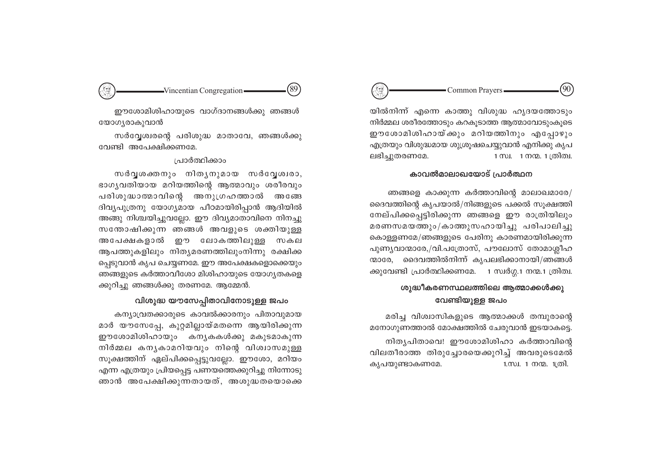#### $90^\circ$ Common Prayers -

യിൽനിന്ന് എന്നെ കാത്തു വിശുദ്ധ ഹൃദയത്തോടും നിർമ്മല ശരീരത്തോടും കറകുടാത്ത ആത്മാവോടുംകുടെ ഈശോമിശിഹായ്ക്കും മറിയത്തിനും എപ്പോഴും എത്രയും വിശുദ്ധമായ ശുശ്രുഷചെയ്യവാൻ എനിക്കു കൃപ ലഭിച്ചുതരണമേ. 1 സ്വ. 1 നന്മ. 1 ത്രിത്വ.

#### കാവൽമാലാഖയോട് പ്രാർത്ഥന

ഞങ്ങളെ കാക്കുന്ന കർത്താവിന്റെ മാലാഖമാരേ/ ദൈവത്തിന്റെ കൃപയാൽ/നിങ്ങളുടെ പക്കൽ സുക്ഷത്തി നേല്പിക്കപ്പെട്ടിരിക്കുന്ന ഞങ്ങളെ ഈ രാത്രിയിലും മരണസമയത്തും/കാത്തുസഹായിച്ചു പരിപാലിച്ചു കൊള്ളണമേ/ഞങ്ങളുടെ പേരിനു കാരണമായിരിക്കുന്ന പുണ്യവാന്മാരേ,/വി.പത്രോസ്, പൗലോസ് തോമാശ്ലീഹ ന്മാരേ, ദൈവത്തിൽനിന്ന് കൃപലഭിക്കാനായി/ഞങ്ങൾ ക്കുവേണ്ടി പ്രാർത്ഥിക്കണമേ. 1 സ്വർഗ്ഗ.1 നന്മ.1 ത്രിത്വ.

# ശുദ്ധീകരണസ്ഥലത്തിലെ ആത്മാക്കൾക്കു വേണ്ടിയുള്ള ജപം

മരിച്ച വിശ്വാസികളുടെ ആത്മാക്കൾ തമ്പുരാന്റെ മനോഗുണത്താൽ മോക്ഷത്തിൽ ചേരുവാൻ ഇടയാകട്ടെ. നിതൃപിതാവെ! ഈശോമിശിഹാ കർത്താവിന്റെ വിലതീരാത്ത തിരുച്ചോരയെക്കുറിച്ച് അവരുടെമേൽ കൃപയുണ്ടാകണമേ. 1.സ്വ. 1 നന്മ. 1ത്രി.



ഈശോമിശിഹായുടെ വാഗ്ദാനങ്ങൾക്കു ഞങ്ങൾ യോഗ്യരാകുവാൻ

സർവ്വേശ്വരന്റെ പരിശുദ്ധ മാതാവേ, ഞങ്ങൾക്കു വേണ്ടി അപേക്ഷിക്കണമേ.

#### പ്രാർത്ഥിക്കാം

സർവൃശക്തനും നിതൃനുമായ സർവ്വേശ്വരാ, ഭാഗ്യവതിയായ മറിയത്തിന്റെ ആത്മാവും ശരീരവും പരിശുദ്ധാത്മാവിന്റെ അനുഗ്രഹത്താൽ അങ്ങേ ദിവ്യപുത്രനു യോഗ്യമായ പീഠമായിരിപ്പാൻ ആദിയിൽ അങ്ങു നിശ്ചയിച്ചുവല്ലോ. ഈ ദിവ്യമാതാവിനെ നിനച്ചു സന്തോഷിക്കുന്ന ഞങ്ങൾ അവളുടെ ശക്തിയുള്ള അപേക്ഷകളാൽ ഈ ലോകത്തിലുള്ള സകല ആപത്തുകളിലും നിതൃമരണത്തിലുംനിന്നു രക്ഷിക്ക പ്പെടുവാൻ കൃപ ചെയ്യണമേ. ഈ അപേക്ഷകളൊക്കെയും ഞങ്ങളുടെ കർത്താവീശോ മിശിഹായുടെ യോഗ്യതകളെ ക്കുറിച്ചു ഞങ്ങൾക്കു തരണമേ. ആമ്മേൻ.

### വിശുദ്ധ യൗസേപ്പിതാവിനോടുള്ള ജപം

കന്യാവ്രതക്കാരുടെ കാവൽക്കാരനും പിതാവുമായ മാർ യൗസേപ്പേ, കുറ്റമില്ലായ്മതന്നെ ആയിരിക്കുന്ന ഈശോമിശിഹായും കന്യകകൾക്കു മകുടമാകുന്ന നിർമ്മല കനൃകാമറിയവും നിന്റെ വിശ്വാസമുള്ള സൂക്ഷത്തിന് ഏല്പിക്കപ്പെട്ടുവല്ലോ. ഈശോ, മറിയം എന്ന എത്രയും പ്രിയപ്പെട്ട പണയത്തെക്കുറിച്ചു നിന്നോടു ഞാൻ അപേക്ഷിക്കുന്നതായത്, അശുദ്ധതയൊക്കെ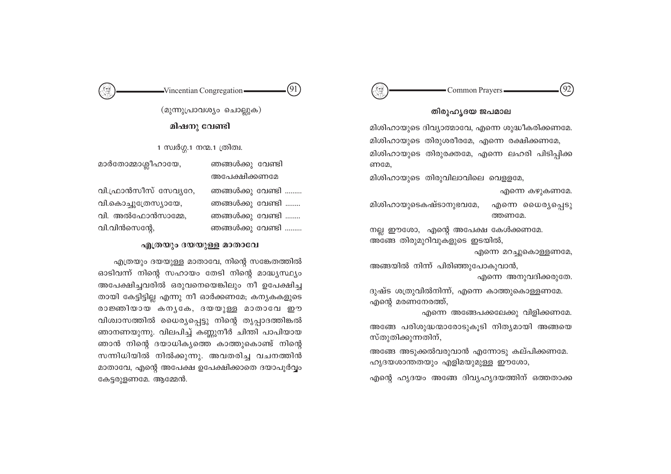#### $92^{\circ}$ Common Prayers-

#### തിരുഹൃദയ ജപമാല

മിശിഹായുടെ ദിവ്യാത്മാവേ, എന്നെ ശുദ്ധീകരിക്കണമേ. മിശിഹായുടെ തിരുശരീരമേ, എന്നെ രക്ഷിക്കണമേ, മിശിഹായുടെ തിരുരക്തമേ, എന്നെ ലഹരി പിടിപ്പിക്ക ണമേ.

മിശിഹായുടെ തിരുവിലാവിലെ വെള്ളമേ,

എന്നെ കഴുകണമേ. മിശിഹായുടെകഷ്ടാനുഭവമേ, എന്നെ ധൈര്യപ്പെടു ത്തണമേ.

നല്ല ഈശോ, എന്റെ അപേക്ഷ കേൾക്കണമേ. അങ്ങേ തിരുമുറിവുകളുടെ ഇടയിൽ,

എന്നെ മറച്ചുകൊള്ളണമേ,

അങ്ങയിൽ നിന്ന് പിരിഞ്ഞുപോകുവാൻ, എന്നെ അനുവദിക്കരുതേ.

ദുഷ്ട ശത്രുവിൽനിന്ന്, എന്നെ കാത്തുകൊള്ളണമേ. എന്റെ മരണനേരത്ത്,

എന്നെ അങ്ങേപക്കലേക്കു വിളിക്കണമേ. അങ്ങേ പരിശുദ്ധന്മാരോടുകൂടി നിത്യമായി അങ്ങയെ സ്തുതിക്കുന്നതിന്,

അങ്ങേ അടുക്കൽവരുവാൻ എന്നോടു കല്പിക്കണമേ. ഹൃദയശാന്തതയും എളിമയുമുള്ള ഈശോ,

എന്റെ ഹൃദയം അങ്ങേ ദിവ്യഹൃദയത്തിന് ഒത്തതാക്ക

 $(91)$  $-Vincentian Congregation$ 

> (മുന്നുപ്രാവശ്യം ചൊല്ലുക) മിഷനു വേണ്ടി

1 സ്വർഗ്ഗ.1 നന്മ.1 ത്രിത്വ.

മാർതോമ്മാശ്ലീഹായേ, ഞങ്ങൾക്കു വേണ്ടി അപേക്ഷിക്കണമേ ഞങ്ങൾക്കു വേണ്ടി ......... വി.ഫ്രാൻസീസ് സേവ്യറേ, വി.കൊച്ചുത്രേസ്യായേ, ഞങ്ങൾക്കു വേണ്ടി ........ വി. അൽഫോൻസാമ്മേ. ഞങ്ങൾക്കു വേണ്ടി ........ വി.വിൻസെന്റേ. ഞങ്ങൾക്കു വേണ്ടി .........

#### എത്രയും ദയയുള്ള മാതാവേ

എത്രയും ദയയുള്ള മാതാവേ, നിന്റെ സങ്കേതത്തിൽ ഓടിവന്ന് നിന്റെ സഹായം തേടി നിന്റെ മാദ്ധ്യസ്ഥ്യം അപേക്ഷിച്ചവരിൽ ഒരുവനെയെങ്കിലും നീ ഉപേക്ഷിച്ച തായി കേട്ടിട്ടില്ല എന്നു നീ ഓർക്കണമേ; കന്യകകളുടെ രാജ്ഞിയായ കനൃകേ, ദയയുള്ള മാതാവേ ഈ വിശ്വാസത്തിൽ ധൈര്യപ്പെട്ടു നിന്റെ തൃപ്പാദത്തിങ്കൽ ഞാനണയുന്നു. വിലപിച്ച് കണ്ണുനീർ ചിന്തി പാപിയായ ഞാൻ നിന്റെ ദയാധികൃത്തെ കാത്തുകൊണ്ട് നിന്റെ സന്നിധിയിൽ നിൽക്കുന്നു. അവതരിച്ച വചനത്തിൻ മാതാവേ, എന്റെ അപേക്ഷ ഉപേക്ഷിക്കാതെ ദയാപൂർവ്വം കേട്ടരുളണമേ. ആമ്മേൻ.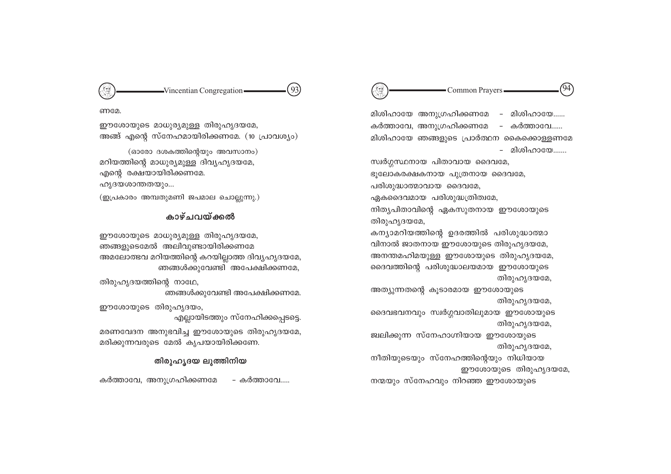

- Common Prayers -

'94

G

(93)  $-Vincentian Congregation -$ 

ണമേ.

അങ്ങ് എന്റെ സ്നേഹമായിരിക്കണമേ. (10 പ്രാവശ്യം)

കാഴ്ചവയ്ക്കൽ

അമലോത്ഭവ മറിയത്തിന്റെ കറയില്ലാത്ത ദിവ്യഹൃദയമേ,

മരണവേദന അനുഭവിച്ച ഈശോയുടെ തിരുഹൃദയമേ,

തിരുഹൃദയ ലുത്തിനിയ

ഞങ്ങൾക്കുവേണ്ടി അപേക്ഷിക്കണമേ,

ഞങ്ങൾക്കുവേണ്ടി അപേക്ഷിക്കണമേ.

എല്ലായിടത്തും സ്നേഹിക്കപ്പെടടെ.

– കർത്താവേ.....

ഈശോയുടെ മാധുര്യമുള്ള തിരുഹൃദയമേ,

(ഓരോ ദശകത്തിന്റെയും അവസാനം)

മറിയത്തിന്റെ മാധുര്യമുള്ള ദിവ്യഹൃദയമേ,

(ഇപ്രകാരം അമ്പതുമണി ജപമാല ചൊല്ലുന്നു.)

ഈശോയുടെ മാധുര്യമുള്ള തിരുഹൃദയമേ,

ഞങ്ങളുടെമേൽ അലിവുണ്ടായിരിക്കണമേ

മരിക്കുന്നവരുടെ മേൽ കൃപയായിരിക്കണേ.

എന്റെ രക്ഷയായിരിക്കണമേ.

തിരുഹൃദയത്തിന്റെ നാഥേ,

ഈശോയുടെ തിരുഹൃദയം,

കർത്താവേ, അനുഗ്രഹിക്കണമേ

ഹൃദയശാന്തതയും...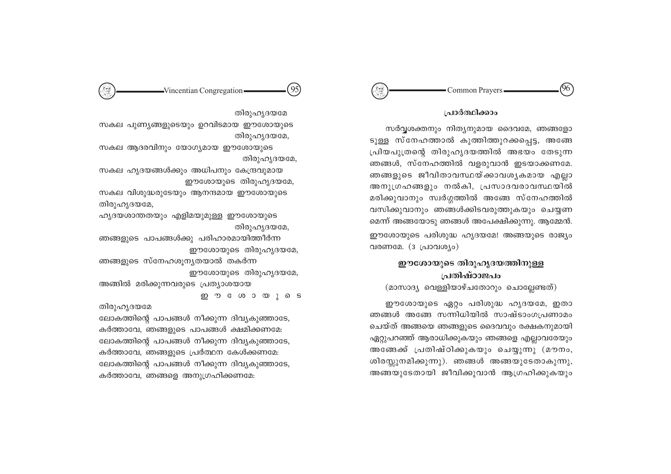#### 96 Common Prayers

#### പ്രാർത്ഥിക്കാം

സർവ്വശക്തനും നിത്യനുമായ ദൈവമേ, ഞങ്ങളോ ടുള്ള സ്നേഹത്താൽ കുത്തിത്തുറക്കപ്പെട്ട, അങ്ങേ പ്രിയപുത്രന്റെ തിരുഹൃദയത്തിൽ അഭയം തേടുന്ന ഞങ്ങൾ, സ്നേഹത്തിൽ വളരുവാൻ ഇടയാക്കണമേ. ഞങ്ങളുടെ ജീവിതാവസ്ഥയ്ക്കാവശൃകമായ എല്ലാ അനുഗ്രഹങ്ങളും നൽകി, പ്രസാദവരാവസ്ഥയിൽ മരിക്കുവാനും സ്വർഗ്ഗത്തിൽ അങ്ങേ സ്നേഹത്തിൽ വസിക്കുവാനും ഞങ്ങൾക്കിടവരുത്തുകയും ചെയ്യണ മെന്ന് അങ്ങയോടു ഞങ്ങൾ അപേക്ഷിക്കുന്നു. ആമ്മേൻ. ഈശോയുടെ പരിശുദ്ധ ഹൃദയമേ! അങ്ങയുടെ രാജ്യം വരണമേ.  $(3 \text{ } \text{L}100 \text{ } \text{C}100 \text{ } \text{C})$ 

# ഈശോയുടെ തിരുഹൃദയത്തിനുള്ള പ്രതിഷ്ഠാജപം

(മാസാദ്യ വെള്ളിയാഴ്ചതോറും ചൊല്ലേണ്ടത്)

ഈശോയുടെ ഏറ്റം പരിശുദ്ധ ഹൃദയമേ, ഇതാ ഞങ്ങൾ അങ്ങേ സന്നിധിയിൽ സാഷ്ടാംഗപ്രണാമം ചെയ്ത് അങ്ങയെ ഞങ്ങളുടെ ദൈവവും രക്ഷകനുമായി ഏറ്റുപറഞ്ഞ് ആരാധിക്കുകയും ഞങ്ങളെ എല്ലാവരേയും അങ്ങേക്ക് പ്രതിഷ്ഠിക്കുകയും ചെയ്യുന്നു (മൗനം, ശിരസ്സുനമിക്കുന്നു). ഞങ്ങൾ അങ്ങയുടേതാകുന്നു, അങ്ങയുടേതായി ജീവിക്കുവാൻ ആഗ്രഹിക്കുകയും

(95)  $-Vincentian Congregation -$ 

തിരുഹൃദയമേ സകല പുണ്യങ്ങളുടെയും ഉറവിടമായ ഈശോയുടെ

തിരുഹൃദയമേ,

സകല ആദരവിനും യോഗ്യമായ ഈശോയുടെ തിരുഹൃദയമേ.

സകല ഹൃദയങ്ങൾക്കും അധിപനും കേന്ദ്രവുമായ ഈശോയുടെ തിരുഹൃദയമേ,

സകല വിശുദ്ധരുടേയും ആനന്ദമായ ഈശോയുടെ തിരുഹൃദയമേ,

ഹൃദയശാന്തതയും എളിമയുമുള്ള ഈശോയുടെ തിരുഹൃദയമേ,

ഞങ്ങളുടെ പാപങ്ങൾക്കു പരിഹാരമായിത്തീർന്ന ഈശോയുടെ തിരുഹൃദയമേ,

ഞങ്ങളുടെ സ്നേഹശൂനൃതയാൽ തകർന്ന ഈശോയുടെ തിരുഹൃദയമേ,

അങ്ങിൽ മരിക്കുന്നവരുടെ പ്രത്യാശയായ ഇ **ൗ** േശായുടെ

തിരുഹൃദയമേ

ലോകത്തിന്റെ പാപങ്ങൾ നീക്കുന്ന ദിവ്യകുഞ്ഞാടേ. കർത്താവേ, ഞങ്ങളുടെ പാപങ്ങൾ ക്ഷമിക്കണമേ: ലോകത്തിന്റെ പാപങ്ങൾ നീക്കുന്ന ദിവ്യകുഞ്ഞാടേ, കർത്താവേ, ഞങ്ങളുടെ പ്രർത്ഥന കേൾക്കണമേ: ലോകത്തിന്റെ പാപങ്ങൾ നീക്കുന്ന ദിവ്യകുഞ്ഞാടേ, കർത്താവേ, ഞങ്ങളെ അനുഗ്രഹിക്കണമേ: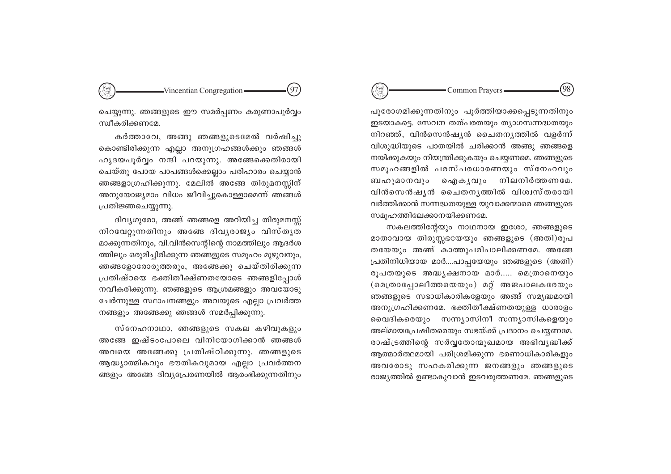#### (98) Common Prayers-

പുരോഗമിക്കുന്നതിനും പൂർത്തിയാക്കപ്പെടുന്നതിനും ഇടയാകട്ടെ. സേവന തത്പരതയും ത്യാഗസന്നദ്ധതയും നിറഞ്ഞ്, വിൻസെൻഷ്യൻ ചൈതന്യത്തിൽ വളർന്ന് വിശുദ്ധിയുടെ പാതയിൽ ചരിക്കാൻ അങ്ങു ഞങ്ങളെ നയിക്കുകയും നിയന്ത്രിക്കുകയും ചെയ്യണമെ. ഞങ്ങളുടെ സമൂഹങ്ങളിൽ പരസ്പരധാരണയും സ്നേഹവും ഐകുവും നിലനിർത്തണമേ. ബഹുമാനവും വിൻസെൻഷ്യൻ ചൈതന്യത്തിൽ വിശ്വസ്തരായി വർത്തിക്കാൻ സന്നദ്ധതയുള്ള യുവാക്കന്മാരെ ഞങ്ങളുടെ സമൂഹത്തിലേക്കാനയിക്കണമേ.

സകലത്തിന്റേയും നാഥനായ ഇശോ, ഞങ്ങളുടെ മാതാവായ തിരുസ്സഭയേയും ഞങ്ങളുടെ (അതി)രൂപ തയേയും അങ്ങ് കാത്തുപരിപാലിക്കണമേ. അങ്ങേ പ്രതിനിധിയായ മാർ....പാപ്പയേയും ഞങ്ങളുടെ (അതി) രൂപതയുടെ അദ്ധ്യക്ഷനായ മാർ..... മെത്രാനെയും (മെത്രാപ്പോലീത്തയെയും) മറ്റ് അജപാലകരേയും ഞങ്ങളുടെ സഭാധികാരികളേയും അങ്ങ് സമൃദ്ധമായി അനുഗ്രഹിക്കണമേ. ഭക്തിതീക്ഷ്ണതയുള്ള ധാരാളം വൈദികരെയും സന്ന്യാസിനീ സന്ന്യാസികളെയും അല്മായപ്രേഷിതരെയും സഭയ്ക്ക് പ്രദാനം ചെയ്യണമേ. രാഷ്ട്രത്തിന്റെ സർവ്വതോന്മുഖമായ അഭിവൃദ്ധിക്ക് ആത്മാർത്ഥമായി പരിശ്രമിക്കുന്ന ഭരണാധികാരികളും അവരോടു സഹകരിക്കുന്ന ജനങ്ങളും ഞങ്ങളുടെ രാജ്യത്തിൽ ഉണ്ടാകുവാൻ ഇടവരുത്തണമേ. ഞങ്ങളുടെ

-Vincentian Congregation-(97)

ചെയ്യുന്നു. ഞങ്ങളുടെ ഈ സമർപ്പണം കരുണാപൂർവ്വം സ്വീകരിക്കണമേ.

കർത്താവേ, അങ്ങു ഞങ്ങളുടെമേൽ വർഷിച്ചു കൊണ്ടിരിക്കുന്ന എല്ലാ അനുഗ്രഹങ്ങൾക്കും ഞങ്ങൾ ഹൃദയപൂർവ്വം നന്ദി പറയുന്നു. അങ്ങേക്കെതിരായി ചെയ്തു പോയ പാപങ്ങൾക്കെല്ലാം പരിഹാരം ചെയ്യാൻ ഞങ്ങളാഗ്രഹിക്കുന്നു. മേലിൽ അങ്ങേ തിരുമനസ്സിന് അനുയോജ്യമാം വിധം ജീവിച്ചുകൊള്ളാമെന്ന് ഞങ്ങൾ പ്രതിജ്ഞചെയ്യുന്നു.

ദിവ്യഗുരോ, അങ്ങ് ഞങ്ങളെ അറിയിച്ച തിരുമനസ്സ് നിറവേറ്റുന്നതിനും അങ്ങേ ദിവൃരാജ്യം വിസ്തൃത മാക്കുന്നതിനും, വി.വിൻസെന്റിന്റെ നാമത്തിലും ആദർശ ത്തിലും ഒരുമിച്ചിരിക്കുന്ന ഞങ്ങളുടെ സമൂഹം മുഴുവനും, ഞങ്ങളോരോരുത്തരും, അങ്ങേക്കു ചെയ്തിരിക്കുന്ന പ്രതിഷ്ഠയെ ഭക്തിതീക്ഷ്ണതയോടെ ഞങ്ങളിപ്പോൾ നവീകരിക്കുന്നു. ഞങ്ങളുടെ ആശ്രമങ്ങളും അവയോടു ചേർന്നുള്ള സ്ഥാപനങ്ങളും അവയുടെ എല്ലാ പ്രവർത്ത നങ്ങളും അങ്ങേക്കു ഞങ്ങൾ സമർപ്പിക്കുന്നു.

സ്നേഹനാഥാ, ഞങ്ങളുടെ സകല കഴിവുകളും അങ്ങേ ഇഷ്ടംപോലെ വിനിയോഗിക്കാൻ ഞങ്ങൾ അവയെ അങ്ങേക്കു പ്രതിഷ്ഠിക്കുന്നു. ഞങ്ങളുടെ ആദ്ധ്യാത്മികവും ഭൗതികവുമായ എല്ലാ പ്രവർത്തന ങ്ങളും അങ്ങേ ദിവ്യപ്രേരണയിൽ ആരംഭിക്കുന്നതിനും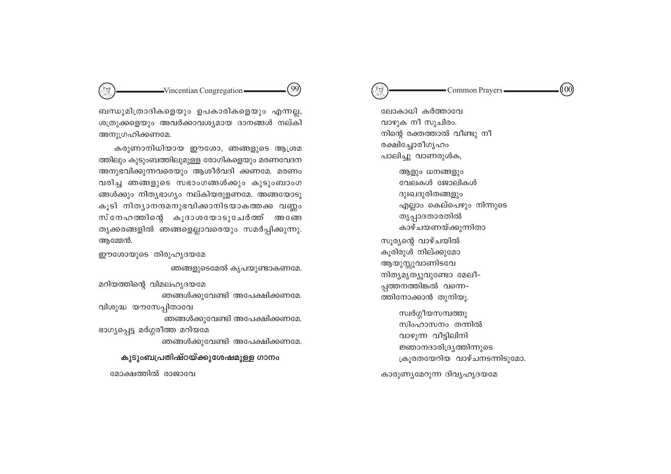# $-Vincentian Congregation -$

ബന്ധുമിത്രാദികളെയും ഉപകാരികളെയും എന്നല്ല, ശത്രുക്കളെയും അവർക്കാവശ്യമായ ദാനങ്ങൾ നല്കി അനുഗ്രഹിക്കണമേ.

'99

കരുണാനിധിയായ ഈശോ, ഞങ്ങളുടെ ആശ്രമ ത്തിലും കുടുംബത്തിലുമുള്ള രോഗികളെയും മരണവേദന അനുഭവിക്കുന്നവരെയും ആശീർവദി ക്കണമേ. മരണം വരിച്ച ഞങ്ങളുടെ സഭാംഗങ്ങൾക്കും കുടുംബാംഗ ങ്ങൾക്കും നിത്യഭാഗ്യം നല്കിയരുളണമേ. അങ്ങയോടു കൂടി നിത്യാനന്ദമനുഭവിക്കാനിടയാകത്തക്ക വണ്ണം സ്നേഹത്തിന്റെ കൂദാശയോടുചേർത്ത് അങ്ങേ തൃക്കരങ്ങളിൽ ഞങ്ങളെല്ലാവരെയും സമർപ്പിക്കുന്നു. അമ്മേൻ.

ഈശോയുടെ തിരുഹൃദയമേ

ഞങ്ങളുടെമേൽ കൃപയുണ്ടാകണമേ. മറിയത്തിന്റെ വിമലഹൃദയമേ

ഞങ്ങൾക്കുവേണ്ടി അപേക്ഷിക്കണമേ. വിശുദ്ധ യൗസേപ്പിതാവേ ഞങ്ങൾക്കുവേണ്ടി അപേക്ഷിക്കണമേ. ഭാഗ്യപ്പെട്ട മർഗ്ഗരീത്ത മറിയമേ ഞങ്ങൾക്കുവേണ്ടി അപേക്ഷിക്കണമേ.

കുടുംബപ്രതിഷ്ഠയ്ക്കുശേഷമുള്ള ഗാനം

മോക്ഷത്തിൽ രാജാവേ

100) Common Prayers

ലോകാധി കർത്താവേ വാഴുക നീ സുചിരം. നിന്റെ രക്തത്താൽ വീണ്ടു നീ രക്ഷിച്ചോരീഗൃഹം പാലിച്ചു വാണരുൾക,

ആളും ധനങ്ങളും വേലകൾ ജോലികൾ ദുഃഖദൂരിതങ്ങളും എല്ലാം കെല്പെഴും നിന്നുടെ തൃപ്പാദതാരതിൽ കാഴ്ചയണയ്ക്കുന്നിതാ സൂര്യന്റെ വാഴ്ചയിൽ കൂരിരുൾ നില്ക്കുമോ ആയുസ്സുവാണിടവേ നിത്യമൃത്യുവുണ്ടോ മേലീ– പ്പത്തനത്തിങ്കൽ വന്നെ-ത്തിനോക്കാൻ തുനിയൂ.

സ്വർഗ്ഗീയസമ്പത്തു സിംഹാസനം തന്നിൽ വാഴുന്ന വീട്ടിലിനി ജ്ഞാനദാരിദ്ര്യത്തിന്നുടെ ക്രൂരതയേറിയ വാഴ്ചനടന്നിടുമോ.

കാരുണ്യമേറുന്ന ദിവ്യഹൃദയമേ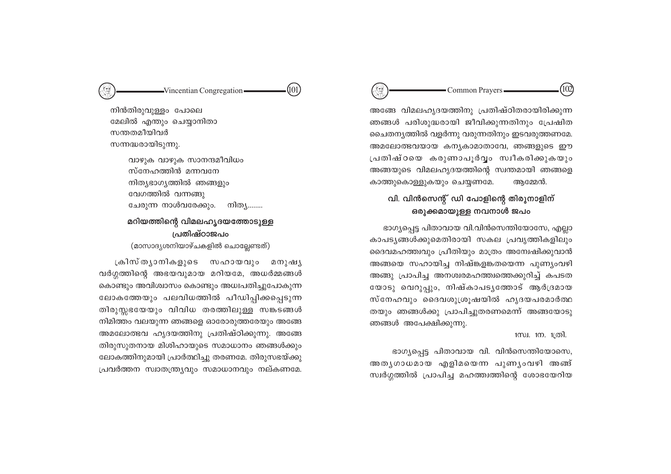$102$ Common Prayers-

അങ്ങേ വിമലഹൃദയത്തിനു പ്രതിഷ്ഠിതരായിരിക്കുന്ന ഞങ്ങൾ പരിശുദ്ധരായി ജീവിക്കുന്നതിനും പ്രേഷിത ചൈതന്യത്തിൽ വളർന്നു വരുന്നതിനും ഇടവരുത്തണമേ. അമലോത്ഭവയായ കന്യകാമാതാവേ, ഞങ്ങളുടെ ഈ പ്രതിഷ്ഠയെ കരുണാപൂർവൃം സ്വീകരിക്കുകയും അങ്ങയുടെ വിമലഹൃദയത്തിന്റെ സ്വന്തമായി ഞങ്ങളെ കാത്തുകൊള്ളുകയും ചെയ്യണമേ. അമ്മേൻ.

# വി. വിൻസെന്റ് ഡി പോളിന്റെ തിരുനാളിന് ഒരുക്കമായുള്ള നവനാൾ ജപം

ഭാഗ്യപ്പെട്ട പിതാവായ വി.വിൻസെന്തിയോസേ, എല്ലാ കാപടൃങ്ങൾക്കുമെതിരായി സകല പ്രവൃത്തികളിലും ദൈവമഹത്ത്വവും പ്രീതിയും മാത്രം അന്വേഷിക്കുവാൻ അങ്ങയെ സഹായിച്ച നിഷ്ങളങ്കതയെന്ന പുണ്യംവഴി അങ്ങു പ്രാപിച്ച അനശ്വരമഹത്ത്വത്തെക്കുറിച്ച് കപടത യോടു വെറുപ്പും, നിഷ്കാപടൃത്തോട് ആർദ്രമായ സ്നേഹവും ദൈവശുശ്രൂഷയിൽ ഹൃദയപരമാർത്ഥ തയും ഞങ്ങൾക്കു പ്രാപിച്ചുതരണമെന്ന് അങ്ങയോടു ഞങ്ങൾ അപേക്ഷിക്കുന്നു.

1സ്വ. 1ന. 1ത്രി.

ഭാഗ്യപ്പെട്ട പിതാവായ വി. വിൻസെന്തിയോസെ, അതൃഗാധമായ എളിമയെന്ന പുണൃംവഴി അങ്ങ് സ്വർഗ്ഗത്തിൽ പ്രാപിച്ച മഹത്ത്വത്തിന്റെ ശോഭയേറിയ

നിൻതിരുവുള്ളം പോലെ മേലിൽ എന്തും ചെയ്യാനിതാ സന്തതമീയിവർ സന്നദ്ധരായിടുന്നു.

> വാഴുക വാഴുക സാനന്ദമീവിധം സ്നേഹത്തിൻ മന്നവനേ നിത്യഭാഗ്യത്തിൽ ഞങ്ങളും വേഗത്തിൽ വന്നങ്ങു ചേരുന്ന നാൾവരേക്കും. നിത്യ……..

 $-Vincentian Congregation -$ 

 $(101)$ 

# മറിയത്തിന്റെ വിമലഹൃദയത്തോടുള്ള പ്രതിഷ്ഠാജപം

(മാസാദ്യശനിയാഴ്ചകളിൽ ചൊല്ലേണ്ടത്)

ക്രിസ്തൃാനികളുടെ സഹായവും മനുഷൃ വർഗ്ഗത്തിന്റെ അഭയവുമായ മറിയമേ, അധർമ്മങ്ങൾ കൊണ്ടും അവിശ്വാസം കൊണ്ടും അധഃപതിച്ചുപോകുന്ന ലോകത്തേയും പലവിധത്തിൽ പീഡിപ്പിക്കപ്പെടുന്ന തിരുസ്സഭയേയും വിവിധ തരത്തിലുള്ള സങ്കടങ്ങൾ നിമിത്തം വലയുന്ന ഞങ്ങളെ ഓരോരുത്തരേയും അങ്ങേ അമലോത്ഭവ ഹൃദയത്തിനു പ്രതിഷ്ഠിക്കുന്നു. അങ്ങേ തിരുസുതനായ മിശിഹായുടെ സമാധാനം ഞങ്ങൾക്കും ലോകത്തിനുമായി പ്രാർത്ഥിച്ചു തരണമേ. തിരുസഭയ്ക്കു പ്രവർത്തന സ്വാതന്ത്ര്യവും സമാധാനവും നല്കണമേ.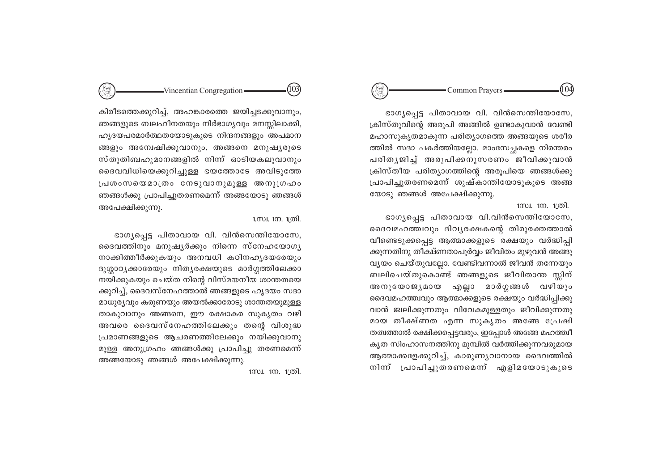#### 104 Common Prayers

ഭാഗ്യപ്പെട്ട പിതാവായ വി. വിൻസെന്തിയോസേ, ക്രിസ്തുവിന്റെ അരൂപി അങ്ങിൽ ഉണ്ടാകുവാൻ വേണ്ടി മഹാസുകൃതമാകുന്ന പരിത്യാഗത്തെ അങ്ങയുടെ ശരീര ത്തിൽ സദാ പകർത്തിയല്ലോ. മാംസേച്ചകളെ നിരന്തരം പരിതൃജിച്ച് അരൂപിക്കനുസരണം ജീവിക്കുവാൻ ക്രിസ്തീയ പരിത്യാഗത്തിന്റെ അരുപിയെ ഞങ്ങൾക്കു പ്രാപിച്ചുതരണമെന്ന് ശുഷ്കാന്തിയോടുകുടെ അങ്ങ യോടു ഞങ്ങൾ അപേക്ഷിക്കുന്നു.

#### 1സ്വ. 1ന. 1ത്രി.

ഭാഗൃപ്പെട്ട പിതാവായ വി.വിൻസെന്തിയോസേ, ദൈവമഹത്ത്വവും ദിവൃരക്ഷകന്റെ തിരുരക്തത്താൽ വീണ്ടെടുക്കപ്പെട്ട ആത്മാക്കളുടെ രക്ഷയും വർദ്ധിപ്പി ക്കുന്നതിനു തീക്ഷ്ണതാപുർവ്വം ജീവിതം മുഴുവൻ അങ്ങു വ്യയം ചെയ്തുവല്ലോ. വേണ്ടിവന്നാൽ ജീവൻ തന്നേയും ബലിചെയ്തുകൊണ്ട് ഞങ്ങളുടെ ജീവിതാന്ത സ്സിന് അനുയോജ്യമായ എല്ലാ മാർഗ്ഗങ്ങൾ വഴിയും ദൈവമഹത്ത്വവും ആത്മാക്കളുടെ രക്ഷയും വർദ്ധിപ്പിക്കു വാൻ ജ്വലിക്കുന്നതും വിവേകമുള്ളതും ജീവിക്കുന്നതു മായ തീക്ഷ്ണത എന്ന സുകൃതം അങ്ങേ പ്രേഷി തത്വത്താൽ രക്ഷിക്കപ്പെട്ടവരും, ഇപ്പോൾ അങ്ങേ മഹത്ത്വീ കൃത സിംഹാസനത്തിനു മുമ്പിൽ വർത്തിക്കുന്നവരുമായ ആത്മാക്കളേക്കുറിച്ച്, കാരുണ്യവാനായ ദൈവത്തിൽ നിന്ന് പ്രാപിച്ചുതരണമെന്ന് എളിമയോടുകൂടെ

കിരീടത്തെക്കുറിച്ച്, അഹങ്കാരത്തെ ജയിച്ചടക്കുവാനും, ഞങ്ങളുടെ ബലഹീനതയും നിർഭാഗ്യവും മനസ്സിലാക്കി, ഹൃദയപരമാർത്ഥതയോടുകൂടെ നിന്ദനങ്ങളും അപമാന ങ്ങളും അന്വേഷിക്കുവാനും, അങ്ങനെ മനുഷ്യരുടെ സ്തുതിബഹുമാനങ്ങളിൽ നിന്ന് ഓടിയകലുവാനും ദൈവവിധിയെക്കുറിച്ചുള്ള ഭയത്തോടേ അവിടുത്തേ പ്രശംസയെമാത്രം നേടുവാനുമുള്ള അനുഗ്രഹം ഞങ്ങൾക്കു പ്രാപിച്ചുതരണമെന്ന് അങ്ങയോടു ഞങ്ങൾ അപേക്ഷിക്കുന്നു.

 $\rightarrow$ Vincentian Congregation

#### 1.സ്വ. 1ന. 1ത്രി.

 $(103)$ 

ഭാഗ്യപ്പെട്ട പിതാവായ വി. വിൻസെന്തിയോസേ, ദൈവത്തിനും മനുഷ്യർക്കും നിന്നെ സ്നേഹയോഗ്യ നാക്കിത്തീർക്കുകയും അനവധി കഠിനഹൃദയരേയും ദുശ്ശാഠ്യക്കാരേയും നിത്യരക്ഷയുടെ മാർഗ്ഗത്തിലേക്കാ നയിക്കുകയും ചെയ്ത നിന്റെ വിസ്മയനീയ ശാന്തതയെ ക്കുറിച്ച്, ദൈവസ്നേഹത്താൽ ഞങ്ങളുടെ ഹൃദയം സദാ മാധുര്യവും കരുണയും അയൽക്കാരോടു ശാന്തതയുമുള്ള താകുവാനും അങ്ങനെ, ഈ രക്ഷാകര സുകൃതം വഴി അവരെ ദൈവസ്നേഹത്തിലേക്കും തന്റെ വിശുദ്ധ പ്രമാണങ്ങളുടെ ആചരണത്തിലേക്കും നയിക്കുവാനു മുള്ള അനുഗ്രഹം ഞങ്ങൾക്കു പ്രാപിച്ചു തരണമെന്ന് അങ്ങയോടു ഞങ്ങൾ അപേക്ഷിക്കുന്നു.

1സ്വ. 1ന. 1ത്രി.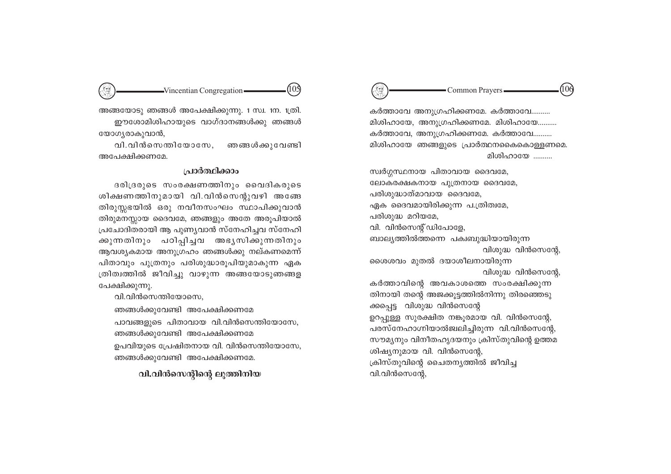#### 106 Common Prayers-

കർത്താവേ അനുഗ്രഹിക്കണമേ. കർത്താവേ.......... മിശിഹായേ, അനുഗ്രഹിക്കണമേ. മിശിഹായേ.......... കർത്താവേ, അനുഗ്രഹിക്കണമേ. കർത്താവേ.......... മിശിഹായേ ഞങ്ങളുടെ പ്രാർത്ഥനകൈകൊള്ളണമെ. മിശിഹായേ ..........

സ്വർഗ്ഗസ്ഥനായ പിതാവായ ദൈവമേ. ലോകരക്ഷകനായ പുത്രനായ ദൈവമേ, പരിശുദ്ധാത്മാവായ ദൈവമേ, ഏക ദൈവമായിരിക്കുന്ന പ.ത്രിത്വമേ, പരിശുദ്ധ മറിയമേ, വി. വിൻസെന്റ് ഡിപോളേ, ബാല്യത്തിൽത്തന്നെ പക്വബുദ്ധിയായിരുന്ന വിശുദ്ധ വിൻസെന്റേ, ശൈശവം മുതൽ ദയാശീലനായിരുന്ന വിശുദ്ധ വിൻസെന്റേ, കർത്താവിന്റെ അവകാശത്തെ സംരക്ഷിക്കുന്ന തിനായി തന്റെ അജക്കൂട്ടത്തിൽനിന്നു തിരഞ്ഞെടു ക്കപ്പെട്ട വിശുദ്ധ വിൻസെന്റേ ഉറപ്പുള്ള സുരക്ഷിത നങ്കൂരമായ വി. വിൻസെന്റേ, പരസ്നേഹാഗ്നിയാൽജ്വലിച്ചിരുന്ന വി.വിൻസെന്റേ, സൗമ്യനും വിനീതഹൃദയനും ക്രിസ്തുവിന്റെ ഉത്തമ ശിഷ്യനുമായ വി. വിൻസെന്റേ, ക്രിസ്തുവിന്റെ ചൈതനൃത്തിൽ ജീവിച്ച വി.വിൻസെന്റേ,

(105  $-Vincentian Congregation -$ 

അങ്ങയോടു ഞങ്ങൾ അപേക്ഷിക്കുന്നു. 1 സ്വ. 1ന. 1ത്രി. ഈശോമിശിഹായുടെ വാഗ്ദാനങ്ങൾക്കു ഞങ്ങൾ യോഗ്യരാകുവാൻ,

ഞങ്ങൾക്കുവേണ്ടി വി.വിൻസെന്തിയോസേ. അപേക്ഷിക്കണമേ

# പ്രാർത്ഥിക്കാം

ദരിദ്രരുടെ സംരക്ഷണത്തിനും വൈദികരുടെ ശിക്ഷണത്തിനുമായി വി.വിൻസെന്റുവഴി അങ്ങേ തിരുസ്സഭയിൽ ഒരു നവീനസംഘം സ്ഥാപിക്കുവാൻ തിരുമനസ്സായ ദൈവമേ, ഞങ്ങളും അതേ അരുപിയാൽ പ്രചോദിതരായി ആ പുണ്യവാൻ സ്നേഹിച്ചവ സ്നേഹി ക്കുന്നതിനും പഠിപ്പിച്ചവ അഭ്യസിക്കുന്നതിനും ആവശ്യകമായ അനുഗ്രഹം ഞങ്ങൾക്കു നല്കണമെന്ന് പിതാവും പുത്രനും പരിശുദ്ധാരൂപിയുമാകുന്ന ഏക ത്രിത്വത്തിൽ ജീവിച്ചു വാഴുന്ന അങ്ങയോടുഞങ്ങള പേക്ഷിക്കുന്നു.

വി.വിൻസെന്തിയോസെ.

ഞങ്ങൾക്കുവേണ്ടി അപേക്ഷിക്കണമേ

പാവങ്ങളുടെ പിതാവായ വി.വിൻസെന്തിയോസേ, ഞങ്ങൾക്കുവേണ്ടി അപേക്ഷിക്കണമേ ഉപവിയുടെ പ്രേഷിതനായ വി. വിൻസെന്തിയോസേ, ഞങ്ങൾക്കുവേണ്ടി അപേക്ഷിക്കണമേ.

വി.വിൻസെന്റിന്റെ ലുത്തിനിയ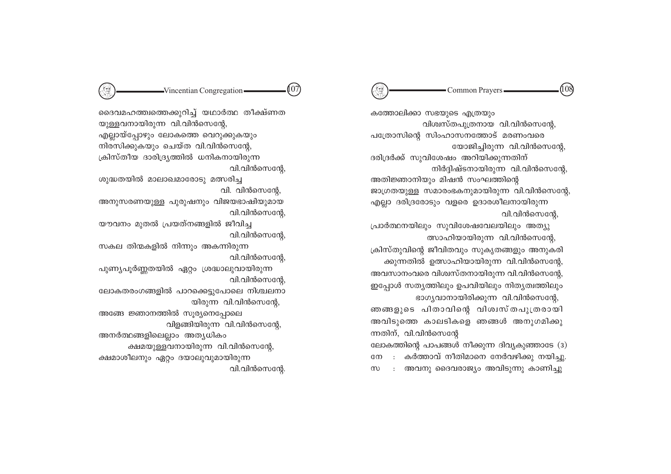#### (108 Common Prayers -

കത്തോലിക്കാ സഭയുടെ എത്രയും വിശ്വസ്തപുത്രനായ വി.വിൻസെന്റേ പത്രോസിൻെ സിംഹാസനത്തോട് മരണംവരെ

യോജിച്ചിരുന്ന വി.വിൻസെന്റേ ദരിദ്രർക്ക് സുവിശേഷം അറിയിക്കുന്നതിന് നിർദ്ദിഷ്ടനായിരുന്ന വി.വിൻസെന്റേ

അതിജ്ഞാനിയും മിഷൻ സംഘത്തിന്റെ ജാഗ്രതയുള്ള സമാരംഭകനുമായിരുന്ന വി.വിൻസെന്റേ എല്ലാ ദരിദ്രരോടും വളരെ ഉദാരശീലനായിരുന്ന വി.വിൻസെന്റേ,

പ്രാർത്ഥനയിലും സുവിശേഷവേലയിലും അത്യു ത്സാഹിയായിരുന്ന വി.വിൻസെന്റേ.

ക്രിസ്തുവിന്റെ ജീവിതവും സുകൃതങ്ങളും അനുകരി ക്കുന്നതിൽ ഉത്സാഹിയായിരുന്ന വി.വിൻസെന്റേ അവസാനംവരെ വിശ്വസ്തനായിരുന്ന വി.വിൻസെന്റേ ഇപ്പോൾ സത്യത്തിലും ഉപവിയിലും നിത്യത്വത്തിലും ഭാഗ്യവാനായിരിക്കുന്ന വി.വിൻസെന്റേ

ഞങ്ങളുടെ പിതാവിന്റെ വിശ്വസ്തപുത്രരായി അവിടുത്തെ കാലടികളെ ഞങ്ങൾ അനുഗമിക്കു ന്നതിന്, വി.വിൻസെന്റേ

ലോകത്തിന്റെ പാപങ്ങൾ നീക്കുന്ന ദിവ്യകുഞ്ഞാടേ (3) : കർത്താവ് നീതിമാനെ നേർവഴിക്കു നയിച്ചു നേ : അവനു ദൈവരാജ്യം അവിടുന്നു കാണിച്ചു  $m$ 

ദൈവമഹത്ത്വത്തെക്കുറിച്ച് യഥാർത്ഥ തീക്ഷ്ണത യുള്ളവനായിരുന്ന വി.വിൻസെന്റേ, എല്ലായ്പ്പോഴും ലോകത്തെ വെറുക്കുകയും നിരസിക്കുകയും ചെയ്ത വി.വിൻസെന്റേ, ക്രിസ്തീയ ദാരിദ്ര്യത്തിൽ ധനികനായിരുന്ന വി.വിൻസെന്റേ

 $\rightarrow$ Vincentian Congregation

107

ശുദ്ധതയിൽ മാലാഖമാരോടു മത്സരിച്ച വി. വിൻസെൻേ.

അനുസരണയുള്ള പുരുഷനും വിജയഭാഷിയുമായ വി.വിൻസെന്റേ,

യൗവനം മുതൽ പ്രയത്നങ്ങളിൽ ജീവിച്ച വി.വിൻസെന്റേ

സകല തിന്മകളിൽ നിന്നും അകന്നിരുന്ന വി.വിൻസെന്റേ,

പുണ്യപൂർണ്ണതയിൽ ഏറ്റം ശ്രദ്ധാലുവായിരുന്ന വി.വിൻസെന്റേ,

ലോകതരംഗങ്ങളിൽ പാറക്കെട്ടുപോലെ നിശ്ചലനാ യിരുന്ന വി.വിൻസെന്റേ.

അങ്ങേ ജ്ഞാനത്തിൽ സൂര്യനെപ്പോലെ വിളങ്ങിയിരുന്ന വി.വിൻസെന്റേ

അനർത്ഥങ്ങളിലെല്ലാം അത്യധികം ക്ഷമയുള്ളവനായിരുന്ന വി.വിൻസെന്റേ ക്ഷമാശീലനും ഏറ്റം ദയാലുവുമായിരുന്ന

വി.വിൻസെന്റേ.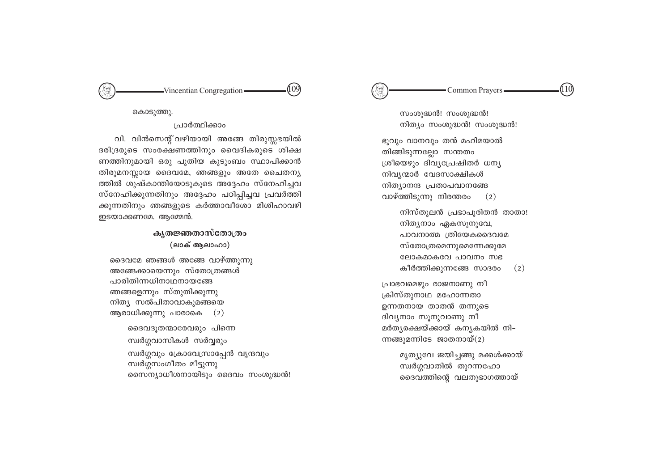#### 110 Common Prayers -

സംശുദ്ധൻ! സംശുദ്ധൻ! നിത്യം സംശുദ്ധൻ! സംശുദ്ധൻ!

ഭുവും വാനവും തൻ മഹിമയാൽ തിങ്ങിടുന്നല്ലോ സന്തതം ശ്രീയെഴും ദിവ്യപ്രേഷിതർ ധന്യ നിവ്യന്മാർ വേദസാക്ഷികൾ നിത്യാനന്ദ പ്രതാപവാനങ്ങേ വാഴ്ത്തിടുന്നു നിരന്തരം  $(2)$ 

നിസ്തുലൻ പ്രഭാപൂരിതൻ താതാ! നിത്യനാം ഏകസൂനുവേ, പാവനാത്മ ത്രിയേകദൈവമേ സ്തോത്രമെന്നുമെന്നേക്കുമേ ലോകമാകവേ പാവനം സഭ കീർത്തിക്കുന്നങ്ങേ സാദരം  $(2)$ 

പ്രാഭവമെഴും രാജനാണു നീ ക്രിസ്തുനാഥ മഹോന്നതാ ഉന്നതനായ താതൻ തന്നുടെ ദിവ്യനാം സൂനുവാണു നീ മർത്യരക്ഷയ്ക്കായ് കന്യകയിൽ നി– ന്നങ്ങുമന്നിടേ ജാതനായ് $(2)$ 

> മൃത്യുവേ ജയിച്ചങ്ങു മക്കൾക്കായ് സ്വർഗ്ഗവാതിൽ തുറന്നഹോ ദൈവത്തിന്റെ വലതുഭാഗത്തായ്

(109  $-Vincentian Congregation -$ 

കൊടുത്തു.

#### പ്രാർത്ഥിക്കാം

വി. വിൻസെന്റ് വഴിയായി അങ്ങേ തിരുസ്സഭയിൽ ദരിദ്രരുടെ സംരക്ഷണത്തിനും വൈദികരുടെ ശിക്ഷ ണത്തിനുമായി ഒരു പുതിയ കുടുംബം സ്ഥാപിക്കാൻ തിരുമനസ്സായ ദൈവമേ, ഞങ്ങളും അതേ ചൈതന്യ ത്തിൽ ശുഷ്കാന്തിയോടുകൂടെ അദ്ദേഹം സ്നേഹിച്ചവ സ്നേഹിക്കുന്നതിനും അദ്ദേഹം പഠിപ്പിച്ചവ പ്രവർത്തി ക്കുന്നതിനും ഞങ്ങളുടെ കർത്താവീശോ മിശിഹാവഴി ഇടയാക്കണമേ. ആമ്മേൻ.

# കൃതജ്ഞതാസ്തോത്രം (ലാക് ആലാഹാ)

ദൈവമേ ഞങ്ങൾ അങ്ങേ വാഴ്ത്തുന്നു അങ്ങേക്കായെന്നും സ്തോത്രങ്ങൾ പാരിതിന്നധിനാഥനായങ്ങേ ഞങ്ങളെന്നും സ്തുതിക്കുന്നു നിത്യ സൽപിതാവാകുമങ്ങയെ ആരാധിക്കുന്നു പാരാകെ (2)

> ദൈവദൂതന്മാരേവരും പിന്നെ സ്വർഗ്ഗവാസികൾ സർവ്വരും സ്വർഗ്ഗവും ക്രോവേസ്രാപ്പേൻ വൃന്ദവും സ്വർഗ്ഗസംഗീതം മീട്ടുന്നു സൈന്യാധീശനായിടും ദൈവം സംശുദ്ധൻ!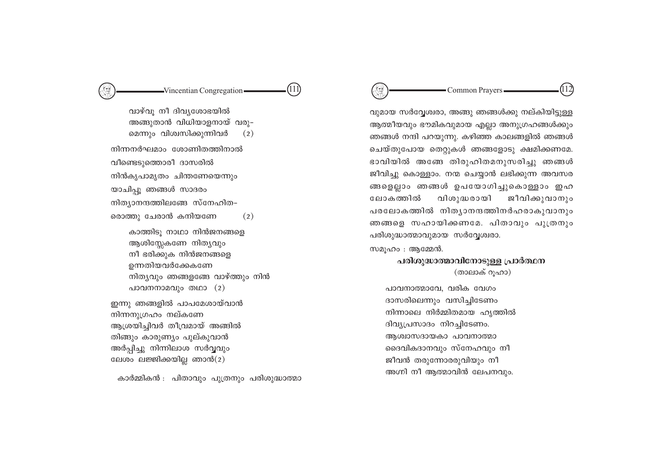#### $\mathbb{C}$ Common Prayers-

വുമായ സർവ്വേശ്വരാ, അങ്ങു ഞങ്ങൾക്കു നല്കിയിട്ടുള്ള ആത്മീയവും ഭൗമികവുമായ എല്ലാ അനുഗ്രഹങ്ങൾക്കും ഞങ്ങൾ നന്ദി പറയുന്നു. കഴിഞ്ഞ കാലങ്ങളിൽ ഞങ്ങൾ ചെയ്തുപോയ തെറ്റുകൾ ഞങ്ങളോടു ക്ഷമിക്കണമേ. ഭാവിയിൽ അങ്ങേ തിരുഹിതമനുസരിച്ചു ഞങ്ങൾ ജീവിച്ചു കൊള്ളാം. നന്മ ചെയ്യാൻ ലഭിക്കുന്ന അവസര ങ്ങളെല്ലാം ഞങ്ങൾ ഉപയോഗിച്ചുകൊള്ളാം ഇഹ വിശുദ്ധരായി ജീവിക്കുവാനും ലോകത്തിൽ പരലോകത്തിൽ നിത്യാനന്ദത്തിനർഹരാകുവാനും ഞങ്ങളെ സഹായിക്കണമേ. പിതാവും പുത്രനും പരിശുദ്ധാത്മാവുമായ സർവ്വേശ്വരാ.

സമുഹം : ആമ്മേൻ.

# പരിശുദ്ധാത്മാവിനോടുള്ള പ്രാർത്ഥന (താലാക് റുഹാ)

പാവനാത്മാവേ. വരിക വേഗം ദാസരിലെന്നും വസിച്ചിടേണം നിന്നാലെ നിർമ്മിതമായ ഹൃത്തിൽ ദിവ്യപ്രസാദം നിറച്ചിടേണം. ആശ്വാസദായകാ പാവനാത്മാ ദൈവികദാനവും സ്നേഹവും നീ ജീവൻ തരുന്നോരരുവിയും നീ അഗ്നി നീ ആത്മാവിൻ ലേപനവും.

വാഴ്വു നീ ദിവ്യശോഭയിൽ അങ്ങുതാൻ വിധിയാളനായ് വരു– മെന്നും വിശ്വസിക്കുന്നിവർ  $(2)$ നിന്നനർഘമാം ശോണിതത്തിനാൽ വീണ്ടെടുത്തൊരീ ദാസരിൽ നിൻകൃപാമൃതം ചിന്തണേയെന്നും യാചിപ്പൂ ഞങ്ങൾ സാദരം നിത്യാനന്ദത്തിലങ്ങേ സ്നേഹിത-രൊത്തു ചേരാൻ കനിയണേ  $(2)$ 

-Vincentian Congregation-

(111)

കാത്തിടു നാഥാ നിൻജനങ്ങളെ ആശിസ്സേകണേ നിത്യവും നീ ഭരിക്കുക നിൻജനങ്ങളെ ഉന്നതിയവർക്കേകണേ നിത്യവും ഞങ്ങളങ്ങേ വാഴ്ത്തും നിൻ പാവനനാമവും തഥാ (2)

ഇന്നു ഞങ്ങളിൽ പാപമേശായ്വാൻ നിന്നനുഗ്രഹം നല്കണേ ആശ്രയിച്ചിവർ തീവ്രമായ് അങ്ങിൽ തിങ്ങും കാരുണ്യം പുല്കുവാൻ അർപ്പിച്ചു നിന്നിലാശ സർവ്വവും ലേശം ലജ്ജിക്കയില്ല ഞാൻ(2)

കാർമ്മികൻ : പിതാവും പുത്രനും പരിശുദ്ധാത്മാ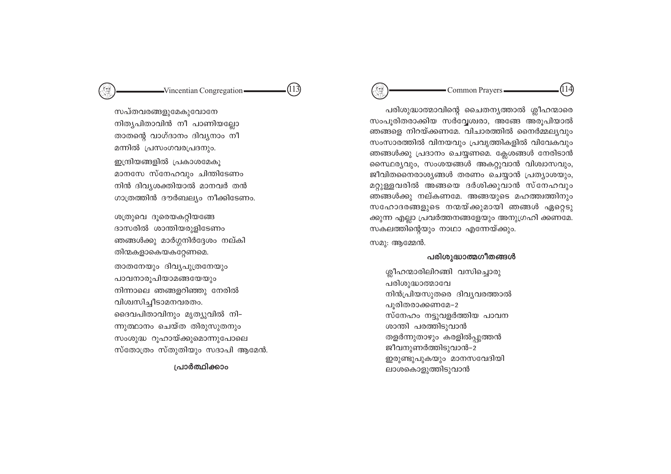# -Vincentian Congregation-

 $(113)$ 

സപ്തവരങ്ങളുമേകുവോനേ നിത്യപിതാവിൻ നീ പാണിയല്ലോ താതന്റെ വാഗ്ദാനം ദിവ്യനാം നീ മന്നിൽ പ്രസംഗവരപ്രദനും. ഇന്ദ്രിയങ്ങളിൽ പ്രകാശമേകൂ മാനസേ സ്നേഹവും ചിന്തിടേണം നിൻ ദിവ്യശക്തിയാൽ മാനവർ തൻ ഗാത്രത്തിൻ ദൗർബല്യം നീക്കിടേണം.

ശത്രുവെ ദുരെയകറ്റിയങ്ങേ ദാസരിൽ ശാന്തിയരുളിടേണം ഞങ്ങൾക്കു മാർഗ്ഗനിർദ്ദേശം നല്കി തിന്മകളാകെയകറ്റേണമെ. താതനേയും ദിവ്യപുത്രനേയും പാവനാരൂപിയാമങ്ങയേയും നിന്നാലെ ഞങ്ങളറിഞ്ഞു നേരിൽ വിശ്വസിച്ചീടാമനവരതം. ദൈവപിതാവിനും മൃത്യുവിൽ നി-ന്നുത്ഥാനം ചെയ്ത തിരുസുതനും സംശുദ്ധ റൂഹായ്ക്കുമൊന്നുപോലെ സ്തോത്രം സ്തുതിയും സദാപി ആമേൻ.

#### പ്രാർത്ഥിക്കാം

 $\mathbb{C}$ Common Prayers -

പരിശുദ്ധാത്മാവിന്റെ ചൈതന്യത്താൽ ശ്ലീഹന്മാരെ സംപൂരിതരാക്കിയ സർവ്വേശ്വരാ, അങ്ങേ അരൂപിയാൽ ഞങ്ങളെ നിറയ്ക്കണമേ. വിചാരത്തിൽ നൈർമ്മല്യവും സംസാരത്തിൽ വിനയവും പ്രവൃത്തികളിൽ വിവേകവും ഞങ്ങൾക്കു പ്രദാനം ചെയ്യണമെ. ക്ലേശങ്ങൾ നേരിടാൻ സൈഥര്യവും, സംശയങ്ങൾ അകറ്റുവാൻ വിശ്വാസവും, ജീവിതനൈരാശ്യങ്ങൾ തരണം ചെയ്യാൻ പ്രത്യാശയും, മറ്റുള്ളവരിൽ അങ്ങയെ ദർശിക്കുവാൻ സ്നേഹവും ഞങ്ങൾക്കു നല്കണമേ. അങ്ങയുടെ മഹത്ത്വത്തിനും സഹോദരങ്ങളുടെ നന്മയ്ക്കുമായി ഞങ്ങൾ ഏറ്റെടു ക്കുന്ന എല്ലാ പ്രവർത്തനങ്ങളേയും അനുഗ്രഹി ക്കണമേ. സകലത്തിന്റെയും നാഥാ എന്നേയ്ക്കും. സമു: ആമ്മേൻ.

#### പരിശുദ്ധാത്മഗീതങ്ങൾ

ശ്ലീഹന്മാരിലിറങ്ങി വസിച്ചൊരു പരിശുദ്ധാത്മാവേ നിൻപ്രിയസുതരെ ദിവ്യവരത്താൽ പൂരിതരാക്കണമേ-2 സ്നേഹം നട്ടുവളർത്തിയ പാവന ശാന്തി പരത്തിടുവാൻ തളർന്നുതാഴും കരളിൽപ്പുത്തൻ ജീവനുണർത്തിടുവാൻ-2 ഇരുണ്ടുപുകയും മാനസവേദിയി ലാശകൊളുത്തിടുവാൻ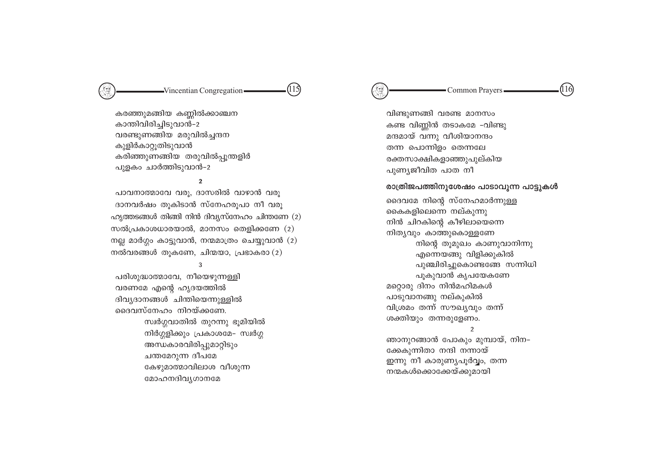#### 116) Common Prayers

വിണ്ടുണങ്ങി വരണ്ട മാനസം കണ്ട വിണ്ണിൻ തടാകമേ -വിണ്ടു മന്ദമായ് വന്നു വീശിയാനന്ദം തന്ന പൊന്നിളം തെന്നലേ രക്തസാക്ഷികളാഞ്ഞുപൂല്കിയ പുണ്യജീവിത പാത നീ

#### രാത്രിജപത്തിനുശേഷം പാടാവുന്ന പാട്ടുകൾ

ദൈവമേ നിന്റെ സ്നേഹമാർന്നുള്ള കൈകളിലെന്നെ നല്കുന്നു നിൻ ചിറകിന്റെ കീഴിലായെന്നെ നിത്യവും കാത്തുകൊള്ളണേ നിന്റെ തുമുഖം കാണുവാനിന്നു എന്നെയങ്ങു വിളിക്കുകിൽ പുഞ്ചിരിച്ചുകൊണ്ടങ്ങേ സന്നിധി പൂകുവാൻ കൃപയേകണേ മറ്റൊരു ദിനം നിൻമഹിമകൾ പാടുവാനങ്ങു നല്കുകിൽ വിശ്രമം തന്ന് സൗഖ്യവും തന്ന് ശക്തിയും തന്നരുളേണം.  $\overline{2}$ ഞാനുറങ്ങാൻ പോകും മുമ്പായ്, നിന–

ക്കേകുന്നിതാ നന്ദി നന്നായ് ഇന്നു നീ കാരുണ്യപൂർവ്വം, തന്ന നന്മകൾക്കൊക്കേയ്ക്കുമായി

 $(115)$ 

കരഞ്ഞുമങ്ങിയ കണ്ണിൽക്കാഞ്ചന കാന്തിവിരിച്ചിടുവാൻ-2 വരണ്ടുണങ്ങിയ മരുവിൽച്ചന്ദന കുളിർകാറ്റുതിടുവാൻ കരിഞ്ഞുണങ്ങിയ തരുവിൽപ്പുന്തളിർ പുളകം ചാർത്തിടുവാൻ-2

 $\mathfrak{p}$ 

പാവനാത്മാവേ വരു, ദാസരിൽ വാഴാൻ വരു ദാനവർഷം തുകിടാൻ സ്നേഹരുപാ നീ വരു  $\Omega$ ുത്തടങ്ങൾ തിങ്ങി നിൻ ദിവ്യസ്നേഹം ചിന്തണേ (2) സൽപ്രകാശധാരയാൽ, മാനസം തെളിക്കണേ  $(2)$ നല്ല മാർഗ്ഗം കാട്ടുവാൻ, നന്മമാത്രം ചെയ്യുവാൻ (2) നൽവരങ്ങൾ തുകണേ, ചിന്മയാ, പ്രഭാകരാ $(2)$ 

#### 3

പരിശുദ്ധാത്മാവേ, നീയെഴുന്നള്ളി വരണമേ എന്റെ ഹൃദയത്തിൽ ദിവ്യദാനങ്ങൾ ചിന്തിയെന്നുള്ളിൽ ദൈവസ്നേഹം നിറയ്ക്കണേ. സ്വർഗ്ഗവാതിൽ തുറന്നു ഭൂമിയിൽ നിർഗ്ഗളിക്കും പ്രകാശമേ– സ്വർഗ്ഗ അന്ധകാരവിരിപ്പുമാറ്റിടും ചന്തമേറുന്ന ദീപമേ കേഴുമാത്മാവിലാശ വീശുന്ന മോഹനദിവ്യഗാനമേ

# -Vincentian Congregation-